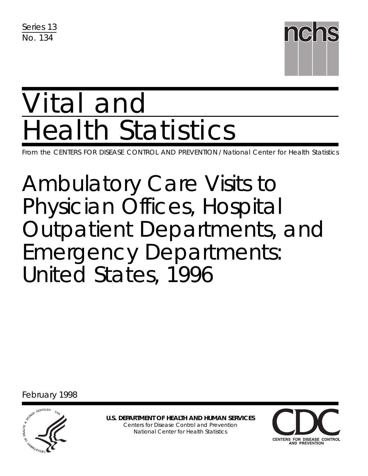Series 13 No. 134



# Vital and Health Statistics

From the CENTERS FOR DISEASE CONTROL AND PREVENTION / National Center for Health Statistics

Ambulatory Care Visits to Physician Offices, Hospital Outpatient Departments, and Emergency Departments: United States, 1996

February 1998



**U.S. DEPARTMENT OF HEALTH AND HUMAN SERVICES** Centers for Disease Control and Prevention National Center for Health Statistics

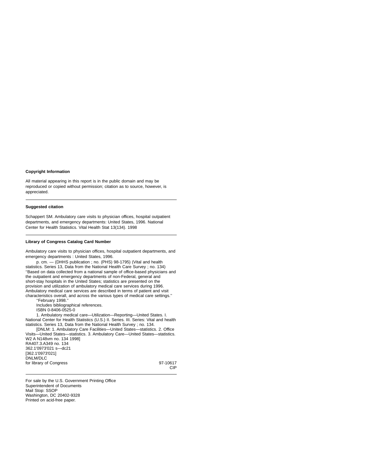#### **Copyright Information**

All material appearing in this report is in the public domain and may be reproduced or copied without permission; citation as to source, however, is appreciated.

#### **Suggested citation**

Schappert SM. Ambulatory care visits to physician offices, hospital outpatient departments, and emergency departments: United States, 1996. National Center for Health Statistics. Vital Health Stat 13(134). 1998

#### **Library of Congress Catalog Card Number**

Ambulatory care visits to physician offices, hospital outpatient departments, and emergency departments : United States, 1996.

p. cm. — (DHHS publication ; no. (PHS) 98-1795) (Vital and health statistics. Series 13, Data from the National Health Care Survey ; no. 134) ''Based on data collected from a national sample of office-based physicians and the outpatient and emergency departments of non-Federal, general and short-stay hospitals in the United States; statistics are presented on the provision and utilization of ambulatory medical care services during 1996. Ambulatory medical care services are described in terms of patient and visit characteristics overall, and across the various types of medical care settings.'' ''February 1998.''

Includes bibliographical references. ISBN 0-8406-0525-0

1. Ambulatory medical care—Utilization—Reporting—United States. I. National Center for Health Statistics (U.S.) II. Series. III. Series: Vital and health statistics. Series 13, Data from the National Health Survey ; no. 134.

[DNLM: 1. Ambulatory Care Facilities—United States—statistics. 2. Office Visits—United States—statistics. 3. Ambulatory Care—United States—statistics. W2 A N148vm no. 134 1998]

CIP

RA407.3.A349 no. 134 362.1'0973'021 s—dc21 [362.1'0973'021] DNLM/DLC for library of Congress 97-10617

For sale by the U.S. Government Printing Office Superintendent of Documents Mail Stop: SSOP Washington, DC 20402-9328 Printed on acid-free paper.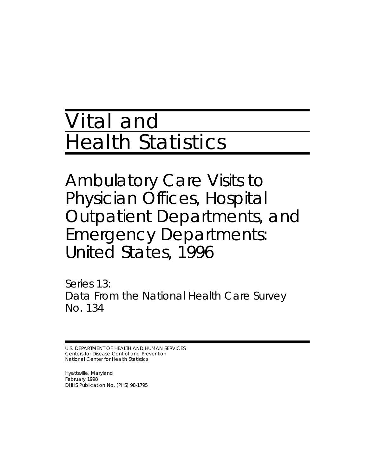## Vital and Health Statistics

Ambulatory Care Visits to Physician Offices, Hospital Outpatient Departments, and Emergency Departments: United States, 1996

Series 13: Data From the National Health Care Survey No. 134

U.S. DEPARTMENT OF HEALTH AND HUMAN SERVICES Centers for Disease Control and Prevention National Center for Health Statistics

Hyattsville, Maryland February 1998 DHHS Publication No. (PHS) 98-1795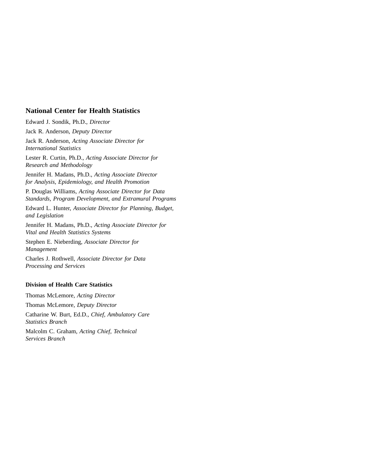#### **National Center for Health Statistics**

Edward J. Sondik, Ph.D., *Director*

Jack R. Anderson, *Deputy Director*

Jack R. Anderson, *Acting Associate Director for International Statistics*

Lester R. Curtin, Ph.D., *Acting Associate Director for Research and Methodology*

Jennifer H. Madans, Ph.D., *Acting Associate Director for Analysis, Epidemiology, and Health Promotion*

P. Douglas Williams, *Acting Associate Director for Data Standards, Program Development, and Extramural Programs*

Edward L. Hunter, *Associate Director for Planning, Budget, and Legislation*

Jennifer H. Madans, Ph.D., *Acting Associate Director for Vital and Health Statistics Systems*

Stephen E. Nieberding, *Associate Director for Management*

Charles J. Rothwell, *Associate Director for Data Processing and Services*

#### **Division of Health Care Statistics**

Thomas McLemore, *Acting Director*

Thomas McLemore, *Deputy Director*

Catharine W. Burt, Ed.D., *Chief, Ambulatory Care Statistics Branch*

Malcolm C. Graham, *Acting Chief, Technical Services Branch*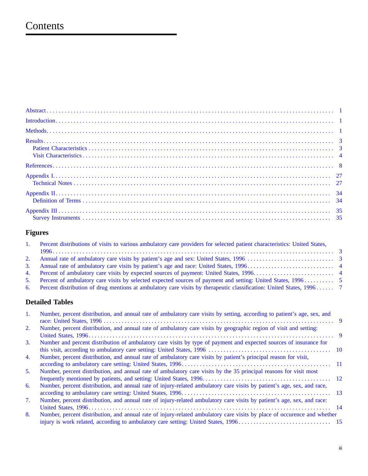## Contents

## **Figures**

| 1. Percent distributions of visits to various ambulatory care providers for selected patient characteristics: United States, |  |
|------------------------------------------------------------------------------------------------------------------------------|--|
|                                                                                                                              |  |
|                                                                                                                              |  |
|                                                                                                                              |  |
|                                                                                                                              |  |
|                                                                                                                              |  |
| 6. Percent distribution of drug mentions at ambulatory care visits by therapeutic classification: United States, 1996 7      |  |

## **Detailed Tables**

| $1_{\cdot}$ | Number, percent distribution, and annual rate of ambulatory care visits by setting, according to patient's age, sex, and |  |
|-------------|--------------------------------------------------------------------------------------------------------------------------|--|
| 2.          | Number, percent distribution, and annual rate of ambulatory care visits by geographic region of visit and setting:       |  |
|             |                                                                                                                          |  |
| 3.          | Number and percent distribution of ambulatory care visits by type of payment and expected sources of insurance for       |  |
|             |                                                                                                                          |  |
| 4.          | Number, percent distribution, and annual rate of ambulatory care visits by patient's principal reason for visit,         |  |
|             |                                                                                                                          |  |
| 5.          | Number, percent distribution, and annual rate of ambulatory care visits by the 35 principal reasons for visit most       |  |
|             |                                                                                                                          |  |
| 6.          | Number, percent distribution, and annual rate of injury-related ambulatory care visits by patient's age, sex, and race,  |  |
|             |                                                                                                                          |  |
| 7.          | Number, percent distribution, and annual rate of injury-related ambulatory care visits by patient's age, sex, and race:  |  |
|             |                                                                                                                          |  |
| 8.          | Number, percent distribution, and annual rate of injury-related ambulatory care visits by place of occurence and whether |  |
|             |                                                                                                                          |  |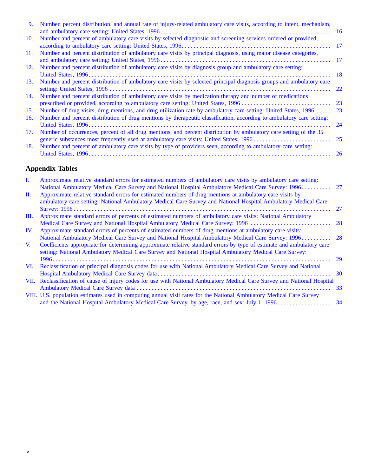| 9.  | Number, percent distribution, and annual rate of injury-related ambulatory care visits, according to intent, mechanism, |           |
|-----|-------------------------------------------------------------------------------------------------------------------------|-----------|
|     |                                                                                                                         |           |
| 10. | Number and percent of ambulatory care visits by selected diagnostic and screening services ordered or provided,         |           |
|     |                                                                                                                         |           |
| 11. | Number and percent distribution of ambulatory care visits by principal diagnosis, using major disease categories,       |           |
|     |                                                                                                                         |           |
| 12. | Number and percent distribution of ambulatory care visits by diagnosis group and ambulatory care setting:               |           |
|     |                                                                                                                         | - 18      |
| 13. | Number and percent distribution of ambulatory care visits by selected principal diagnosis groups and ambulatory care    |           |
|     |                                                                                                                         |           |
| 14. | Number and percent distribution of ambulatory care visits by medication therapy and number of medications               |           |
|     |                                                                                                                         | 23        |
| 15. | Number of drug visits, drug mentions, and drug utilization rate by ambulatory care setting: United States, 1996  23     |           |
| 16. | Number and percent distribution of drug mentions by therapeutic classification, according to ambulatory care setting:   |           |
|     |                                                                                                                         | 24        |
| 17. | Number of occurrences, percent of all drug mentions, and percent distribution by ambulatory care setting of the 35      |           |
|     |                                                                                                                         |           |
| 18. | Number and percent of ambulatory care visits by type of providers seen, according to ambulatory care setting:           |           |
|     |                                                                                                                         | <b>26</b> |
|     |                                                                                                                         |           |

## **Appendix Tables**

| L.          | Approximate relative standard errors for estimated numbers of ambulatory care visits by ambulatory care setting:<br>National Ambulatory Medical Care Survey and National Hospital Ambulatory Medical Care Survey: 1996 27       |    |
|-------------|---------------------------------------------------------------------------------------------------------------------------------------------------------------------------------------------------------------------------------|----|
| П.          | Approximate relative standard errors for estimated numbers of drug mentions at ambulatory care visits by<br>ambulatory care setting: National Ambulatory Medical Care Survey and National Hospital Ambulatory Medical Care      |    |
|             |                                                                                                                                                                                                                                 | 27 |
| Ш.          | Approximate standard errors of percents of estimated numbers of ambulatory care visits: National Ambulatory                                                                                                                     |    |
|             |                                                                                                                                                                                                                                 |    |
| IV.         | Approximate standard errors of percents of estimated numbers of drug mentions at ambulatory care visits:                                                                                                                        |    |
|             | National Ambulatory Medical Care Survey and National Hospital Ambulatory Medical Care Survey: 1996 28                                                                                                                           |    |
| $V_{\cdot}$ | Coefficients appropriate for determining approximate relative standard errors by type of estimate and ambulatory care<br>setting: National Ambulatory Medical Care Survey and National Hospital Ambulatory Medical Care Survey: |    |
|             |                                                                                                                                                                                                                                 |    |
| VI.         | Reclassification of principal diagnosis codes for use with National Ambulatory Medical Care Survey and National                                                                                                                 |    |
|             |                                                                                                                                                                                                                                 |    |
|             | VII. Reclassification of cause of injury codes for use with National Ambulatory Medical Care Survey and National Hospital                                                                                                       |    |
|             |                                                                                                                                                                                                                                 |    |
|             | VIII. U.S. population estimates used in computing annual visit rates for the National Ambulatory Medical Care Survey                                                                                                            |    |
|             |                                                                                                                                                                                                                                 |    |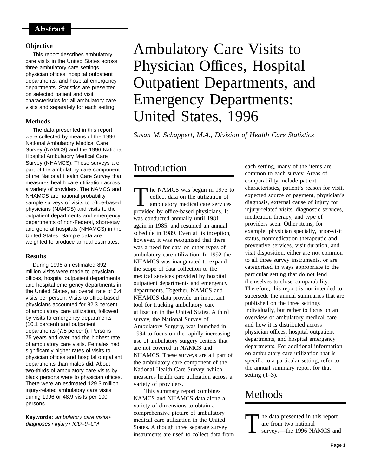#### <span id="page-6-0"></span>Abstract

#### **Objective**

This report describes ambulatory care visits in the United States across three ambulatory care settings physician offices, hospital outpatient departments, and hospital emergency departments. Statistics are presented on selected patient and visit characteristics for all ambulatory care visits and separately for each setting.

#### **Methods**

The data presented in this report were collected by means of the 1996 National Ambulatory Medical Care Survey (NAMCS) and the 1996 National Hospital Ambulatory Medical Care Survey (NHAMCS). These surveys are part of the ambulatory care component of the National Health Care Survey that measures health care utilization across a variety of providers. The NAMCS and NHAMCS are national probability sample surveys of visits to office-based physicians (NAMCS) and visits to the outpatient departments and emergency departments of non-Federal, short-stay and general hospitals (NHAMCS) in the United States. Sample data are weighted to produce annual estimates.

#### **Results**

During 1996 an estimated 892 million visits were made to physician offices, hospital outpatient departments, and hospital emergency departments in the United States, an overall rate of 3.4 visits per person. Visits to office-based physicians accounted for 82.3 percent of ambulatory care utilization, followed by visits to emergency departments (10.1 percent) and outpatient departments (7.5 percent). Persons 75 years and over had the highest rate of ambulatory care visits. Females had significantly higher rates of visits to physician offices and hospital outpatient departments than males did. About two-thirds of ambulatory care visits by black persons were to physician offices. There were an estimated 129.3 million injury-related ambulatory care visits during 1996 or 48.9 visits per 100 persons.

Keywords: ambulatory care visits . diagnoses · injury · ICD-9-CM

## Ambulatory Care Visits to Physician Offices, Hospital Outpatient Departments, and Emergency Departments: United States, 1996

*Susan M. Schappert, M.A., Division of Health Care Statistics*

## Introduction

The NAMCS was begun in 1973 to<br>
collect data on the utilization of<br>
ambulatory medical care services<br>
provided by office based physicians. It collect data on the utilization of provided by office-based physicians. It was conducted annually until 1981, again in 1985, and resumed an annual schedule in 1989. Even at its inception, however, it was recognized that there was a need for data on other types of ambulatory care utilization. In 1992 the NHAMCS was inaugurated to expand the scope of data collection to the medical services provided by hospital outpatient departments and emergency departments. Together, NAMCS and NHAMCS data provide an important tool for tracking ambulatory care utilization in the United States. A third survey, the National Survey of Ambulatory Surgery, was launched in 1994 to focus on the rapidly increasing use of ambulatory surgery centers that are not covered in NAMCS and NHAMCS. These surveys are all part of the ambulatory care component of the National Health Care Survey, which measures health care utilization across a variety of providers.

This summary report combines NAMCS and NHAMCS data along a variety of dimensions to obtain a comprehensive picture of ambulatory medical care utilization in the United States. Although three separate survey instruments are used to collect data from

each setting, many of the items are common to each survey. Areas of comparability include patient characteristics, patient's reason for visit, expected source of payment, physician's diagnosis, external cause of injury for injury-related visits, diagnostic services, medication therapy, and type of providers seen. Other items, for example, physician specialty, prior-visit status, nonmedication therapeutic and preventive services, visit duration, and visit disposition, either are not common to all three survey instruments, or are categorized in ways appropriate to the particular setting that do not lend themselves to close comparability. Therefore, this report is not intended to supersede the annual summaries that are published on the three settings individually, but rather to focus on an overview of ambulatory medical care and how it is distributed across physician offices, hospital outpatient departments, and hospital emergency departments. For additional information on ambulatory care utilization that is specific to a particular setting, refer to the annual summary report for that setting  $(1-3)$ .

## **Methods**

The data presented in this report are from two national surveys—the 1996 NAMCS and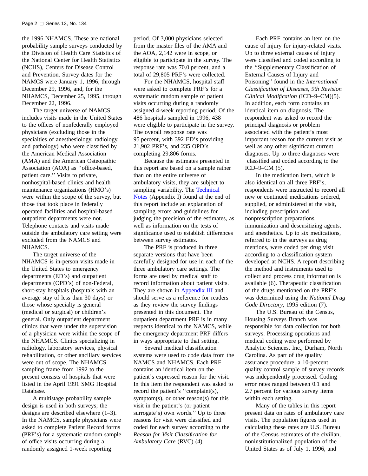the 1996 NHAMCS. These are national probability sample surveys conducted by the Division of Health Care Statistics of the National Center for Health Statistics (NCHS), Centers for Disease Control and Prevention. Survey dates for the NAMCS were January 1, 1996, through December 29, 1996, and, for the NHAMCS, December 25, 1995, through December 22, 1996.

The target universe of NAMCS includes visits made in the United States to the offices of nonfederally employed physicians (excluding those in the specialties of anesthesiology, radiology, and pathology) who were classified by the American Medical Association (AMA) and the American Osteopathic Association (AOA) as ''office-based, patient care.'' Visits to private, nonhospital-based clinics and health maintenance organizations (HMO's) were within the scope of the survey, but those that took place in federally operated facilities and hospital-based outpatient departments were not. Telephone contacts and visits made outside the ambulatory care setting were excluded from the NAMCS and NHAMCS.

The target universe of the NHAMCS is in-person visits made in the United States to emergency departments (ED's) and outpatient departments (OPD's) of non-Federal, short-stay hospitals (hospitals with an average stay of less than 30 days) or those whose specialty is general (medical or surgical) or children's general. Only outpatient department clinics that were under the supervision of a physician were within the scope of the NHAMCS. Clinics specializing in radiology, laboratory services, physical rehabilitation, or other ancillary services were out of scope. The NHAMCS sampling frame from 1992 to the present consists of hospitals that were listed in the April 1991 SMG Hospital Database.

A multistage probability sample design is used in both surveys; the designs are described elsewhere (1–3). In the NAMCS, sample physicians were asked to complete Patient Record forms (PRF's) for a systematic random sample of office visits occurring during a randomly assigned 1-week reporting

period. Of 3,000 physicians selected from the master files of the AMA and the AOA, 2,142 were in scope, or eligible to participate in the survey. The response rate was 70.0 percent, and a total of 29,805 PRF's were collected.

For the NHAMCS, hospital staff were asked to complete PRF's for a systematic random sample of patient visits occurring during a randomly assigned 4-week reporting period. Of the 486 hospitals sampled in 1996, 438 were eligible to participate in the survey. The overall response rate was 95 percent, with 392 ED's providing 21,902 PRF's, and 235 OPD's completing 29,806 forms.

Because the estimates presented in this report are based on a sample rather than on the entire universe of ambulatory visits, the[y are subject to](#page-32-0) [samplin](#page-32-0)g variability. The Technical Notes (Appendix I) found at the end of this report include an explanation of sampling errors and guidelines for judging the precision of the estimates, as well as information on the tests of significance used to establish differences between survey estimates.

The PRF is produced in three separate versions that have been carefully designed for use in each of the three ambulatory care settings. The forms are used by medical staff to record information about patient visits. They are shown in [Appendix III](#page-40-0) and should serve as a reference for readers as they review the survey findings presented in this document. The outpatient department PRF is in many respects identical to the NAMCS, while the emergency department PRF differs in ways appropriate to that setting.

Several medical classification systems were used to code data from the NAMCS and NHAMCS. Each PRF contains an identical item on the patient's expressed reason for the visit. In this item the respondent was asked to record the patient's ''complaint(s), symptom(s), or other reason(s) for this visit in the patient's (or patient surrogate's) own words.'' Up to three reasons for visit were classified and coded for each survey according to the *Reason for Visit Classification for Ambulatory Care* (RVC) (4).

Each PRF contains an item on the cause of injury for injury-related visits. Up to three external causes of injury were classified and coded according to the ''Supplementary Classification of External Causes of Injury and Poisoning'' found in the *International Classification of Diseases, 9th Revision Clinical Modification* (ICD–9–CM)(5). In addition, each form contains an identical item on diagnosis. The respondent was asked to record the principal diagnosis or problem associated with the patient's most important reason for the current visit as well as any other significant current diagnoses. Up to three diagnoses were classified and coded according to the ICD–9–CM (5).

In the medication item, which is also identical on all three PRF's, respondents were instructed to record all new or continued medications ordered, supplied, or administered at the visit, including prescription and nonprescription preparations, immunization and desensitizing agents, and anesthetics. Up to six medications, referred to in the surveys as drug mentions, were coded per drug visit according to a classification system developed at NCHS. A report describing the method and instruments used to collect and process drug information is available (6). Therapeutic classification of the drugs mentioned on the PRF's was determined using the *National Drug Code Directory*, 1995 edition (7).

The U.S. Bureau of the Census, Housing Surveys Branch was responsible for data collection for both surveys. Processing operations and medical coding were performed by Analytic Sciences, Inc., Durham, North Carolina. As part of the quality assurance procedure, a 10-percent quality control sample of survey records was independently processed. Coding error rates ranged between 0.1 and 2.7 percent for various survey items within each setting.

Many of the tables in this report present data on rates of ambulatory care visits. The population figures used in calculating these rates are U.S. Bureau of the Census estimates of the civilian, noninstitutionalized population of the United States as of July 1, 1996, and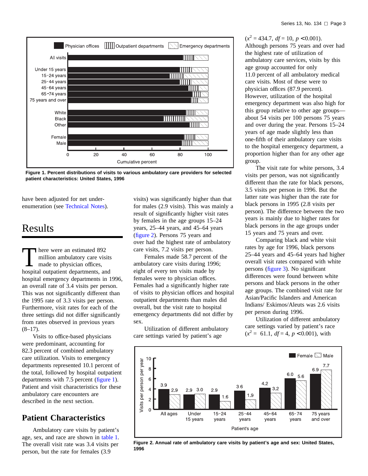<span id="page-8-0"></span>

**Figure 1. Percent distributions of visits to various ambulatory care providers for selected patient characteristics: United States, 1996**

have been adjusted for net underenumeration (see [Technical Notes\).](#page-32-0)

## Results

There were an estimated 892<br>million ambulatory care vis<br>made to physician offices,<br>hospital outpoint denotments are million ambulatory care visits made to physician offices, hospital outpatient departments, and hospital emergency departments in 1996, an overall rate of 3.4 visits per person. This was not significantly different than the 1995 rate of 3.3 visits per person. Furthermore, visit rates for each of the three settings did not differ significantly from rates observed in previous years  $(8-17)$ .

Visits to office-based physicians were predominant, accounting for 82.3 percent of combined ambulatory care utilization. Visits to emergency departments represented 10.1 percent of the total, followed by hospital outpatient departments with 7.5 percent (figure 1). Patient and visit characteristics for these ambulatory care encounters are described in the next section.

## **Patient Characteristics**

Ambulatory care visits by patient's age, sex, and race are shown in [table 1.](#page-14-0) The overall visit rate was 3.4 visits per person, but the rate for females (3.9

visits) was significantly higher than that for males (2.9 visits). This was mainly a result of significantly higher visit rates by females in the age groups 15–24 years, 25–44 years, and 45–64 years (figure 2). Persons 75 years and over had the highest rate of ambulatory care visits, 7.2 visits per person.

Females made 58.7 percent of the ambulatory care visits during 1996; eight of every ten visits made by females were to physician offices. Females had a significantly higher rate of visits to physician offices and hospital outpatient departments than males did overall, but the visit rate to hospital emergency departments did not differ by sex.

Utilization of different ambulatory care settings varied by patient's age



Although persons 75 years and over had the highest rate of utilization of ambulatory care services, visits by this age group accounted for only 11.0 percent of all ambulatory medical care visits. Most of these were to physician offices (87.9 percent). However, utilization of the hospital emergency department was also high for this group relative to other age groups about 54 visits per 100 persons 75 years and over during the year. Persons 15–24 years of age made slightly less than one-fifth of their ambulatory care visits to the hospital emergency department, a proportion higher than for any other age group.

The visit rate for white persons, 3.4 visits per person, was not significantly different than the rate for black persons, 3.5 visits per person in 1996. But the latter rate was higher than the rate for black persons in 1995 (2.8 visits per person). The difference between the two years is mainly due to higher rates for black persons in the age groups under 15 years and 75 years and over.

Comparing black and white visit rates by age for 1996, black persons 25–44 years and 45–64 years had higher overall visit rates compared with white perso[ns \(figure 3\). N](#page-9-0)o significant differences were found between white persons and black persons in the other age groups. The combined visit rate for Asian/Pacific Islanders and American Indians/ Eskimos/Aleuts was 2.6 visits per person during 1996.

Utilization of different ambulatory care settings varied by patient's race  $(x^2 = 61.1, df = 4, p < 0.001)$ , with



**Figure 2. Annual rate of ambulatory care visits by patient's age and sex: United States, 1996**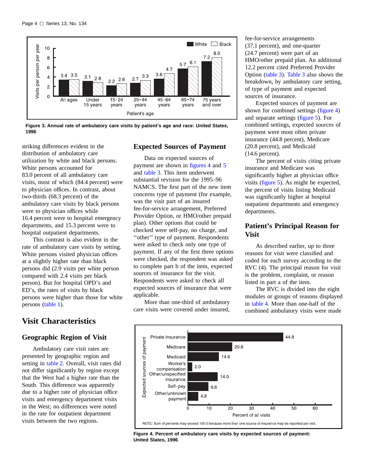<span id="page-9-0"></span>

**Figure 3. Annual rate of ambulatory care visits by patient's age and race: United States, 1996**

striking differences evident in the distribution of ambulatory care utilization by white and black persons. White persons accounted for 83.0 percent of all ambulatory care visits, most of which (84.4 percent) were to physician offices. In contrast, about two-thirds (68.3 percent) of the ambulatory care visits by black persons were to physician offices while 16.4 percent were to hospital emergency departments, and 15.3 percent were to hospital outpatient departments.

This contrast is also evident in the rate of ambulatory care visits by setting. White persons visited physician offices at a slightly higher rate than black persons did (2.9 visits per white person compared with 2.4 visits per black person). But for hospital OPD's and ED's, the rates of visits by black pers[ons were higher](#page-14-0) than those for white persons (table 1).

### **Visit Characteristics**

#### **Geographic Region of Visit**

Ambulatory care visit rates are presented by geographic region and setting in [table 2. Ov](#page-14-0)erall, visit rates did not differ significantly by region except that the West had a higher rate than the South. This difference was apparently due to a higher rate of physician office visits and emergency department visits in the West; no differences were noted in the rate for outpatient department visits between the two regions.

#### **Expected Sources of Payment**

Data on expected sources of payment are shown in figures 4 a[nd](#page-10-0) 5 and [table 3. Th](#page-15-0)is item underwent substantial revision for the 1995–96 NAMCS. The first part of the new item concerns type of payment (for example, was the visit part of an insured fee-for-service arrangement, Preferred Provider Option, or HMO/other prepaid plan). Other options that could be checked were self-pay, no charge, and ''other'' type of payment. Respondents were asked to check only one type of payment. If any of the first three options were checked, the respondent was asked to complete part b of the item, expected sources of insurance for the visit. Respondents were asked to check all expected sources of insurance that were applicable.

More than one-third of ambulatory care visits were covered under insured,

fee-for-service arrangements (37.1 percent), and one-quarter (24.7 percent) were part of an HMO/other prepaid plan. An additional 12.2 [percent cited](#page-15-0) Preferred Provider Option (table 3). Table 3 also shows the breakdown, by a[mbulatory ca](#page-15-0)re setting, of type of payment and expected sources of insurance.

Expected sources of payment are shown for combined settings (figure 4) and separate setti[ngs \(figure 5\). F](#page-10-0)or combined settings, expected sources of payment were most often private insurance (44.8 percent), Medicare (20.8 percent), and Medicaid (14.6 percent).

The percent of visits citing private insurance and Medicare was significantly higher at physician office vis[its \(figure 5\). A](#page-10-0)s might be expected, the percent of visits listing Medicaid was significantly higher at hospital outpatient departments and emergency departments.

#### **Patient's Principal Reason for Visit**

As described earlier, up to three reasons for visit were classified and coded for each survey according to the RVC (4). The principal reason for visit is the problem, complaint, or reason listed in part a of the item.

The RVC is divided into the eight modules or groups of reasons displayed in [table 4. M](#page-16-0)ore than one-half of the combined ambulatory visits were made



**Figure 4. Percent of ambulatory care visits by expected sources of payment: United States, 1996**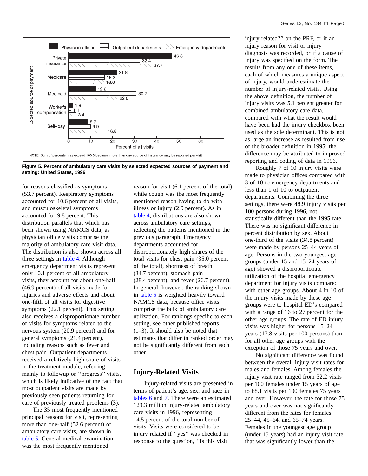<span id="page-10-0"></span>

**Figure 5. Percent of ambulatory care visits by selected expected sources of payment and setting: United States, 1996**

for reasons classified as symptoms (53.7 percent). Respiratory symptoms accounted for 10.6 percent of all visits, and musculoskeletal symptoms accounted for 9.8 percent. This distribution parallels that which has been shown using NAMCS data, as physician office visits comprise the majority of ambulatory care visit data. The distribution is also shown across all three settings in [table 4. A](#page-16-0)lthough emergency department visits represent only 10.1 percent of all ambulatory visits, they account for about one-half (46.9 percent) of all visits made for injuries and adverse effects and about one-fifth of all visits for digestive symptoms (22.1 percent). This setting also receives a disproportionate number of visits for symptoms related to the nervous system (20.9 percent) and for general symptoms (21.4 percent), including reasons such as fever and chest pain. Outpatient departments received a relatively high share of visits in the treatment module, referring mainly to followup or ''progress'' visits, which is likely indicative of the fact that most outpatient visits are made by previously seen patients returning for care of previously treated problems (3).

The 35 most frequently mentioned principal reasons for visit, representing more than one-half (52.6 percent) of ambulatory care visits, are shown in [table 5. Ge](#page-17-0)neral medical examination was the most frequently mentioned

reason for visit (6.1 percent of the total), while cough was the most frequently mentioned reason having to do with illness or injury (2.9 percent). As in [table 4, dis](#page-16-0)tributions are also shown across ambulatory care settings, reflecting the patterns mentioned in the previous paragraph. Emergency departments accounted for disproportionately high shares of the total visits for chest pain (35.0 percent of the total), shortness of breath (34.7 percent), stomach pain (28.4 percent), and fever (26.7 percent). [In general, ho](#page-17-0)wever, the ranking shown in table 5 is weighted heavily toward NAMCS data, because office visits comprise the bulk of ambulatory care utilization. For rankings specific to each setting, see other published reports (1–3). It should also be noted that estimates that differ in ranked order may not be significantly different from each other.

#### **Injury-Related Visits**

Injury-related visits are presented in [terms of pa](#page-18-0)tient's age, sex, and race in tables 6 and 7. There were an estimated 129.3 milli[on injur](#page-19-0)y-related ambulatory care visits in 1996, representing 14.5 percent of the total number of visits. Visits were considered to be injury related if ''yes'' was checked in response to the question, ''Is this visit

injury related?'' on the PRF, or if an injury reason for visit or injury diagnosis was recorded, or if a cause of injury was specified on the form. The results from any one of these items, each of which measures a unique aspect of injury, would underestimate the number of injury-related visits. Using the above definition, the number of injury visits was 5.1 percent greater for combined ambulatory care data, compared with what the result would have been had the injury checkbox been used as the sole determinant. This is not as large an increase as resulted from use of the broader definition in 1995; the difference may be attributed to improved reporting and coding of data in 1996.

Roughly 7 of 10 injury visits were made to physician offices compared with 3 of 10 to emergency departments and less than 1 of 10 to outpatient departments. Combining the three settings, there were 48.9 injury visits per 100 persons during 1996, not statistically different than the 1995 rate. There was no significant difference in percent distribution by sex. About one-third of the visits (34.8 percent) were made by persons 25–44 years of age. Persons in the two youngest age groups (under 15 and 15–24 years of age) showed a disproportionate utilization of the hospital emergency department for injury visits compared with other age groups. About 4 in 10 of the injury visits made by these age groups were to hospital ED's compared with a range of 16 to 27 percent for the other age groups. The rate of ED injury visits was higher for persons 15–24 years (17.8 visits per 100 persons) than for all other age groups with the exception of those 75 years and over.

No significant difference was found between the overall injury visit rates for males and females. Among females the injury visit rate ranged from 32.2 visits per 100 females under 15 years of age to 68.1 visits per 100 females 75 years and over. However, the rate for those 75 years and over was not significantly different from the rates for females 25–44, 45–64, and 65–74 years. Females in the youngest age group (under 15 years) had an injury visit rate that was significantly lower than the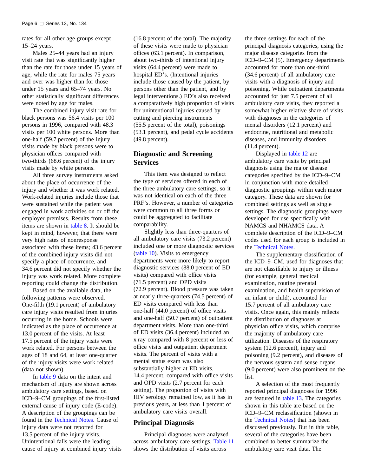rates for all other age groups except 15–24 years.

Males 25–44 years had an injury visit rate that was significantly higher than the rate for those under 15 years of age, while the rate for males 75 years and over was higher than for those under 15 years and 65–74 years. No other statistically significant differences were noted by age for males.

The combined injury visit rate for black persons was 56.4 visits per 100 persons in 1996, compared with 48.3 visits per 100 white persons. More than one-half (59.7 percent) of the injury visits made by black persons were to physician offices compared with two-thirds (68.6 percent) of the injury visits made by white persons.

All three survey instruments asked about the place of occurrence of the injury and whether it was work related. Work-related injuries include those that were sustained while the patient was engaged in work activities on or off the employer premises. Results from these items are shown in [table 8. It s](#page-20-0)hould be kept in mind, however, that there were very high rates of nonresponse associated with these items; 43.6 percent of the combined injury visits did not specify a place of occurrence, and 34.6 percent did not specify whether the injury was work related. More complete reporting could change the distribution.

Based on the available data, the following patterns were observed. One-fifth (19.1 percent) of ambulatory care injury visits resulted from injuries occurring in the home. Schools were indicated as the place of occurrence at 13.0 percent of the visits. At least 17.5 percent of the injury visits were work related. For persons between the ages of 18 and 64, at least one-quarter of the injury visits were work related (data [not shown\).](#page-21-0)

In table 9 data on the intent and mechanism of injury are shown across ambulatory care settings, based on ICD–9–CM groupings of the first-listed external cause of injury code (E-code). A descrip[tion of the groupings c](#page-32-0)an be found in the Technical Notes. Cause of injury data were not reported for 13.5 percent of the injury visits. Unintentional falls were the leading cause of injury at combined injury visits

(16.8 percent of the total). The majority of these visits were made to physician offices (63.1 percent). In comparison, about two-thirds of intentional injury visits (64.4 percent) were made to hospital ED's. (Intentional injuries include those caused by the patient, by persons other than the patient, and by legal interventions.) ED's also received a comparatively high proportion of visits for unintentional injuries caused by cutting and piercing instruments (55.5 percent of the total), poisonings (53.1 percent), and pedal cycle accidents (49.8 percent).

#### **Diagnostic and Screening Services**

This item was designed to reflect the type of services offered in each of the three ambulatory care settings, so it was not identical on each of the three PRF's. However, a number of categories were common to all three forms or could be aggregated to facilitate comparability.

Slightly less than three-quarters of all ambulatory care visits (73.2 percent) included one or more diagnostic services [\(table 10\). Vis](#page-22-0)its to emergency departments were more likely to report diagnostic services (88.0 percent of ED visits) compared with office visits (71.5 percent) and OPD visits (72.9 percent). Blood pressure was taken at nearly three-quarters (74.5 percent) of ED visits compared with less than one-half (44.0 percent) of office visits and one-half (50.7 percent) of outpatient department visits. More than one-third of ED visits (36.4 percent) included an x ray compared with 8 percent or less of office visits and outpatient department visits. The percent of visits with a mental status exam was also substantially higher at ED visits, 14.4 percent, compared with office visits and OPD visits (2.7 percent for each setting). The proportion of visits with HIV serology remained low, as it has in previous years, at less than 1 percent of ambulatory care visits overall.

#### **Principal Diagnosis**

Principal diagnoses were analyzed across ambulatory care settings. [Table 11](#page-22-0) shows the distribution of visits across

the three settings for each of the principal diagnosis categories, using the major disease categories from the ICD–9–CM (5). Emergency departments accounted for more than one-third (34.6 percent) of all ambulatory care visits with a diagnosis of injury and poisoning. While outpatient departments accounted for just 7.5 percent of all ambulatory care visits, they reported a somewhat higher relative share of visits with diagnoses in the categories of mental disorders (12.1 percent) and endocrine, nutritional and metabolic diseases, and immunity disorders (11.4 percent).

Displayed in table 12 are ambulatory car[e visits by princi](#page-23-0)pal diagnosis using the major disease categories specified by the ICD–9–CM in conjunction with more detailed diagnostic groupings within each major category. These data are shown for combined settings as well as single settings. The diagnostic groupings were developed for use specifically with NAMCS and NHAMCS data. A complete description of the ICD–9–CM codes used for each group is included in the [Technical Notes.](#page-32-0)

The supplementary classification of the ICD–9–CM, used for diagnoses that are not classifiable to injury or illness (for example, general medical examination, routine prenatal examination, and health supervision of an infant or child), accounted for 15.7 percent of all ambulatory care visits. Once again, this mainly reflects the distribution of diagnoses at physician office visits, which comprise the majority of ambulatory care utilization. Diseases of the respiratory system (12.6 percent), injury and poisoning (9.2 percent), and diseases of the nervous system and sense organs (9.0 percent) were also prominent on the list.

A selection of the most frequently reported principal diagnoses for 1996 are featured in [table 13. Th](#page-27-0)e categories shown in this table are based on the ICD–9–CM reclassification (shown in the [Technical Notes\) tha](#page-32-0)t has been discussed previously. But in this table, several of the categories have been combined to better summarize the ambulatory care visit data. The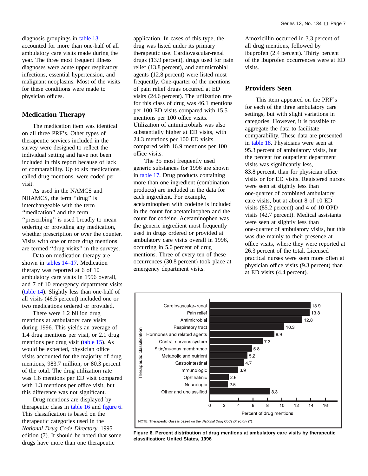<span id="page-12-0"></span>diagnosis groupings in table 13 accounted for more [than](#page-27-0) [one-half](#page-27-0) [o](#page-27-0)f all ambulatory care visits made during the year. The three most frequent illness diagnoses were acute upper respiratory infections, essential hypertension, and malignant neoplasms. Most of the visits for these conditions were made to physician offices.

#### **Medication Therapy**

The medication item was identical on all three PRF's. Other types of therapeutic services included in the survey were designed to reflect the individual setting and have not been included in this report because of lack of comparability. Up to six medications, called drug mentions, were coded per visit.

As used in the NAMCS and NHAMCS, the term "drug" is interchangeable with the term ''medication'' and the term "prescribing" is used broadly to mean ordering or providing any medication, whether prescription or over the counter. Visits with one or more drug mentions are termed ''drug visits'' in the surveys.

Data on medication therapy are shown in [tables 14–17. M](#page-28-0)edication therapy was reported at 6 of 10 ambulatory care visits in 1996 overall, and 7 of 10 emergency department visits [\(table 14\). Sl](#page-28-0)ightly less than one-half of all visits (46.5 percent) included one or two medications ordered or provided.

There were 1.2 billion drug mentions at ambulatory care visits during 1996. This yields an average of 1.4 drug mentions per visit, or 2.1 drug mentions per drug vis[it \(table 15\). As](#page-28-0) would be expected, physician office visits accounted for the majority of drug mentions, 983.7 million, or 80.3 percent of the total. The drug utilization rate was 1.6 mentions per ED visit compared with 1.3 mentions per office visit, but this difference was not significant.

Drug mentio[ns are display](#page-29-0)ed by therapeutic class in table 16 and figure 6. This classification is based on the therapeutic categories used in the *National Drug Code Directory,* 1995 edition (7). It should be noted that some drugs have more than one therapeutic

application. In cases of this type, the drug was listed under its primary therapeutic use. Cardiovascular-renal drugs (13.9 percent), drugs used for pain relief (13.8 percent), and antimicrobial agents (12.8 percent) were listed most frequently. One-quarter of the mentions of pain relief drugs occurred at ED visits (24.6 percent). The utilization rate for this class of drug was 46.1 mentions per 100 ED visits compared with 15.5 mentions per 100 office visits. Utilization of antimicrobials was also substantially higher at ED visits, with 24.3 mentions per 100 ED visits compared with 16.9 mentions per 100 office visits.

The 35 most frequently used generic substances for 1996 are shown in [table 17. Dr](#page-30-0)ug products containing more than one ingredient (combination products) are included in the data for each ingredient. For example, acetaminophen with codeine is included in the count for acetaminophen and the count for codeine. Acetaminophen was the generic ingredient most frequently used in drugs ordered or provided at ambulatory care visits overall in 1996, occurring in 5.0 percent of drug mentions. Three of every ten of these occurrences (30.8 percent) took place at emergency department visits.

Amoxicillin occurred in 3.3 percent of all drug mentions, followed by ibuprofen (2.4 percent). Thirty percent of the ibuprofen occurrences were at ED visits.

#### **Providers Seen**

This item appeared on the PRF's for each of the three ambulatory care settings, but with slight variations in categories. However, it is possible to aggregate the data to facilitate [comparability.](#page-31-0) These data are presented in table 18. Physicians were seen at 95.3 percent of ambulatory visits, but the percent for outpatient department visits was significantly less, 83.8 percent, than for physician office visits or for ED visits. Registered nurses were seen at slightly less than one-quarter of combined ambulatory care visits, but at about 8 of 10 ED visits (85.2 percent) and 4 of 10 OPD visits (42.7 percent). Medical assistants were seen at slightly less than one-quarter of ambulatory visits, but this was due mainly to their presence at office visits, where they were reported at 26.3 percent of the total. Licensed practical nurses were seen more often at physician office visits (9.3 percent) than at ED visits (4.4 percent).



**Figure 6. Percent distribution of drug mentions at ambulatory care visits by therapeutic classification: United States, 1996**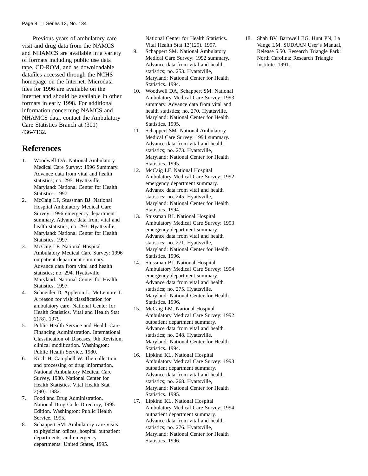<span id="page-13-0"></span>Previous years of ambulatory care visit and drug data from the NAMCS and NHAMCS are available in a variety of formats including public use data tape, CD-ROM, and as downloadable datafiles accessed through the NCHS homepage on the Internet. Microdata files for 1996 are available on the Internet and should be available in other formats in early 1998. For additional information concerning NAMCS and NHAMCS data, contact the Ambulatory Care Statistics Branch at (301) 436-7132.

#### **References**

- 1. Woodwell DA. National Ambulatory Medical Care Survey: 1996 Summary. Advance data from vital and health statistics; no. 295. Hyattsville, Maryland: National Center for Health Statistics. 1997.
- 2. McCaig LF, Stussman BJ. National Hospital Ambulatory Medical Care Survey: 1996 emergency department summary. Advance data from vital and health statistics; no. 293. Hyattsville, Maryland: National Center for Health Statistics. 1997.
- 3. McCaig LF. National Hospital Ambulatory Medical Care Survey: 1996 outpatient department summary. Advance data from vital and health statistics; no. 294. Hyattsville, Maryland: National Center for Health Statistics. 1997.
- 4. Schneider D, Appleton L, McLemore T. A reason for visit classification for ambulatory care. National Center for Health Statistics. Vital and Health Stat 2(78). 1979.
- 5. Public Health Service and Health Care Financing Administration. International Classification of Diseases, 9th Revision, clinical modification. Washington: Public Health Service. 1980.
- 6. Koch H, Campbell W. The collection and processing of drug information. National Ambulatory Medical Care Survey, 1980. National Center for Health Statistics. Vital Health Stat 2(90). 1982.
- 7. Food and Drug Administration. National Drug Code Directory, 1995 Edition. Washington: Public Health Service. 1995.
- 8. Schappert SM. Ambulatory care visits to physician offices, hospital outpatient departments, and emergency departments: United States, 1995.

National Center for Health Statistics. Vital Health Stat 13(129). 1997.

- 9. Schappert SM. National Ambulatory Medical Care Survey: 1992 summary. Advance data from vital and health statistics; no. 253. Hyattsville, Maryland: National Center for Health Statistics. 1994.
- 10. Woodwell DA, Schappert SM. National Ambulatory Medical Care Survey: 1993 summary. Advance data from vital and health statistics; no. 270. Hyattsville, Maryland: National Center for Health Statistics. 1995.
- 11. Schappert SM. National Ambulatory Medical Care Survey: 1994 summary. Advance data from vital and health statistics; no. 273. Hyattsville, Maryland: National Center for Health Statistics. 1995.
- 12. McCaig LF. National Hospital Ambulatory Medical Care Survey: 1992 emergency department summary. Advance data from vital and health statistics; no. 245. Hyattsville, Maryland: National Center for Health Statistics. 1994.
- 13. Stussman BJ. National Hospital Ambulatory Medical Care Survey: 1993 emergency department summary. Advance data from vital and health statistics; no. 271. Hyattsville, Maryland: National Center for Health Statistics. 1996.
- 14. Stussman BJ. National Hospital Ambulatory Medical Care Survey: 1994 emergency department summary. Advance data from vital and health statistics; no. 275. Hyattsville, Maryland: National Center for Health Statistics. 1996.
- 15. McCaig LM. National Hospital Ambulatory Medical Care Survey: 1992 outpatient department summary. Advance data from vital and health statistics; no. 248. Hyattsville, Maryland: National Center for Health Statistics. 1994.
- 16. Lipkind KL. National Hospital Ambulatory Medical Care Survey: 1993 outpatient department summary. Advance data from vital and health statistics; no. 268. Hyattsville, Maryland: National Center for Health Statistics. 1995.
- 17. Lipkind KL. National Hospital Ambulatory Medical Care Survey: 1994 outpatient department summary. Advance data from vital and health statistics; no. 276. Hyattsville, Maryland: National Center for Health Statistics. 1996.

18. Shah BV, Barnwell BG, Hunt PN, La Vange LM. SUDAAN User's Manual, Release 5.50. Research Triangle Park: North Carolina: Research Triangle Institute. 1991.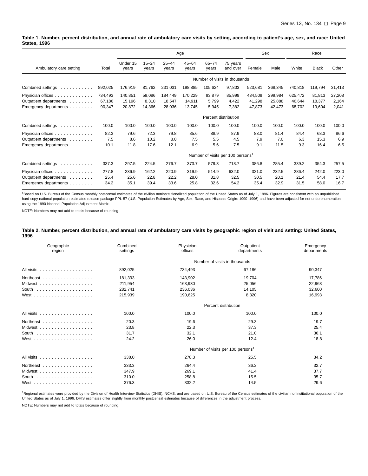<span id="page-14-0"></span>**Table 1. Number, percent distribution, and annual rate of ambulatory care visits by setting, according to patient's age, sex, and race: United States, 1996**

|                                                                                                                                                                                                                                                    |                             |                             |                           |                             | Age                         |                          |                                               |                             | Sex                         |                             | Race                       |                          |
|----------------------------------------------------------------------------------------------------------------------------------------------------------------------------------------------------------------------------------------------------|-----------------------------|-----------------------------|---------------------------|-----------------------------|-----------------------------|--------------------------|-----------------------------------------------|-----------------------------|-----------------------------|-----------------------------|----------------------------|--------------------------|
| Ambulatory care setting                                                                                                                                                                                                                            | Total                       | Under 15<br>years           | $15 - 24$<br>years        | $25 - 44$<br>years          | $45 - 64$<br>years          | $65 - 74$<br>years       | 75 years<br>and over                          | Female                      | Male                        | White                       | <b>Black</b>               | Other                    |
|                                                                                                                                                                                                                                                    |                             |                             |                           |                             |                             |                          | Number of visits in thousands                 |                             |                             |                             |                            |                          |
| Combined settings<br>$\mathcal{A}$ . The set of the set of the set of the $\mathcal{A}$                                                                                                                                                            | 892,025                     | 176,919                     | 81,762                    | 231,031                     | 198,885                     | 105,624                  | 97,803                                        | 523,681                     | 368,345                     | 740,818                     | 119,794                    | 31,413                   |
| Physician offices<br>Outpatient departments<br>Emergency departments                                                                                                                                                                               | 734,493<br>67,186<br>90,347 | 140,851<br>15,196<br>20,872 | 59,086<br>8,310<br>14,366 | 184,449<br>18,547<br>28,036 | 170,229<br>14,911<br>13,745 | 93,879<br>5,799<br>5,945 | 85,999<br>4,422<br>7,382                      | 434,509<br>41,298<br>47,873 | 299,984<br>25,888<br>42,473 | 625,472<br>46,644<br>68,702 | 81,813<br>18,377<br>19,604 | 27,208<br>2,164<br>2,041 |
|                                                                                                                                                                                                                                                    |                             |                             |                           |                             |                             | Percent distribution     |                                               |                             |                             |                             |                            |                          |
| Combined settings<br>a construction of the construction of the construction of the construction of the construction of the construction of the construction of the construction of the construction of the construction of the construction of the | 100.0                       | 100.0                       | 100.0                     | 100.0                       | 100.0                       | 100.0                    | 100.0                                         | 100.0                       | 100.0                       | 100.0                       | 100.0                      | 100.0                    |
| Physician offices<br>Outpatient departments<br>Emergency departments                                                                                                                                                                               | 82.3<br>7.5<br>10.1         | 79.6<br>8.6<br>11.8         | 72.3<br>10.2<br>17.6      | 79.8<br>8.0<br>12.1         | 85.6<br>7.5<br>6.9          | 88.9<br>5.5<br>5.6       | 87.9<br>4.5<br>7.5                            | 83.0<br>7.9<br>9.1          | 81.4<br>7.0<br>11.5         | 84.4<br>6.3<br>9.3          | 68.3<br>15.3<br>16.4       | 86.6<br>6.9<br>6.5       |
|                                                                                                                                                                                                                                                    |                             |                             |                           |                             |                             |                          | Number of visits per 100 persons <sup>1</sup> |                             |                             |                             |                            |                          |
| Combined settings<br>.                                                                                                                                                                                                                             | 337.3                       | 297.5                       | 224.5                     | 276.7                       | 373.7                       | 579.3                    | 718.7                                         | 386.8                       | 285.4                       | 339.2                       | 354.3                      | 257.5                    |
| Physician offices<br>Outpatient departments<br>Emergency departments                                                                                                                                                                               | 277.8<br>25.4<br>34.2       | 236.9<br>25.6<br>35.1       | 162.2<br>22.8<br>39.4     | 220.9<br>22.2<br>33.6       | 319.9<br>28.0<br>25.8       | 514.9<br>31.8<br>32.6    | 632.0<br>32.5<br>54.2                         | 321.0<br>30.5<br>35.4       | 232.5<br>20.1<br>32.9       | 286.4<br>21.4<br>31.5       | 242.0<br>54.4<br>58.0      | 223.0<br>17.7<br>16.7    |

<sup>1</sup>Based on U.S. Bureau of the Census monthly postcensal estimates of the civilian noninstitutionalized population of the United States as of July 1, 1996. Figures are consistent with an unpublished<br>hard-copy national popu using the 1990 National Population Adjustment Matrix.

NOTE: Numbers may not add to totals because of rounding.

#### **Table 2. Number, percent distribution, and annual rate of ambulatory care visits by geographic region of visit and setting: United States, 1996**

| Geographic<br>region                                                                                          | Combined<br>settings | Physician<br>offices | Outpatient<br>departments                     | Emergency<br>departments |
|---------------------------------------------------------------------------------------------------------------|----------------------|----------------------|-----------------------------------------------|--------------------------|
|                                                                                                               |                      |                      | Number of visits in thousands                 |                          |
| All visits                                                                                                    | 892,025              | 734,493              | 67,186                                        | 90,347                   |
| Northeast                                                                                                     | 181,393              | 143.902              | 19,704                                        | 17.786                   |
| Midwest                                                                                                       | 211,954              | 163,930              | 25,056                                        | 22,968                   |
| South $\ldots \ldots \ldots \ldots \ldots$                                                                    | 282,741              | 236,036              | 14,105                                        | 32,600                   |
|                                                                                                               | 215,939              | 190,625              | 8,320                                         | 16,993                   |
|                                                                                                               |                      |                      | Percent distribution                          |                          |
| All visits                                                                                                    | 100.0                | 100.0                | 100.0                                         | 100.0                    |
| Northeast                                                                                                     | 20.3                 | 19.6                 | 29.3                                          | 19.7                     |
| Midwest                                                                                                       | 23.8                 | 22.3                 | 37.3                                          | 25.4                     |
| South $\ldots \ldots \ldots \ldots \ldots$                                                                    | 31.7                 | 32.1                 | 21.0                                          | 36.1                     |
|                                                                                                               | 24.2                 | 26.0                 | 12.4                                          | 18.8                     |
|                                                                                                               |                      |                      | Number of visits per 100 persons <sup>1</sup> |                          |
| All visits and and and and and an analysis and all the set of the set of the set of the set of the set of the | 338.0                | 278.3                | 25.5                                          | 34.2                     |
| Northeast                                                                                                     | 333.3                | 264.4                | 36.2                                          | 32.7                     |
| Midwest                                                                                                       | 347.9                | 269.1                | 41.4                                          | 37.7                     |
| South $\ldots \ldots \ldots \ldots \ldots$                                                                    | 310.0                | 258.8                | 15.5                                          | 35.7                     |
|                                                                                                               | 376.3                | 332.2                | 14.5                                          | 29.6                     |

<sup>1</sup>Regional estimates were provided by the Division of Health Interview Statistics (DHIS), NCHS, and are based on U.S. Bureau of the Census estimates of the civilian noninstitutional population of the United States as of July 1, 1996. DHIS estimates differ slightly from monthly postcensal estimates because of differences in the adjustment process.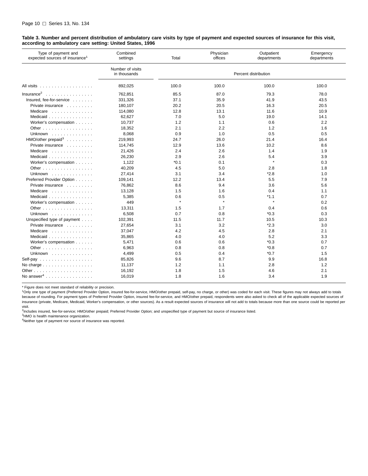#### <span id="page-15-0"></span>**Table 3. Number and percent distribution of ambulatory care visits by type of payment and expected sources of insurance for this visit, according to ambulatory care setting: United States, 1996**

| Type of payment and<br>expected sources of insurance <sup>1</sup> | Combined<br>settings             | Total   | Physician<br>offices | Outpatient<br>departments | Emergency<br>departments |
|-------------------------------------------------------------------|----------------------------------|---------|----------------------|---------------------------|--------------------------|
|                                                                   | Number of visits<br>in thousands |         |                      | Percent distribution      |                          |
| All visits ..................                                     | 892,025                          | 100.0   | 100.0                | 100.0                     | 100.0                    |
| $Insurance2$                                                      | 762,851                          | 85.5    | 87.0                 | 79.3                      | 78.0                     |
| Insured, fee-for-service                                          | 331,326                          | 37.1    | 35.9                 | 41.9                      | 43.5                     |
| Private insurance                                                 | 180,107                          | 20.2    | 20.5                 | 16.3                      | 20.5                     |
| Medicare                                                          | 114,080                          | 12.8    | 13.1                 | 11.6                      | 10.9                     |
| Medicaid                                                          | 62,627                           | 7.0     | 5.0                  | 19.0                      | 14.1                     |
| Worker's compensation                                             | 10,737                           | 1.2     | 1.1                  | 0.6                       | 2.2                      |
| Other $\dots$ , $\dots$ , $\dots$ , $\dots$ , $\dots$ , $\dots$   | 18,352                           | 2.1     | 2.2                  | 1.2                       | 1.6                      |
| Unknown                                                           | 8,068                            | 0.9     | 1.0                  | 0.5                       | 0.5                      |
| $HMO/other$ prepaid <sup>3</sup>                                  | 219,993                          | 24.7    | 26.0                 | 21.4                      | 16.4                     |
| Private insurance                                                 | 114,745                          | 12.9    | 13.6                 | 10.2                      | 8.6                      |
| Medicare                                                          | 21,426                           | 2.4     | 2.6                  | 1.4                       | 1.9                      |
| Medicaid                                                          | 26,230                           | 2.9     | 2.6                  | 5.4                       | 3.9                      |
| Worker's compensation                                             | 1,122                            | *0.1    | 0.1                  | $\star$                   | 0.3                      |
| Other $\ldots$ $\ldots$ $\ldots$ $\ldots$ $\ldots$                | 40,209                           | 4.5     | 5.0                  | 2.8                       | 1.8                      |
| Unknown                                                           | 27,414                           | 3.1     | 3.4                  | $*2.8$                    | 1.0                      |
| Preferred Provider Option                                         | 109,141                          | 12.2    | 13.4                 | 5.5                       | 7.9                      |
| Private insurance                                                 | 76,862                           | 8.6     | 9.4                  | 3.6                       | 5.6                      |
| Medicare<br>.                                                     | 13,128                           | 1.5     | 1.6                  | 0.4                       | 1.1                      |
| Medicaid                                                          | 5,385                            | 0.6     | 0.5                  | $*1.1$                    | 0.7                      |
| Worker's compensation                                             | 449                              | $\star$ | $\star$              | $\star$                   | 0.2                      |
| Other                                                             | 13,311                           | 1.5     | 1.7                  | 0.4                       | 0.6                      |
| Unknown                                                           | 6,508                            | 0.7     | 0.8                  | $*0.3$                    | 0.3                      |
| Unspecified type of payment                                       | 102,391                          | 11.5    | 11.7                 | 10.5                      | 10.3                     |
| Private insurance                                                 | 27,654                           | 3.1     | 3.2                  | $*2.3$                    | 3.0                      |
| Medicare                                                          | 37,047                           | 4.2     | 4.5                  | 2.8                       | 2.1                      |
| Medicaid                                                          | 35,865                           | 4.0     | 4.0                  | 5.2                       | 3.3                      |
| Worker's compensation                                             | 5,471                            | 0.6     | 0.6                  | $*0.3$                    | 0.7                      |
| Other $\dots$ , $\dots$ , $\dots$ , $\dots$ , $\dots$ , $\dots$   | 6,963                            | 0.8     | 0.8                  | $*0.8$                    | 0.7                      |
| Unknown $\ldots$ , $\ldots$ , $\ldots$                            | 4,499                            | 0.5     | 0.4                  | $*0.7$                    | 1.5                      |
| Self-pay $\ldots \ldots \ldots \ldots \ldots$                     | 85,826                           | 9.6     | 8.7                  | 9.9                       | 16.8                     |
| No charge $\ldots \ldots \ldots \ldots \ldots$                    | 11,137                           | 1.2     | 1.1                  | 2.8                       | 1.2                      |
|                                                                   | 16,192                           | 1.8     | 1.5                  | 4.6                       | 2.1                      |
| No answer <sup>4</sup>                                            | 16,019                           | 1.8     | 1.6                  | 3.4                       | 1.9                      |

\* Figure does not meet standard of reliability or precision.

<sup>1</sup>Only one type of payment (Preferred Provider Option, insured fee-for-service, HMO/other prepaid, self-pay, no charge, or other) was coded for each visit. These figures may not always add to totals because of rounding. For payment types of Preferred Provider Option, insured fee-for-service, and HMO/other prepaid, respondents were also asked to check all of the applicable expected sources of insurance (private, Medicare, Medicaid, Worker's compensation, or other sources). As a result expected sources of insurance will not add to totals because more than one source could be reported per visit.

2Includes insured, fee-for-service; HMO/other prepaid; Preferred Provider Option; and unspecified type of payment but source of insurance listed.

<sup>3</sup>HMO is health maintenance organization.

4Neither type of payment nor source of insurance was reported.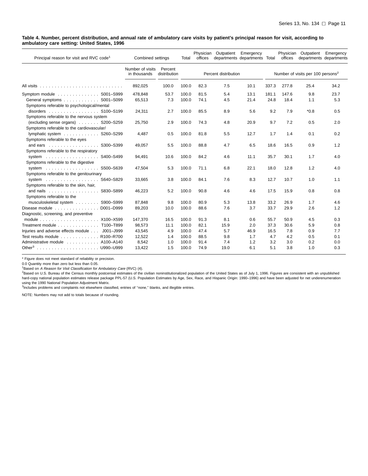#### <span id="page-16-0"></span>**Table 4. Number, percent distribution, and annual rate of ambulatory care visits by patient's principal reason for visit, according to ambulatory care setting: United States, 1996**

| Principal reason for visit and RVC code <sup>1</sup>     | Combined settings                | Total                   | Phvsician<br>offices | Outpatient | Emergency<br>departments departments Total |      | Physician<br>offices | Outpatient<br>departments departments | Emergency                                     |      |
|----------------------------------------------------------|----------------------------------|-------------------------|----------------------|------------|--------------------------------------------|------|----------------------|---------------------------------------|-----------------------------------------------|------|
|                                                          | Number of visits<br>in thousands | Percent<br>distribution |                      |            | Percent distribution                       |      |                      |                                       | Number of visits per 100 persons <sup>2</sup> |      |
|                                                          | 892,025                          | 100.0                   | 100.0                | 82.3       | 7.5                                        | 10.1 | 337.3                | 277.8                                 | 25.4                                          | 34.2 |
| Symptom module S001-S999                                 | 478,848                          | 53.7                    | 100.0                | 81.5       | 5.4                                        | 13.1 | 181.1                | 147.6                                 | 9.8                                           | 23.7 |
| General symptoms S001-S099                               | 65,513                           | 7.3                     | 100.0                | 74.1       | 4.5                                        | 21.4 | 24.8                 | 18.4                                  | 1.1                                           | 5.3  |
| Symptoms referable to psychological/mental               |                                  |                         |                      |            |                                            |      |                      |                                       |                                               |      |
| disorders S100-S199                                      | 24,311                           | 2.7                     | 100.0                | 85.5       | 8.9                                        | 5.6  | 9.2                  | 7.9                                   | $*0.8$                                        | 0.5  |
| Symptoms referable to the nervous system                 |                                  |                         |                      |            |                                            |      |                      |                                       |                                               |      |
| (excluding sense organs) S200-S259                       | 25,750                           | 2.9                     | 100.0                | 74.3       | 4.8                                        | 20.9 | 9.7                  | 7.2                                   | 0.5                                           | 2.0  |
| Symptoms referable to the cardiovascular/                |                                  |                         |                      |            |                                            |      |                      |                                       |                                               |      |
| lymphatic system S260-S299                               | 4.487                            | 0.5                     | 100.0                | 81.8       | 5.5                                        | 12.7 | 1.7                  | 1.4                                   | 0.1                                           | 0.2  |
| Symptoms referable to the eyes                           |                                  |                         |                      |            |                                            |      |                      |                                       |                                               |      |
| and ears S300-S399                                       | 49,057                           | 5.5                     | 100.0                | 88.8       | 4.7                                        | 6.5  | 18.6                 | 16.5                                  | 0.9                                           | 1.2  |
| Symptoms referable to the respiratory                    |                                  |                         |                      |            |                                            |      |                      |                                       |                                               |      |
| S400-S499<br>system $\ldots \ldots \ldots \ldots \ldots$ | 94,491                           | 10.6                    | 100.0                | 84.2       | 4.6                                        | 11.1 | 35.7                 | 30.1                                  | 1.7                                           | 4.0  |
| Symptoms referable to the digestive                      |                                  |                         |                      |            |                                            |      |                      |                                       |                                               |      |
| S500-S639<br>system $\ldots \ldots \ldots \ldots \ldots$ | 47,504                           | 5.3                     | 100.0                | 71.1       | 6.8                                        | 22.1 | 18.0                 | 12.8                                  | 1.2                                           | 4.0  |
| Symptoms referable to the genitourinary                  |                                  |                         |                      |            |                                            |      |                      |                                       |                                               |      |
|                                                          | 33,665                           | 3.8                     | 100.0                | 84.1       | 7.6                                        | 8.3  | 12.7                 | 10.7                                  | 1.0                                           | 1.1  |
| Symptoms referable to the skin, hair,                    |                                  |                         |                      |            |                                            |      |                      |                                       |                                               |      |
| and nails S830-S899                                      | 46,223                           | 5.2                     | 100.0                | 90.8       | 4.6                                        | 4.6  | 17.5                 | 15.9                                  | 0.8                                           | 0.8  |
| Symptoms referable to the                                |                                  |                         |                      |            |                                            |      |                      |                                       |                                               |      |
| musculoskeletal system S900-S999                         | 87,848                           | 9.8                     | 100.0                | 80.9       | 5.3                                        | 13.8 | 33.2                 | 26.9                                  | 1.7                                           | 4.6  |
| Disease module D001-D999                                 | 89,203                           | 10.0                    | 100.0                | 88.6       | 7.6                                        | 3.7  | 33.7                 | 29.9                                  | 2.6                                           | 1.2  |
| Diagnostic, screening, and preventive                    |                                  |                         |                      |            |                                            |      |                      |                                       |                                               |      |
|                                                          | 147,370                          | 16.5                    | 100.0                | 91.3       | 8.1                                        | 0.6  | 55.7                 | 50.9                                  | 4.5                                           | 0.3  |
| Treatment module T100-T899                               | 98,573                           | 11.1                    | 100.0                | 82.1       | 15.9                                       | 2.0  | 37.3                 | 30.6                                  | 5.9                                           | 0.8  |
| Injuries and adverse effects module J001-J999            | 43,545                           | 4.9                     | 100.0                | 47.4       | 5.7                                        | 46.9 | 16.5                 | 7.8                                   | 0.9                                           | 7.7  |
| Test results module R100-R700                            | 12,522                           | 1.4                     | 100.0                | 88.5       | 9.8                                        | 1.7  | 4.7                  | 4.2                                   | 0.5                                           | 0.1  |
| Administrative module A100-A140                          | 8,542                            | 1.0                     | 100.0                | 91.4       | 7.4                                        | 1.2  | 3.2                  | 3.0                                   | 0.2                                           | 0.0  |
|                                                          | 13,422                           | 1.5                     | 100.0                | 74.9       | 19.0                                       | 6.1  | 5.1                  | 3.8                                   | 1.0                                           | 0.3  |

\* Figure does not meet standard of reliability or precision.

0.0 Quantity more than zero but less than 0.05.

<sup>1</sup>Based on *A Reason for Visit Classification for Ambulatory Care* (RVC) (4).<br><sup>2</sup>Based on U.S. Bureau of the Census monthly postcensal estimates of the civilian noninstitutionalized population of the United States as of J hard-copy national population estimates release package PPL-57 (U.S. Population Estimates by Age, Sex, Race, and Hispanic Origin: 1990–1996) and have been adjusted for net underenumeration<br>using the 1990 National Populatio

3Includes problems and complaints not elsewhere classified, entries of "none," blanks, and illegible entries.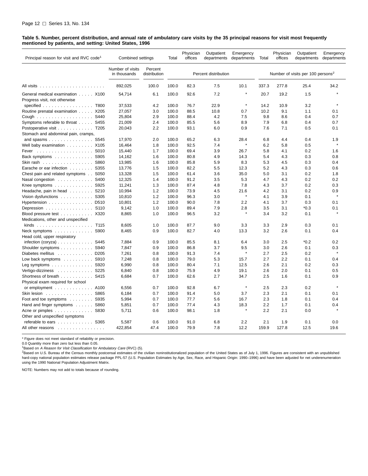#### <span id="page-17-0"></span>**Table 5. Number, percent distribution, and annual rate of ambulatory care visits by the 35 principal reasons for visit most frequently mentioned by patients, and setting: United States, 1996**

| Principal reason for visit and RVC code <sup>1</sup> | Combined settings                |                         | Total | Physician<br>offices | Outpatient<br>departments | Emergency<br>departments | Total | Physician<br>offices | Outpatient<br>departments                     | Emergency<br>departments |
|------------------------------------------------------|----------------------------------|-------------------------|-------|----------------------|---------------------------|--------------------------|-------|----------------------|-----------------------------------------------|--------------------------|
|                                                      | Number of visits<br>in thousands | Percent<br>distribution |       |                      | Percent distribution      |                          |       |                      | Number of visits per 100 persons <sup>2</sup> |                          |
|                                                      | 892,025                          | 100.0                   | 100.0 | 82.3                 | 7.5                       | 10.1                     | 337.3 | 277.8                | 25.4                                          | 34.2                     |
| General medical examination X100                     | 54,714                           | 6.1                     | 100.0 | 92.6                 | 7.2                       |                          | 20.7  | 19.2                 | 1.5                                           |                          |
| Progress visit, not otherwise                        |                                  |                         |       |                      |                           |                          |       |                      |                                               |                          |
| specified $\ldots \ldots \ldots \ldots \ldots$ T800  | 37,533                           | 4.2                     | 100.0 | 76.7                 | 22.9                      | $\pmb{\ast}$             | 14.2  | 10.9                 | 3.2                                           | $\star$                  |
| Routine prenatal examination X205                    | 27,057                           | 3.0                     | 100.0 | 88.5                 | 10.8                      | 0.7                      | 10.2  | 9.1                  | 1.1                                           | 0.1                      |
|                                                      | 25,804                           | 2.9                     | 100.0 | 88.4                 | 4.2                       | 7.5                      | 9.8   | 8.6                  | 0.4                                           | 0.7                      |
| Symptoms referable to throat S455                    | 21,009                           | 2.4                     | 100.0 | 85.5                 | 5.6                       | 8.9                      | 7.9   | 6.8                  | 0.4                                           | 0.7                      |
| Postoperative visit T205                             | 20,043                           | 2.2                     | 100.0 | 93.1                 | 6.0                       | 0.9                      | 7.6   | 7.1                  | 0.5                                           | 0.1                      |
| Stomach and abdominal pain, cramps,                  |                                  |                         |       |                      |                           |                          |       |                      |                                               |                          |
| and spasms S545                                      | 17,970                           | 2.0                     | 100.0 | 65.2                 | 6.3                       | 28.4                     | 6.8   | 4.4                  | 0.4                                           | 1.9                      |
| Well baby examination X105                           | 16,464                           | 1.8                     | 100.0 | 92.5                 | 7.4                       | $\pmb{\ast}$             | 6.2   | 5.8                  | 0.5                                           | $\star$                  |
| Fever                                                | 15,440                           | 1.7                     | 100.0 | 69.4                 | 3.9                       | 26.7                     | 5.8   | 4.1                  | 0.2                                           | 1.6                      |
| Back symptoms S905                                   | 14,162                           | 1.6                     | 100.0 | 80.8                 | 4.9                       | 14.3                     | 5.4   | 4.3                  | 0.3                                           | 0.8                      |
| Skin rash S860                                       | 13,985                           | 1.6                     | 100.0 | 85.8                 | 5.9                       | 8.3                      | 5.3   | 4.5                  | 0.3                                           | 0.4                      |
| Earache or ear infection S355                        | 13,776                           | 1.5                     | 100.0 | 82.2                 | 5.5                       | 12.3                     | 5.2   | 4.3                  | 0.3                                           | 0.6                      |
| Chest pain and related symptoms S050                 | 13,328                           | 1.5                     | 100.0 | 61.4                 | 3.6                       | 35.0                     | 5.0   | 3.1                  | 0.2                                           | 1.8                      |
| Nasal congestion S400                                | 12,325                           | 1.4                     | 100.0 | 91.2                 | 3.5                       | 5.3                      | 4.7   | 4.3                  | 0.2                                           | 0.2                      |
| Knee symptoms S925                                   | 11,241                           | 1.3                     | 100.0 | 87.4                 | 4.8                       | 7.8                      | 4.3   | 3.7                  | 0.2                                           | 0.3                      |
| Headache, pain in head  S210                         | 10,994                           | 1.2                     | 100.0 | 73.9                 | 4.5                       | 21.6                     | 4.2   | 3.1                  | 0.2                                           | 0.9                      |
| Vision dysfunctions S305                             | 10,810                           | 1.2                     | 100.0 | 96.3                 | 3.0                       | $\star$                  | 4.1   | 3.9                  | 0.1                                           | $\star$                  |
| Hypertension D510                                    | 10,801                           | 1.2                     | 100.0 | 90.0                 | 7.8                       | 2.2                      | 4.1   | 3.7                  | 0.3                                           | 0.1                      |
| Depression S110                                      | 9,142                            | 1.0                     | 100.0 | 89.4                 | 7.9                       | 2.8                      | 3.5   | 3.1                  | $*0.3$                                        | 0.1                      |
| Blood pressure test X320                             | 8,865                            | 1.0                     | 100.0 | 96.5                 | 3.2                       |                          | 3.4   | 3.2                  | 0.1                                           |                          |
| Medications, other and unspecified                   |                                  |                         |       |                      |                           |                          |       |                      |                                               |                          |
|                                                      | 8,605                            | 1.0                     | 100.0 | 87.7                 | 9.0                       | 3.3                      | 3.3   | 2.9                  | 0.3                                           | 0.1                      |
| Neck symptoms S900                                   | 8,465                            | 0.9                     | 100.0 | 82.7                 | 4.0                       | 13.3                     | 3.2   | 2.6                  | 0.1                                           | 0.4                      |
| Head cold, upper respiratory                         |                                  |                         |       |                      |                           |                          |       |                      |                                               |                          |
| infection $(coryza)$ S445                            | 7,884                            | 0.9                     | 100.0 | 85.5                 | 8.1                       | 6.4                      | 3.0   | 2.5                  | *0.2                                          | 0.2                      |
| Shoulder symptoms S940                               | 7,847                            | 0.9                     | 100.0 | 86.8                 | 3.7                       | 9.5                      | 3.0   | 2.6                  | 0.1                                           | 0.3                      |
| Diabetes mellitus D205                               | 7,261                            | 0.8                     | 100.0 | 91.3                 | 7.4                       |                          | 2.7   | 2.5                  | 0.2                                           | $\star$                  |
| Low back symptoms $\ldots$ 9910                      | 7,248                            | 0.8                     | 100.0 | 79.0                 | 5.3                       | 15.7                     | 2.7   | 2.2                  | 0.1                                           | 0.4                      |
| Leg symptoms $\ldots \ldots \ldots \ldots$ S920      | 6,990                            | 0.8                     | 100.0 | 80.4                 | 7.1                       | 12.5                     | 2.6   | 2.1                  | 0.2                                           | 0.3                      |
| Vertigo-dizziness S225                               | 6,840                            | 0.8                     | 100.0 | 75.9                 | 4.9                       | 19.1                     | 2.6   | 2.0                  | 0.1                                           | 0.5                      |
|                                                      | 6,684                            | 0.7                     | 100.0 | 62.6                 | 2.7                       | 34.7                     | 2.5   | 1.6                  | 0.1                                           | 0.9                      |
| Physical exam required for school                    |                                  |                         |       |                      |                           |                          |       |                      |                                               |                          |
| or employment $\ldots \ldots \ldots$ . A100          | 6,556                            | 0.7                     | 100.0 | 92.8                 | 6.7                       | $\pmb{\ast}$             | 2.5   | 2.3                  | 0.2                                           | $\star$                  |
| Skin lesion 8865                                     | 6,184                            | 0.7                     | 100.0 | 91.4                 | 5.0                       | 3.7                      | 2.3   | 2.1                  | 0.1                                           | 0.1                      |
| Foot and toe symptoms S935                           | 5,994                            | 0.7                     | 100.0 | 77.7                 | 5.6                       | 16.7                     | 2.3   | 1.8                  | 0.1                                           | 0.4                      |
| Hand and finger symptoms S860                        | 5,851                            | 0.7                     | 100.0 | 77.4                 | 4.3                       | 18.3                     | 2.2   | 1.7                  | 0.1                                           | 0.4                      |
| Acne or pimples S830                                 | 5,711                            | 0.6                     | 100.0 | 98.1                 | 1.8                       | $\star$                  | 2.2   | 2.1                  | 0.0                                           |                          |
| Other and unspecified symptoms                       |                                  |                         |       |                      |                           |                          |       |                      |                                               |                          |
| referable to ears S365                               | 5,587                            | 0.6                     | 100.0 | 91.0                 | 6.8                       | 2.2                      | 2.1   | 1.9                  | 0.1                                           | 0.0                      |
| All other reasons                                    | 422,854                          | 47.4                    | 100.0 | 79.9                 | 7.8                       | 12.2                     | 159.9 | 127.8                | 12.5                                          | 19.6                     |
|                                                      |                                  |                         |       |                      |                           |                          |       |                      |                                               |                          |

\* Figure does not meet standard of reliability or precision.

0.0 Quantity more than zero but less than 0.05.<br><sup>1</sup>Based on *A Reason for Visit Classification for Ambulatory Care* (RVC) (5).

<sup>2</sup>Based on U.S. Bureau of the Census monthly postcensal estimates of the civilian noninstitutionalized population of the United States as of July 1, 1996. Figures are consistent with an unpublished hard-copy national population estimates release package PPL-57 (U.S. Population Estimates by Age, Sex, Race, and Hispanic Origin: 1990–1996) and have been adjusted for net underenumeration<br>using the 1990 National Populatio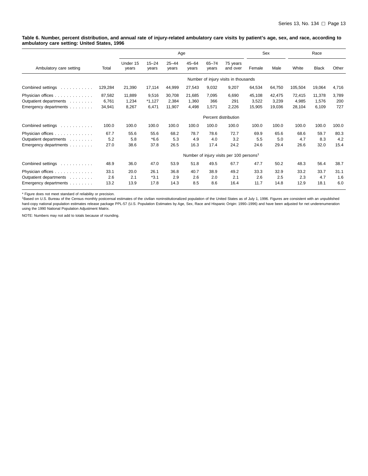#### <span id="page-18-0"></span>**Table 6. Number, percent distribution, and annual rate of injury-related ambulatory care visits by patient's age, sex, and race, according to ambulatory care setting: United States, 1996**

|                                                                      |                           |                          |                            | Age                       |                          |                       |                                                      |                           | Sex                       |                           | Race                     |                     |
|----------------------------------------------------------------------|---------------------------|--------------------------|----------------------------|---------------------------|--------------------------|-----------------------|------------------------------------------------------|---------------------------|---------------------------|---------------------------|--------------------------|---------------------|
| Ambulatory care setting                                              | Total                     | Under 15<br>years        | $15 - 24$<br>years         | $25 - 44$<br>years        | $45 - 64$<br>years       | $65 - 74$<br>years    | 75 years<br>and over                                 | Female                    | Male                      | White                     | <b>Black</b>             | Other               |
|                                                                      |                           |                          |                            |                           |                          |                       | Number of injury visits in thousands                 |                           |                           |                           |                          |                     |
| Combined settings<br>a concert contracto                             | 129,284                   | 21,390                   | 17,114                     | 44,999                    | 27,543                   | 9,032                 | 9,207                                                | 64,534                    | 64,750                    | 105,504                   | 19,064                   | 4,716               |
| Physician offices<br>Outpatient departments<br>Emergency departments | 87,582<br>6,761<br>34,941 | 11,889<br>1,234<br>8,267 | 9,516<br>$*1,127$<br>6,471 | 30,708<br>2,384<br>11,907 | 21,685<br>1,360<br>4,498 | 7,095<br>366<br>1,571 | 6,690<br>291<br>2,226                                | 45,108<br>3,522<br>15,905 | 42,475<br>3,239<br>19,036 | 72,415<br>4,985<br>28,104 | 11,378<br>1.576<br>6,109 | 3,789<br>200<br>727 |
|                                                                      |                           |                          |                            |                           |                          |                       | Percent distribution                                 |                           |                           |                           |                          |                     |
| Combined settings<br>and a straightful and                           | 100.0                     | 100.0                    | 100.0                      | 100.0                     | 100.0                    | 100.0                 | 100.0                                                | 100.0                     | 100.0                     | 100.0                     | 100.0                    | 100.0               |
| Physician offices<br>Outpatient departments<br>Emergency departments | 67.7<br>5.2<br>27.0       | 55.6<br>5.8<br>38.6      | 55.6<br>$*6.6$<br>37.8     | 68.2<br>5.3<br>26.5       | 78.7<br>4.9<br>16.3      | 78.6<br>4.0<br>17.4   | 72.7<br>3.2<br>24.2                                  | 69.9<br>5.5<br>24.6       | 65.6<br>5.0<br>29.4       | 68.6<br>4.7<br>26.6       | 59.7<br>8.3<br>32.0      | 80.3<br>4.2<br>15.4 |
|                                                                      |                           |                          |                            |                           |                          |                       | Number of injury visits per 100 persons <sup>1</sup> |                           |                           |                           |                          |                     |
| Combined settings<br>and a straightful and                           | 48.9                      | 36.0                     | 47.0                       | 53.9                      | 51.8                     | 49.5                  | 67.7                                                 | 47.7                      | 50.2                      | 48.3                      | 56.4                     | 38.7                |
| Physician offices<br>Outpatient departments<br>Emergency departments | 33.1<br>2.6<br>13.2       | 20.0<br>2.1<br>13.9      | 26.1<br>$*3.1$<br>17.8     | 36.8<br>2.9<br>14.3       | 40.7<br>2.6<br>8.5       | 38.9<br>2.0<br>8.6    | 49.2<br>2.1<br>16.4                                  | 33.3<br>2.6<br>11.7       | 32.9<br>2.5<br>14.8       | 33.2<br>2.3<br>12.9       | 33.7<br>4.7<br>18.1      | 31.1<br>1.6<br>6.0  |

\* Figure does not meet standard of reliability or precision.<br><sup>1</sup>Based on U.S. Bureau of the Census monthly postcensal estimates of the civilian noninstitutionalized population of the United States as of July 1, 1996. Figur hard-copy national population estimates release package PPL-57 (U.S. Population Estimates by Age, Sex, Race and Hispanic Origin: 1990–1996) and have been adjusted for net underenumeration<br>using the 1990 National Population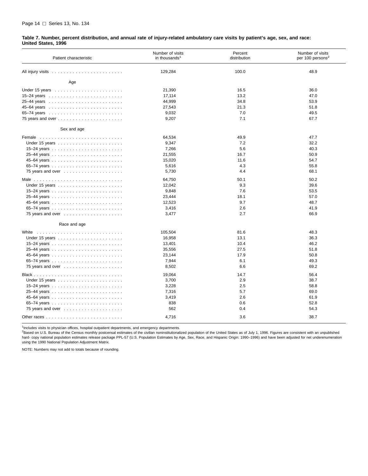#### <span id="page-19-0"></span>**Table 7. Number, percent distribution, and annual rate of injury-related ambulatory care visits by patient's age, sex, and race: United States, 1996**

| Patient characteristic                                        | Number of visits<br>in thousands <sup>1</sup> | Percent<br>distribution | Number of visits<br>per 100 persons <sup>2</sup> |
|---------------------------------------------------------------|-----------------------------------------------|-------------------------|--------------------------------------------------|
|                                                               | 129,284                                       | 100.0                   | 48.9                                             |
| Age                                                           |                                               |                         |                                                  |
|                                                               | 21,390                                        | 16.5                    | 36.0                                             |
|                                                               | 17,114                                        | 13.2                    | 47.0                                             |
|                                                               | 44,999                                        | 34.8                    | 53.9                                             |
|                                                               | 27,543                                        | 21.3                    | 51.8                                             |
|                                                               | 9,032                                         | 7.0                     | 49.5                                             |
| 75 years and over $\ldots \ldots \ldots \ldots \ldots \ldots$ | 9,207                                         | 7.1                     | 67.7                                             |
| Sex and age                                                   |                                               |                         |                                                  |
|                                                               | 64,534                                        | 49.9                    | 47.7                                             |
|                                                               | 9,347                                         | 7.2                     | 32.2                                             |
|                                                               | 7,266                                         | 5.6                     | 40.3                                             |
|                                                               | 21,555                                        | 16.7                    | 50.9                                             |
|                                                               | 15,020                                        | 11.6                    | 54.7                                             |
|                                                               | 5,616                                         | 4.3                     | 55.8                                             |
|                                                               | 5,730                                         | 4.4                     | 68.1                                             |
|                                                               | 64,750                                        | 50.1                    | 50.2                                             |
|                                                               | 12,042                                        | 9.3                     | 39.6                                             |
|                                                               | 9,848                                         | 7.6                     | 53.5                                             |
|                                                               | 23,444                                        | 18.1                    | 57.0                                             |
|                                                               | 12,523                                        | 9.7                     | 48.7                                             |
|                                                               | 3,416                                         | 2.6                     | 41.9                                             |
|                                                               | 3,477                                         | 2.7                     | 66.9                                             |
| Race and age                                                  |                                               |                         |                                                  |
| White                                                         | 105,504                                       | 81.6                    | 48.3                                             |
|                                                               | 16,958                                        | 13.1                    | 36.3                                             |
|                                                               | 13,401                                        | 10.4                    | 46.2                                             |
|                                                               | 35,556                                        | 27.5                    | 51.8                                             |
|                                                               | 23,144                                        | 17.9                    | 50.8                                             |
|                                                               | 7,944                                         | 6.1                     | 49.3                                             |
|                                                               | 8,502                                         | 6.6                     | 69.2                                             |
|                                                               | 19,064                                        | 14.7                    | 56.4                                             |
|                                                               | 3,700                                         | 2.9                     | 38.7                                             |
|                                                               | 3,228                                         | 2.5                     | 58.8                                             |
|                                                               | 7,316                                         | 5.7                     | 69.0                                             |
|                                                               | 3,419                                         | 2.6                     | 61.9                                             |
|                                                               | 838                                           | 0.6                     | 52.8                                             |
|                                                               | 562                                           | 0.4                     | 54.3                                             |
|                                                               | 4,716                                         | 3.6                     | 38.7                                             |

<sup>1</sup>Includes visits to physician offices, hospital outpatient departments, and emergency departments.

<sup>2</sup>Based on U.S. Bureau of the Census monthly postcensal estimates of the civilian noninstitutionalized population of the United States as of July 1, 1996. Figures are consistent with an unpublished hard- copy national population estimates release package PPL-57 (U.S. Population Estimates by Age, Sex, Race, and Hispanic Origin: 1990–1996) and have been adjusted for net underenumeration<br>using the 1990 National Populati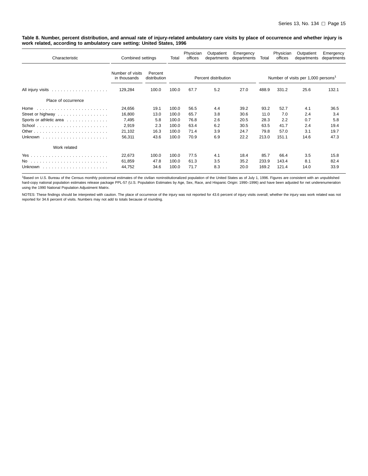<span id="page-20-0"></span>**Table 8. Number, percent distribution, and annual rate of injury-related ambulatory care visits by place of occurrence and whether injury is work related, according to ambulatory care setting: United States, 1996**

| Characteristic                                         | Combined settings                | Total                   | Physician<br>offices | Outpatient<br>departments | Emergency<br>departments | Total | Physician<br>offices | Outpatient<br>departments | Emergency<br>departments                        |       |
|--------------------------------------------------------|----------------------------------|-------------------------|----------------------|---------------------------|--------------------------|-------|----------------------|---------------------------|-------------------------------------------------|-------|
|                                                        | Number of visits<br>in thousands | Percent<br>distribution |                      |                           | Percent distribution     |       |                      |                           | Number of visits per 1,000 persons <sup>1</sup> |       |
| All injury visits $\ldots \ldots \ldots \ldots \ldots$ | 129,284                          | 100.0                   | 100.0                | 67.7                      | 5.2                      | 27.0  | 488.9                | 331.2                     | 25.6                                            | 132.1 |
| Place of occurrence                                    |                                  |                         |                      |                           |                          |       |                      |                           |                                                 |       |
| Home                                                   | 24,656                           | 19.1                    | 100.0                | 56.5                      | 4.4                      | 39.2  | 93.2                 | 52.7                      | 4.1                                             | 36.5  |
| Street or highway                                      | 16,800                           | 13.0                    | 100.0                | 65.7                      | 3.8                      | 30.6  | 11.0                 | 7.0                       | 2.4                                             | 3.4   |
| Sports or athletic area                                | 7,495                            | 5.8                     | 100.0                | 76.8                      | 2.6                      | 20.5  | 28.3                 | 2.2                       | 0.7                                             | 5.8   |
|                                                        | 2,919                            | 2.3                     | 100.0                | 63.4                      | 6.2                      | 30.5  | 63.5                 | 41.7                      | 2.4                                             | 19.4  |
|                                                        | 21,102                           | 16.3                    | 100.0                | 71.4                      | 3.9                      | 24.7  | 79.8                 | 57.0                      | 3.1                                             | 19.7  |
|                                                        | 56,311                           | 43.6                    | 100.0                | 70.9                      | 6.9                      | 22.2  | 213.0                | 151.1                     | 14.6                                            | 47.3  |
| Work related                                           |                                  |                         |                      |                           |                          |       |                      |                           |                                                 |       |
|                                                        | 22,673                           | 100.0                   | 100.0                | 77.5                      | 4.1                      | 18.4  | 85.7                 | 66.4                      | 3.5                                             | 15.8  |
|                                                        | 61,859                           | 47.8                    | 100.0                | 61.3                      | 3.5                      | 35.2  | 233.9                | 143.4                     | 8.1                                             | 82.4  |
| Unknown                                                | 44,752                           | 34.6                    | 100.0                | 71.7                      | 8.3                      | 20.0  | 169.2                | 121.4                     | 14.0                                            | 33.9  |

1Based on U.S. Bureau of the Census monthly postcensal estimates of the civilian noninstitutionalized population of the United States as of July 1, 1996. Figures are consistent with an unpublished hard-copy national population estimates release package PPL-57 (U.S. Population Estimates by Age, Sex, Race, and Hispanic Origin: 1990–1996) and have been adjusted for net underenumeration using the 1990 National Population Adjustment Matrix.

NOTES: These findings should be interpreted with caution. The place of occurrence of the injury was not reported for 43.6 percent of injury visits overall; whether the injury was work related was not reported for 34.6 percent of visits. Numbers may not add to totals because of rounding.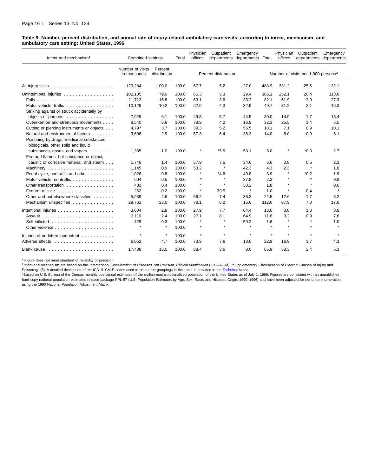#### <span id="page-21-0"></span>**Table 9. Number, percent distribution, and annual rate of injury-related ambulatory care visits, according to intent, mechanism, and ambulatory care setting: United States, 1996**

| Intent and mechanism <sup>1</sup>                                                                                     | Combined settings                |                         | Total | Physician<br>offices | Outpatient           | Emergency<br>departments departments Total |         | Physician<br>offices | Outpatient                                      | Emergency<br>departments departments |
|-----------------------------------------------------------------------------------------------------------------------|----------------------------------|-------------------------|-------|----------------------|----------------------|--------------------------------------------|---------|----------------------|-------------------------------------------------|--------------------------------------|
|                                                                                                                       | Number of visits<br>in thousands | Percent<br>distribution |       |                      | Percent distribution |                                            |         |                      | Number of visits per 1,000 persons <sup>2</sup> |                                      |
|                                                                                                                       | 129,284                          | 100.0                   | 100.0 | 67.7                 | 5.2                  | 27.0                                       | 488.9   | 331.2                | 25.6                                            | 132.1                                |
| Unintentional injuries                                                                                                | 102,105                          | 79.0                    | 100.0 | 65.3                 | 5.3                  | 29.4                                       | 386.1   | 252.1                | 20.4                                            | 113.6                                |
|                                                                                                                       | 21,712                           | 16.8                    | 100.0 | 63.1                 | 3.6                  | 33.2                                       | 82.1    | 51.9                 | 3.0                                             | 27.3                                 |
| Motor vehicle, traffic<br>Striking against or struck accidentally by                                                  | 13,129                           | 10.2                    | 100.0 | 62.9                 | 4.3                  | 32.9                                       | 49.7    | 31.2                 | 2.1                                             | 16.3                                 |
| objects or persons                                                                                                    | 7,929                            | 6.1                     | 100.0 | 49.8                 | 5.7                  | 44.5                                       | 30.0    | 14.9                 | 1.7                                             | 13.4                                 |
| Overexertion and strenuous movements                                                                                  | 8,540                            | 6.6                     | 100.0 | 78.9                 | 4.2                  | 16.9                                       | 32.3    | 25.5                 | 1.4                                             | 5.5                                  |
| Cutting or piercing instruments or objects                                                                            | 4,797                            | 3.7                     | 100.0 | 39.3                 | 5.2                  | 55.5                                       | 18.1    | 7.1                  | 0.9                                             | 10.1                                 |
| Natural and environmental factors<br>Poisoning by drugs, medicinal substances,<br>biologicals, other solid and liquid | 3,698                            | 2.9                     | 100.0 | 57.3                 | 6.4                  | 36.3                                       | 14.0    | 8.0                  | 0.9                                             | 5.1                                  |
| substances, gases, and vapors<br>Fire and flames, hot substance or object,                                            | 1,335                            | 1.0                     | 100.0 | $\star$              | $*5.5$               | 53.1                                       | 5.0     | $\star$              | $*0.3$                                          | 2.7                                  |
| caustic or corrosive material, and steam                                                                              | 1,746                            | 1.4                     | 100.0 | 57.9                 | 7.5                  | 34.6                                       | 6.6     | 3.8                  | 0.5                                             | 2.3                                  |
|                                                                                                                       | 1,145                            | 0.9                     | 100.0 | 53.2                 | $\pmb{\ast}$         | 42.3                                       | 4.3     | 2.3                  | $\star$                                         | 1.8                                  |
| Pedal cycle, nontraffic and other                                                                                     | 1,026                            | 0.8                     | 100.0 |                      | $*4.6$               | 49.8                                       | 3.9     | $\star$              | $*0.2$                                          | 1.9                                  |
| Motor vehicle, nontraffic                                                                                             | 604                              | 0.5                     | 100.0 |                      | $\star$              | 37.8                                       | 2.3     |                      | $\star$                                         | 0.9                                  |
| Other transportation                                                                                                  | 482                              | 0.4                     | 100.0 | $\star$              | $\pmb{\ast}$         | 30.2                                       | 1.8     | $\star$              | $\star$                                         | 0.6                                  |
|                                                                                                                       | 262                              | 0.2                     | 100.0 | $\star$              | 39.5                 | $\star$                                    | 1.0     | $\star$              | 0.4                                             | ٠                                    |
| Other and not elsewhere classified                                                                                    | 5,939                            | 4.6                     | 100.0 | 56.2                 | 7.4                  | 36.3                                       | 22.5    | 12.6                 | 1.7                                             | 8.2                                  |
| Mechanism unspecified                                                                                                 | 29,761                           | 23.0                    | 100.0 | 78.1                 | 6.2                  | 15.6                                       | 112.6   | 87.9                 | 7.0                                             | 17.6                                 |
|                                                                                                                       | 3.604                            | 2.8                     | 100.0 | 27.9                 | 7.7                  | 64.4                                       | 13.6    | 3.8                  | 1.0                                             | 8.8                                  |
|                                                                                                                       | 3,110                            | 2.4                     | 100.0 | 27.1                 | 8.1                  | 64.9                                       | 11.8    | 3.2                  | 0.9                                             | 7.6                                  |
|                                                                                                                       | 428                              | 0.3                     | 100.0 |                      | $\star$              | 59.2                                       | 1.6     |                      | $\star$                                         | 1.0                                  |
|                                                                                                                       |                                  | $\star$                 | 100.0 |                      | $\star$              | $\bullet$                                  | $\star$ | $\star$              | $\star$                                         |                                      |
| Injuries of undetermined intent                                                                                       | $\star$                          | $\pmb{\ast}$            | 100.0 | $\star$              | $\star$              | $\star$                                    | $\star$ | $\star$              | $\star$                                         |                                      |
|                                                                                                                       | 6,052                            | 4.7                     | 100.0 | 73.9                 | 7.6                  | 18.6                                       | 22.9    | 16.9                 | 1.7                                             | 4.3                                  |
| Blank cause $\ldots \ldots \ldots \ldots \ldots$                                                                      | 17,438                           | 13.5                    | 100.0 | 88.4                 | 3.6                  | 8.0                                        | 65.9    | 58.3                 | 2.4                                             | 5.3                                  |

\* Figure does not meet standard of reliability or precision.

1Intent and mechanism are based on the International Classification of Diseases, 9th Revision, Clinical Modification (ICD-9-CM), "Supplementary Classification of External Causes of Injury and Poisoning" (5). A detailed description of the ICD-9-CM E-codes used to create the groupings in this table is provided in the Technical Notes.

<sup>2</sup>Based on U.S. Bureau of the Census monthly postcensal estimates of the civilian noninstitutionalized population of the [United States as of July 1,](#page-32-0) 1996. Figures are consistent with an unpublished hard-copy national population estimates release package PPL-57 (U.S. Population Estimates by Age, Sex, Race, and Hispanic Origin: 1990–1996) and have been adjusted for net underenumeration using the 1990 National Population Adjustment Matrix.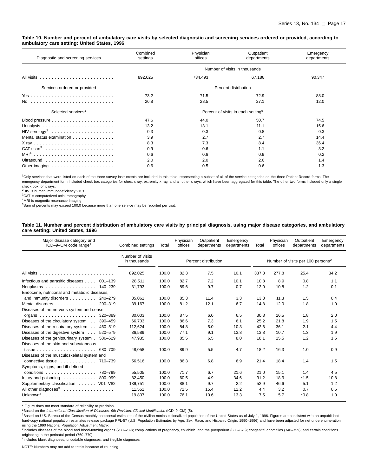#### <span id="page-22-0"></span>**Table 10. Number and percent of ambulatory care visits by selected diagnostic and screening services ordered or provided, according to ambulatory care setting: United States, 1996**

| Diagnostic and screening services                   | Combined<br>settings | Physician<br>offices | Outpatient<br>departments                      | Emergency<br>departments |
|-----------------------------------------------------|----------------------|----------------------|------------------------------------------------|--------------------------|
|                                                     |                      |                      | Number of visits in thousands                  |                          |
|                                                     | 892,025              | 734,493              | 67,186                                         | 90,347                   |
| Services ordered or provided                        |                      |                      | Percent distribution                           |                          |
|                                                     | 73.2                 | 71.5                 | 72.9                                           | 88.0                     |
|                                                     | 26.8                 | 28.5                 | 27.1                                           | 12.0                     |
| Selected services <sup>1</sup>                      |                      |                      | Percent of visits in each setting <sup>5</sup> |                          |
|                                                     | 47.6                 | 44.0                 | 50.7                                           | 74.5                     |
|                                                     | 13.2                 | 13.1                 | 11.1                                           | 15.6                     |
|                                                     | 0.3                  | 0.3                  | 0.8                                            | 0.3                      |
| Mental status examination                           | 3.9                  | 2.7                  | 2.7                                            | 14.4                     |
|                                                     | 8.3                  | 7.3                  | 8.4                                            | 36.4                     |
|                                                     | 0.9                  | 0.6                  | 1.1                                            | 3.2                      |
|                                                     | 0.6                  | 0.6                  | 0.9                                            | 0.2                      |
|                                                     | 2.0                  | 2.0                  | 2.6                                            | 1.4                      |
| Other imaging $\dots \dots \dots \dots \dots \dots$ | 0.6                  | 0.5                  | 0.6                                            | 1.3                      |

<sup>1</sup>Only services that were listed on each of the three survey instruments are included in this table, representing a subset of all of the service categories on the three Patient Record forms. The emergency department form included check box categories for chest x ray, extremity x ray, and all other x rays, which have been aggregated for this table. The other two forms included only a single check box for x rays.

<sup>2</sup>HIV is human immunodeficiency virus.

<sup>3</sup>CAT is computerized axial tomography.

4MRI is magnetic resonance imaging.

<sup>5</sup>Sum of percents may exceed 100.0 because more than one service may be reported per visit.

#### **Table 11. Number and percent distribution of ambulatory care visits by principal diagnosis, using major disease categories, and ambulatory care setting: United States, 1996**

| Major disease category and<br>ICD-9-CM code range <sup>1</sup>      | Combined settings                | Total | Physician<br>offices | Outpatient<br>departments | Emergency<br>departments | Total | Physician<br>offices | Outpatient<br>departments                     | Emergency<br>departments |
|---------------------------------------------------------------------|----------------------------------|-------|----------------------|---------------------------|--------------------------|-------|----------------------|-----------------------------------------------|--------------------------|
|                                                                     | Number of visits<br>in thousands |       |                      | Percent distribution      |                          |       |                      | Number of visits per 100 persons <sup>2</sup> |                          |
|                                                                     | 892,025                          | 100.0 | 82.3                 | 7.5                       | 10.1                     | 337.3 | 277.8                | 25.4                                          | 34.2                     |
| Infectious and parasitic diseases 001-139                           | 28,511                           | 100.0 | 82.7                 | 7.2                       | 10.1                     | 10.8  | 8.9                  | 0.8                                           | 1.1                      |
| Neoplasms 140–239                                                   | 31,793                           | 100.0 | 89.6                 | 9.7                       | 0.7                      | 12.0  | 10.8                 | 1.2                                           | 0.1                      |
| Endocrine, nutritional and metabolic diseases,                      |                                  |       |                      |                           |                          |       |                      |                                               |                          |
| and immunity disorders<br>240-279                                   | 35,061                           | 100.0 | 85.3                 | 11.4                      | 3.3                      | 13.3  | 11.3                 | 1.5                                           | 0.4                      |
| Mental disorders 290-319                                            | 39,167                           | 100.0 | 81.2                 | 12.1                      | 6.7                      | 14.8  | 12.0                 | 1.8                                           | 1.0                      |
| Diseases of the nervous system and sense                            |                                  |       |                      |                           |                          |       |                      |                                               |                          |
| 320-389                                                             | 80,003                           | 100.0 | 87.5                 | 6.0                       | 6.5                      | 30.3  | 26.5                 | 1.8                                           | 2.0                      |
| Diseases of the circulatory system 390-459                          | 66,703                           | 100.0 | 86.6                 | 7.3                       | 6.1                      | 25.2  | 21.8                 | 1.9                                           | 1.5                      |
| Diseases of the respiratory system 460-519                          | 112,624                          | 100.0 | 84.8                 | 5.0                       | 10.3                     | 42.6  | 36.1                 | 2.1                                           | 4.4                      |
| Diseases of the digestive system 520-579                            | 36,589                           | 100.0 | 77.1                 | 9.1                       | 13.8                     | 13.8  | 10.7                 | 1.3                                           | 1.9                      |
| Diseases of the genitourinary system.<br>580-629                    | 47,935                           | 100.0 | 85.5                 | 6.5                       | 8.0                      | 18.1  | 15.5                 | 1.2                                           | 1.5                      |
| Diseases of the skin and subcutaneous                               |                                  |       |                      |                           |                          |       |                      |                                               |                          |
| 680-709<br>$tissue \dots \dots \dots \dots \dots \dots \dots \dots$ | 48,058                           | 100.0 | 89.9                 | 5.5                       | 4.7                      | 18.2  | 16.3                 | 1.0                                           | 0.9                      |
| Diseases of the musculoskeletal system and                          |                                  |       |                      |                           |                          |       |                      |                                               |                          |
| connective tissue<br>710-739                                        | 56,516                           | 100.0 | 86.3                 | 6.8                       | 6.9                      | 21.4  | 18.4                 | 1.4                                           | 1.5                      |
| Symptoms, signs, and ill-defined                                    |                                  |       |                      |                           |                          |       |                      |                                               |                          |
| 780–799                                                             | 55,505                           | 100.0 | 71.7                 | 6.7                       | 21.6                     | 21.0  | 15.1                 | 1.4                                           | 4.5                      |
| Injury and poisoning 800-999                                        | 82,450                           | 100.0 | 60.5                 | 4.9                       | 34.6                     | 31.2  | 18.9                 | $*1.5$                                        | 10.8                     |
| Supplementary classification V01-V82                                | 139,751                          | 100.0 | 88.1                 | 9.7                       | 2.2                      | 52.9  | 46.6                 | 5.1                                           | 1.2                      |
|                                                                     | 11,551                           | 100.0 | 72.5                 | 15.4                      | 12.2                     | 4.4   | 3.2                  | 0.7                                           | 0.5                      |
| $Unknown4$                                                          | 19,807                           | 100.0 | 76.1                 | 10.6                      | 13.3                     | 7.5   | 5.7                  | $*0.8$                                        | 1.0                      |

\* Figure does not meet standard of reliability or precision.

<sup>1</sup>Based on the International Classification of Diseases, 9th Revision, Clinical Modification (ICD–9–CM) (5).

<sup>2</sup>Based on U.S. Bureau of the Census monthly postcensal estimates of the civilian noninstitutionalized population of the United States as of July 1, 1996. Figures are consistent with an unpublished hard-copy national population estimates release package PPL-57 (U.S. Population Estimates by Age, Sex, Race, and Hispanic Origin: 1990–1996) and have been adjusted for net underenumeration using the 1990 National Population Adjustment Matrix.

3Includes diseases of the blood and blood-forming organs (280-289); complications of pregnancy, childbirth, and the puerperium (630-676); congenital anomalies (740-759); and certain conditions originating in the perinatal period (760–779).

4Includes blank diagnoses, uncodable diagnoses, and illegible diagnoses.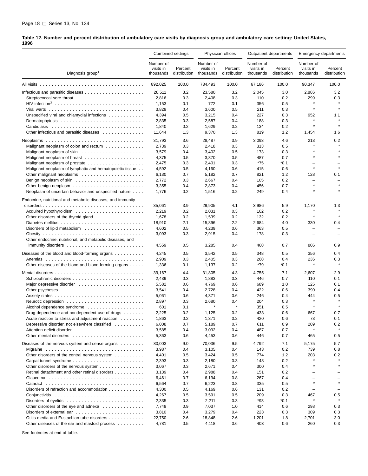<span id="page-23-0"></span>**Table 12. Number and percent distribution of ambulatory care visits by diagnosis group and ambulatory care setting: United States, 1996**

|                                                                                |                                     | Combined settings       |                                     | Physician offices       |                                     | Outpatient departments  |                                     | <b>Emergency departments</b> |  |
|--------------------------------------------------------------------------------|-------------------------------------|-------------------------|-------------------------------------|-------------------------|-------------------------------------|-------------------------|-------------------------------------|------------------------------|--|
| Diagnosis group <sup>1</sup>                                                   | Number of<br>visits in<br>thousands | Percent<br>distribution | Number of<br>visits in<br>thousands | Percent<br>distribution | Number of<br>visits in<br>thousands | Percent<br>distribution | Number of<br>visits in<br>thousands | Percent<br>distribution      |  |
|                                                                                | 892,025                             | 100.0                   | 734,493                             | 100.0                   | 67,186                              | 100.0                   | 90,347                              | 100.0                        |  |
|                                                                                | 28,511                              | 3.2                     | 23,580                              | 3.2                     | 2,045                               | 3.0                     | 2,886                               | 3.2                          |  |
|                                                                                | 2,816                               | 0.3                     | 2,408                               | 0.3                     | 110                                 | 0.2                     | 299                                 | 0.3                          |  |
|                                                                                | 1,153                               | 0.1                     | 772                                 | 0.1                     | 356                                 | 0.5                     | $\star$                             |                              |  |
|                                                                                | 3,829                               | 0.4                     | 3,600                               | 0.5                     | 211                                 | 0.3                     | $\star$                             | $\star$                      |  |
| Unspecified viral and chlamydial infections $\ldots \ldots \ldots$             | 4,394                               | 0.5                     | 3,215                               | 0.4                     | 227                                 | 0.3                     | 952                                 | 1.1                          |  |
|                                                                                |                                     |                         |                                     | 0.4                     | 188                                 | 0.3                     |                                     |                              |  |
|                                                                                | 2,835                               | 0.3                     | 2,587                               |                         |                                     |                         | ×                                   | $\star$                      |  |
|                                                                                | 1,840                               | 0.2                     | 1,629                               | 0.2                     | 134                                 | 0.2                     |                                     |                              |  |
| Other infectious and parasitic diseases                                        | 11,644                              | 1.3                     | 9,370                               | 1.3                     | 819                                 | 1.2                     | 1,454                               | 1.6                          |  |
|                                                                                | 31,793                              | 3.6                     | 28,487                              | 3.9                     | 3,093                               | 4.6                     | 213                                 | 0.2                          |  |
| Malignant neoplasm of colon and rectum $\ldots \ldots \ldots$                  | 2,739                               | 0.3                     | 2,418                               | 0.3                     | 313                                 | 0.5                     |                                     |                              |  |
|                                                                                | 3,579                               | 0.4                     | 3,402                               | 0.5                     | 173                                 | 0.3                     |                                     |                              |  |
|                                                                                | 4,375                               | 0.5                     | 3,870                               | 0.5                     | 487                                 | 0.7                     |                                     |                              |  |
| Malignant neoplasm of prostate $\ldots \ldots \ldots \ldots \ldots$            | 2,475                               | 0.3                     | 2,401                               | 0.3                     | *75                                 | $*0.1$                  | $\overline{\phantom{0}}$            | $\equiv$                     |  |
| Malignant neoplasm of lymphatic and hematopoietic tissue                       | 4,592                               | 0.5                     | 4,160                               | 0.6                     | 415                                 | 0.6                     | ×                                   | $\star$                      |  |
|                                                                                | 6,130                               | 0.7                     | 5,182                               | 0.7                     | 821                                 | 1.2                     | 128                                 | 0.1                          |  |
|                                                                                | 2,772                               | 0.3                     | 2,667                               | 0.4                     | 105                                 | 0.2                     | $\overline{\phantom{0}}$            | $\overline{\phantom{0}}$     |  |
|                                                                                | 3,355                               | 0.4                     | 2,873                               | 0.4                     | 456                                 | 0.7                     |                                     | $\star$                      |  |
| Neoplasm of uncertain behavior and unspecified nature                          | 1,776                               | 0.2                     | 1,516                               | 0.2                     | 249                                 | 0.4                     |                                     |                              |  |
| Endocrine, nutritional and metabolic diseases, and immunity                    |                                     |                         |                                     |                         |                                     |                         |                                     |                              |  |
|                                                                                | 35,061                              | 3.9                     | 29,905                              | 4.1                     | 3,986                               | 5.9                     | 1,170                               | 1.3                          |  |
|                                                                                | 2,219                               | 0.2                     | 2,031                               | 0.3                     | 162                                 | 0.2                     | $\star$                             | $\star$                      |  |
| Other disorders of the thyroid gland                                           | 1,678                               | 0.2                     | 1,539                               | 0.2                     | 132                                 | 0.2                     |                                     |                              |  |
|                                                                                | 18,910                              | 2.1                     | 15,896                              | 2.2                     | 2,684                               | 4.0                     | 330                                 | 0.4                          |  |
|                                                                                | 4,602                               | 0.5                     | 4,239                               | 0.6                     | 363                                 | 0.5                     | $\overline{\phantom{0}}$            |                              |  |
|                                                                                | 3,093                               | 0.3                     | 2,915                               | 0.4                     | 178                                 | 0.3                     | $\overline{\phantom{0}}$            |                              |  |
| Other endocrine, nutritional, and metabolic diseases, and                      | 4,559                               | 0.5                     | 3,285                               | 0.4                     | 468                                 | 0.7                     | 806                                 | 0.9                          |  |
|                                                                                |                                     |                         |                                     |                         |                                     |                         |                                     |                              |  |
| Diseases of the blood and blood-forming organs $\ldots \ldots \ldots$          | 4,245                               | 0.5                     | 3,542                               | 0.5                     | 348                                 | 0.5                     | 356                                 | 0.4                          |  |
| Anemias                                                                        | 2,909                               | 0.3                     | 2,405                               | 0.3                     | 268                                 | 0.4                     | 236                                 | 0.3                          |  |
| Other diseases of the blood and blood-forming organs                           | 1,336                               | 0.1                     | 1,137                               | 0.2                     | *79                                 | $*0.1$                  | $\star$                             | $\star$                      |  |
|                                                                                | 39,167                              | 4.4                     | 31,805                              | 4.3                     | 4,755                               | 7.1                     | 2,607                               | 2.9                          |  |
|                                                                                | 2,439                               | 0.3                     | 1,883                               | 0.3                     | 446                                 | 0.7                     | 110                                 | 0.1                          |  |
|                                                                                | 5,582                               | 0.6                     | 4,769                               | 0.6                     | 689                                 | 1.0                     | 125                                 | 0.1                          |  |
| Other psychoses $\dots\dots\dots\dots\dots\dots\dots\dots\dots\dots\dots\dots$ | 3,541                               | 0.4                     | 2,728                               | 0.4                     | 422                                 | 0.6                     | 390                                 | 0.4                          |  |
|                                                                                | 5,061                               | 0.6                     | 4,371                               | 0.6                     | 246                                 | 0.4                     | 444                                 | 0.5                          |  |
|                                                                                | 2,897                               | 0.3                     | 2,680                               | 0.4                     | 204                                 | 0.3                     |                                     | $\star$                      |  |
| Alcohol dependence syndrome                                                    | 601                                 | 0.1                     |                                     | $\pmb{\ast}$            | 351                                 | 0.5                     | $\star$                             | $\star$                      |  |
| Drug dependence and nondependent use of drugs                                  | 2,225                               | 0.2                     | 1,125                               | 0.2                     | 433                                 | 0.6                     | 667                                 | 0.7                          |  |
| Acute reaction to stress and adjustment reaction                               | 1,863                               | 0.2                     | 1,371                               | 0.2                     | 420                                 | 0.6                     | 73                                  | 0.1                          |  |
| Depressive disorder, not elsewhere classified                                  | 6,008                               | 0.7                     | 5,189                               | 0.7                     | 611                                 | 0.9                     | 209                                 | 0.2                          |  |
|                                                                                | 3,585                               | 0.4                     | 3,092                               | 0.4                     | 487                                 | 0.7                     |                                     |                              |  |
|                                                                                | 5,363                               | 0.6                     | 4,453                               | 0.6                     | 446                                 | 0.7                     | 465                                 | 0.5                          |  |
| Diseases of the nervous system and sense organs $\ldots \ldots$                | 80.003                              | 9.0                     | 70,036                              | 9.5                     | 4,792                               | 7.1                     | 5,175                               | 5.7                          |  |
|                                                                                | 3,987                               | 0.4                     | 3,105                               | 0.4                     | 143                                 | 0.2                     | 739                                 | 0.8                          |  |
| Other disorders of the central nervous system                                  | 4,401                               | 0.5                     | 3,424                               | 0.5                     | 774                                 | 1.2                     | 203                                 | 0.2                          |  |
|                                                                                | 2,393                               | 0.3                     | 2,180                               | 0.3                     | 148                                 | 0.2                     |                                     |                              |  |
| Other disorders of the nervous system                                          | 3,067                               | 0.3                     | 2,671                               | 0.4                     | 300                                 | 0.4                     | $\star$                             |                              |  |
| Retinal detachment and other retinal disorders                                 | 3,139                               | 0.4                     | 2,988                               | 0.4                     | 151                                 | 0.2                     |                                     |                              |  |
|                                                                                | 6,461                               | 0.7                     | 6,194                               | 0.8                     | 267                                 | 0.4                     |                                     |                              |  |
|                                                                                | 6,564                               | 0.7                     | 6,223                               | 0.8                     | 335                                 | 0.5                     | $\star$                             | $\star$                      |  |
| Disorders of refraction and accommodation                                      | 4,300                               | 0.5                     | 4,169                               | 0.6                     | 131                                 | 0.2                     | $\overline{\phantom{0}}$            | $\qquad \qquad -$            |  |
|                                                                                | 4,267                               | 0.5                     | 3,591                               | 0.5                     | 209                                 | 0.3                     | 467                                 | 0.5                          |  |
|                                                                                | 2,335                               | 0.3                     | 2,211                               | 0.3                     | *93                                 | *0.1                    | $\star$                             |                              |  |
| Other disorders of the eye and adnexa                                          | 7,749                               | 0.9                     | 7,037                               | 1.0                     | 414                                 | 0.6                     | 298                                 | 0.3                          |  |
|                                                                                | 3,810                               | 0.4                     | 3,279                               | 0.4                     | 223                                 | 0.3                     | 309                                 | 0.3                          |  |
| Otitis media and Eustachian tube disorders                                     | 22,750                              | 2.6                     | 18,848                              | 2.6                     | 1,201                               | 1.8                     | 2,701                               | 3.0                          |  |
| Other diseases of the ear and mastoid process                                  | 4,781                               | 0.5                     | 4,118                               | 0.6                     | 403                                 | 0.6                     | 260                                 | 0.3                          |  |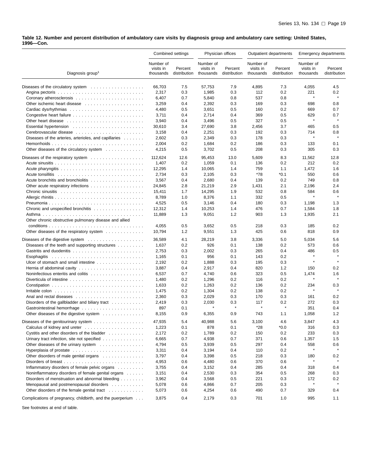**Table 12. Number and percent distribution of ambulatory care visits by diagnosis group and ambulatory care setting: United States, 1996—Con.**

|                                                                               |                                     | Combined settings       |                                     | Physician offices       |                                     | Outpatient departments  |                                     | <b>Emergency departments</b> |
|-------------------------------------------------------------------------------|-------------------------------------|-------------------------|-------------------------------------|-------------------------|-------------------------------------|-------------------------|-------------------------------------|------------------------------|
| Diagnosis group <sup>1</sup>                                                  | Number of<br>visits in<br>thousands | Percent<br>distribution | Number of<br>visits in<br>thousands | Percent<br>distribution | Number of<br>visits in<br>thousands | Percent<br>distribution | Number of<br>visits in<br>thousands | Percent<br>distribution      |
|                                                                               | 66,703                              | 7.5                     | 57,753                              | 7.9                     | 4,895                               | 7.3                     | 4,055                               | 4.5                          |
|                                                                               | 2,317                               | 0.3                     | 1,985                               | 0.3                     | 112                                 | 0.2                     | 221                                 | 0.2                          |
|                                                                               | 6,407                               | 0.7                     | 5,840                               | 0.8                     | 537                                 | 0.8                     | $\star$                             | $\star$                      |
| Other ischemic heart disease                                                  | 3,259                               | 0.4                     | 2,392                               | 0.3                     | 169                                 | 0.3                     | 698                                 | 0.8                          |
|                                                                               | 4,480                               | 0.5                     | 3,651                               | 0.5                     | 160                                 | 0.2                     | 669                                 | 0.7                          |
|                                                                               | 3,711                               | 0.4                     | 2,714                               | 0.4                     | 369                                 | 0.5                     | 629                                 | 0.7                          |
|                                                                               | 3,940                               | 0.4                     | 3,496                               | 0.5                     | 327                                 | 0.5                     | $\star$                             | $\star$                      |
|                                                                               | 30,610                              | 3.4                     | 27,690                              | 3.8                     | 2,456                               | 3.7                     | 465                                 | 0.5                          |
|                                                                               | 3,158                               | 0.4                     | 2,251                               | 0.3                     | 192                                 | 0.3                     | 714                                 | 0.8                          |
| Diseases of the arteries, arterioles, and capillaries                         | 2,602                               | 0.3                     | 2,349                               | 0.3                     | 178                                 | 0.3                     | $\star$                             | $\star$                      |
| and a state of                                                                |                                     |                         |                                     |                         |                                     |                         |                                     |                              |
|                                                                               | 2,004                               | 0.2                     | 1,684                               | 0.2                     | 186                                 | 0.3                     | 133                                 | 0.1                          |
| Other diseases of the circulatory system                                      | 4,215                               | 0.5                     | 3,702                               | 0.5                     | 208                                 | 0.3                     | 305                                 | 0.3                          |
| Diseases of the respiratory system $\ldots \ldots \ldots \ldots \ldots$       | 112,624                             | 12.6                    | 95,453                              | 13.0                    | 5,609                               | 8.3                     | 11,562                              | 12.8                         |
|                                                                               | 1,407                               | 0.2                     | 1,059                               | 0.1                     | 136                                 | 0.2                     | 212                                 | 0.2                          |
|                                                                               | 12,295                              | 1.4                     | 10,065                              | 1.4                     | 759                                 | 1.1                     | 1,472                               | 1.6                          |
|                                                                               | 2,734                               | 0.3                     | 2,105                               | 0.3                     | $*78$                               | *0.1                    | 550                                 | 0.6                          |
|                                                                               | 3,567                               | 0.4                     | 2,680                               | 0.4                     | 139                                 | 0.2                     | 749                                 | 0.8                          |
|                                                                               | 24.845                              | 2.8                     | 21,219                              | 2.9                     | 1,431                               | 2.1                     | 2,196                               | 2.4                          |
|                                                                               | 15,411                              | 1.7                     | 14,295                              | 1.9                     | 532                                 | 0.8                     | 584                                 | 0.6                          |
|                                                                               | 8,789                               | 1.0                     | 8,376                               | 1.1                     | 332                                 | 0.5                     | $\star$                             | $\star$                      |
| Pneumonia                                                                     | 4,525                               | 0.5                     | 3,146                               | 0.4                     | 180                                 | 0.3                     | 1,198                               | 1.3                          |
| Chronic and unspecified bronchitis                                            | 12,312                              | 1.4                     | 10,253                              | 1.4                     | 476                                 | 0.7                     | 1,584                               | 1.8                          |
|                                                                               | 11,889                              | 1.3                     | 9,051                               | 1.2                     | 903                                 | 1.3                     | 1,935                               | 2.1                          |
|                                                                               |                                     |                         |                                     |                         |                                     |                         |                                     |                              |
| Other chronic obstructive pulmonary disease and allied                        |                                     |                         |                                     |                         |                                     |                         |                                     |                              |
|                                                                               | 4,055                               | 0.5                     | 3,652                               | 0.5                     | 218                                 | 0.3                     | 185                                 | 0.2                          |
| Other diseases of the respiratory system $\ldots \ldots \ldots$               | 10,794                              | 1.2                     | 9,551                               | 1.3                     | 425                                 | 0.6                     | 818                                 | 0.9                          |
|                                                                               | 36,589                              | 4.1                     | 28,219                              | 3.8                     | 3,336                               | 5.0                     | 5,034                               | 5.6                          |
| Diseases of the teeth and supporting structures                               | 1,637                               | 0.2                     | 926                                 | 0.1                     | 138                                 | 0.2                     | 573                                 | 0.6                          |
|                                                                               | 2,753                               | 0.3                     | 2,002                               | 0.3                     | 265                                 | 0.4                     | 486                                 | 0.5                          |
| Esophagitis                                                                   | 1,165                               | 0.1                     | 956                                 | 0.1                     | 143                                 | 0.2                     | $\star$                             | $\star$                      |
| Ulcer of stomach and small intestine                                          | 2,192                               | 0.2                     | 1,888                               | 0.3                     | 195                                 | 0.3                     | $\star$                             | $\star$                      |
| Hernia of abdominal cavity $\ldots \ldots \ldots \ldots \ldots \ldots \ldots$ | 3,887                               | 0.4                     | 2,917                               | 0.4                     | 820                                 | 1.2                     | 150                                 | 0.2                          |
|                                                                               | 6,537                               | 0.7                     | 4,740                               | 0.6                     | 323                                 | 0.5                     | 1,474                               | 1.6                          |
| Diverticula of intestine $\ldots \ldots \ldots \ldots \ldots \ldots \ldots$   | 1,480                               | 0.2                     | 1,296                               | 0.2                     | 116                                 | 0.2                     |                                     | $\star$                      |
|                                                                               | 1,633                               | 0.2                     | 1,263                               | 0.2                     | 136                                 | 0.2                     | 234                                 | 0.3                          |
|                                                                               | 1,475                               | 0.2                     | 1,304                               | 0.2                     | 138                                 | 0.2                     | $\star$                             | $\star$                      |
|                                                                               | 2,360                               | 0.3                     | 2,029                               | 0.3                     | 170                                 | 0.3                     | 161                                 | 0.2                          |
| Disorders of the gallbladder and biliary tract $\ldots \ldots \ldots$         | 2,419                               | 0.3                     | 2,030                               | 0.3                     | 117                                 | 0.2                     | 272                                 | 0.3                          |
|                                                                               | 897                                 | 0.1                     |                                     | $\star$                 | $\star$                             | $\star$                 | 351                                 | 0.4                          |
| Other diseases of the digestive system                                        | 8,155                               | 0.9                     | 6,355                               | 0.9                     | 743                                 | 1.1                     | 1,058                               | 1.2                          |
|                                                                               |                                     |                         |                                     |                         |                                     |                         |                                     |                              |
| Diseases of the genitourinary system                                          | 47,935                              | 5.4                     | 40,988                              | 5.6                     | 3,100                               | 4.6                     | 3,847                               | 4.3                          |
|                                                                               | 1,223                               | 0.1                     | 878                                 | 0.1                     | *28                                 | *0.0                    | 316                                 | 0.3                          |
| Cystitis and other disorders of the bladder                                   | 2,172                               | 0.2                     | 1,789                               | 0.2                     | 150                                 | 0.2                     | 233                                 | 0.3                          |
| Urinary tract infection, site not specified                                   | 6,665                               | 0.7                     | 4,938                               | 0.7                     | 371                                 | 0.6                     | 1,357                               | 1.5                          |
| Other diseases of the urinary system $\ldots \ldots \ldots \ldots$            | 4,794                               | 0.5                     | 3,939                               | 0.5                     | 297                                 | 0.4                     | 558                                 | 0.6                          |
| Hyperplasia of prostate                                                       | 3,311                               | 0.4                     | 3,194                               | 0.4                     | 110                                 | 0.2                     | $\star$                             | $\star$                      |
| Other disorders of male genital organs                                        | 3,797                               | 0.4                     | 3,398                               | 0.5                     | 218                                 | 0.3                     | 180                                 | 0.2                          |
|                                                                               | 4,953                               | 0.6                     | 4,480                               | 0.6                     | 370                                 | 0.6                     |                                     |                              |
| Inflammatory disorders of female pelvic organs                                | 3,755                               | 0.4                     | 3,152                               | 0.4                     | 285                                 | 0.4                     | 318                                 | 0.4                          |
| Noninflammatory disorders of female genital organs                            | 3,151                               | 0.4                     | 2,530                               | 0.3                     | 354                                 | 0.5                     | 268                                 | 0.3                          |
| Disorders of menstruation and abnormal bleeding                               | 3,962                               | 0.4                     | 3,568                               | 0.5                     | 221                                 | 0.3                     | 172                                 | 0.2                          |
| Menopausal and postmenopausal disorders                                       | 5,078                               | 0.6                     | 4,866                               | 0.7                     | 205                                 | 0.3                     | $\star$                             | $\star$                      |
| Other disorders of the female genital tract                                   | 5,073                               | 0.6                     | 4,254                               | 0.6                     | 490                                 | 0.7                     | 329                                 | 0.4                          |
|                                                                               |                                     |                         |                                     |                         |                                     |                         |                                     |                              |
| Complications of pregnancy, childbirth, and the puerperium                    | 3,875                               | 0.4                     | 2,179                               | 0.3                     | 701                                 | 1.0                     | 995                                 | 1.1                          |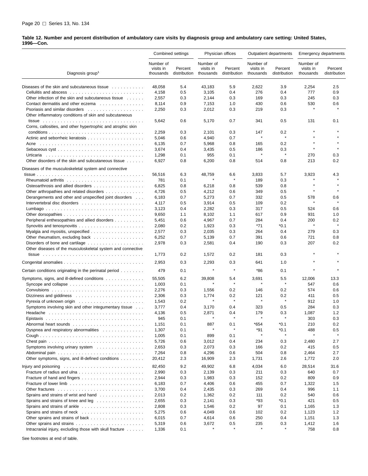#### **Table 12. Number and percent distribution of ambulatory care visits by diagnosis group and ambulatory care setting: United States, 1996—Con.**

|                                                                                |                                     | Combined settings       |                                     | Physician offices       |                                     | Outpatient departments  |                                     | <b>Emergency departments</b> |
|--------------------------------------------------------------------------------|-------------------------------------|-------------------------|-------------------------------------|-------------------------|-------------------------------------|-------------------------|-------------------------------------|------------------------------|
| Diagnosis group <sup>1</sup>                                                   | Number of<br>visits in<br>thousands | Percent<br>distribution | Number of<br>visits in<br>thousands | Percent<br>distribution | Number of<br>visits in<br>thousands | Percent<br>distribution | Number of<br>visits in<br>thousands | Percent<br>distribution      |
|                                                                                |                                     |                         |                                     |                         |                                     |                         |                                     |                              |
| Diseases of the skin and subcutaneous tissue                                   | 48,058                              | 5.4                     | 43,183                              | 5.9                     | 2,622                               | 3.9                     | 2,254                               | 2.5                          |
|                                                                                | 4,158                               | 0.5                     | 3,105                               | 0.4                     | 276                                 | 0.4                     | 777                                 | 0.9                          |
| Other infection of the skin and subcutaneous tissue                            | 2,557                               | 0.3                     | 2,144                               | 0.3                     | 169                                 | 0.3                     | 245                                 | 0.3                          |
| Contact dermatitis and other eczema                                            | 8,114                               | 0.9                     | 7,153                               | 1.0                     | 430                                 | 0.6                     | 530<br>$\star$                      | 0.6<br>$\star$               |
|                                                                                | 2,250                               | 0.3                     | 2,012                               | 0.3                     | 219                                 | 0.3                     |                                     |                              |
| Other inflammatory conditions of skin and subcutaneous                         |                                     |                         |                                     |                         |                                     |                         |                                     |                              |
|                                                                                | 5,642                               | 0.6                     | 5,170                               | 0.7                     | 341                                 | 0.5                     | 131                                 | 0.1                          |
| Corns, callosities, and other hypertrophic and atrophic skin                   |                                     |                         |                                     |                         |                                     |                         |                                     |                              |
|                                                                                | 2,259                               | 0.3                     | 2,101                               | 0.3                     | 147                                 | 0.2                     |                                     |                              |
|                                                                                | 5,046                               | 0.6                     | 4,940                               | 0.7                     |                                     | $\star$                 |                                     |                              |
|                                                                                | 6,135                               | 0.7                     | 5,968                               | 0.8                     | 165                                 | 0.2                     |                                     |                              |
|                                                                                | 3,674                               | 0.4                     | 3,435                               | 0.5                     | 186                                 | 0.3                     | $\star$                             | $\star$                      |
| Urticaria                                                                      | 1,298                               | 0.1                     | 955                                 | 0.1                     | $\star$                             | $\star$                 | 270                                 | 0.3                          |
| Other disorders of the skin and subcutaneous tissue                            | 6,927                               | 0.8                     | 6,200                               | 0.8                     | 514                                 | 0.8                     | 213                                 | 0.2                          |
| Diseases of the musculoskeletal system and connective                          |                                     |                         |                                     |                         |                                     |                         |                                     |                              |
|                                                                                |                                     |                         |                                     |                         |                                     |                         |                                     |                              |
|                                                                                | 56,516                              | 6.3                     | 48,759                              | 6.6<br>×                | 3,833                               | 5.7                     | 3,923                               | 4.3                          |
|                                                                                | 781                                 | 0.1                     |                                     |                         | 189                                 | 0.3                     |                                     | $\star$                      |
| Osteoarthrosis and allied disorders                                            | 6,825                               | 0.8                     | 6,218                               | 0.8                     | 539                                 | 0.8                     | $\star$                             | $\star$                      |
| Other arthropathies and related disorders                                      | 4,726                               | 0.5                     | 4,212                               | 0.6                     | 349                                 | 0.5                     |                                     |                              |
| Derangements and other and unspecified joint disorders                         | 6,183                               | 0.7                     | 5,273                               | 0.7                     | 332                                 | 0.5                     | 578                                 | 0.6                          |
|                                                                                | 4,117                               | 0.5                     | 3,914                               | 0.5                     | 109                                 | 0.2                     | $\star$                             |                              |
|                                                                                | 3,123                               | 0.4                     | 2,282                               | 0.3                     | 317                                 | 0.5                     | 524                                 | 0.6                          |
|                                                                                | 9,650                               | 1.1                     | 8,102                               | 1.1                     | 617                                 | 0.9                     | 931                                 | 1.0                          |
| Peripheral enthesopathies and allied disorders                                 | 5,451                               | 0.6                     | 4,967                               | 0.7                     | 284                                 | 0.4                     | 200                                 | 0.2                          |
| Synovitis and tenosynovitis $\ldots \ldots \ldots \ldots \ldots \ldots \ldots$ | 2,080                               | 0.2                     | 1,923                               | 0.3                     | *71                                 | $*0.1$                  | $\star$                             | $\star$                      |
|                                                                                | 2,577                               | 0.3                     | 2,035                               | 0.3                     | 264                                 | 0.4                     | 279                                 | 0.3                          |
| Other rheumatism, excluding back                                               | 6,252                               | 0.7                     | 5,139                               | 0.7                     | 391                                 | 0.6                     | 721                                 | 0.8                          |
|                                                                                | 2,978                               | 0.3                     | 2,581                               | 0.4                     | 190                                 | 0.3                     | 207                                 | 0.2                          |
| Other diseases of the musculoskeletal system and connective                    |                                     |                         |                                     |                         |                                     |                         |                                     |                              |
|                                                                                | 1,773                               | 0.2                     | 1,572                               | 0.2                     | 181                                 | 0.3                     |                                     |                              |
|                                                                                |                                     |                         |                                     |                         |                                     |                         |                                     |                              |
|                                                                                | 2,953                               | 0.3                     | 2,293                               | 0.3                     | 641                                 | 1.0                     |                                     |                              |
| Certain conditions originating in the perinatal period                         | 479                                 | 0.1                     |                                     | ×                       | *86                                 | 0.1                     | $\star$                             |                              |
| Symptoms, signs, and ill-defined conditions                                    | 55,505                              | 6.2                     | 39,808                              | 5.4                     | 3,691                               | 5.5                     | 12,006                              | 13.3                         |
|                                                                                | 1,003                               | 0.1                     |                                     | $\star$                 | $\star$                             | $\star$                 | 547                                 | 0.6                          |
|                                                                                | 2,276                               | 0.3                     | 1,556                               | 0.2                     | 146                                 | 0.2                     | 574                                 | 0.6                          |
| Dizziness and giddiness $\ldots \ldots \ldots \ldots \ldots \ldots \ldots$     | 2,306                               | 0.3                     | 1,774                               | 0.2                     | 121                                 | 0.2                     | 411                                 | 0.5                          |
|                                                                                | 1,543                               | 0.2                     | $\star$                             | $\star$                 | $\pmb{\ast}$                        | $\star$                 | 912                                 | 1.0                          |
| Symptoms involving skin and other integumentary tissue                         | 3,777                               | 0.4                     | 3,170                               | 0.4                     | 323                                 | 0.5                     | 284                                 | 0.3                          |
| Headache                                                                       | 4,136                               | 0.5                     | 2,871                               | 0.4                     | 179                                 | 0.3                     | 1,087                               | 1.2                          |
|                                                                                | 945                                 | 0.1                     |                                     |                         |                                     |                         | 303                                 | 0.3                          |
|                                                                                | 1,151                               | 0.1                     | 887                                 | 0.1                     | *654                                | $*0.1$                  | 210                                 | 0.2                          |
| Dyspnea and respiratory abnormalities                                          | 1,307                               | 0.1                     |                                     |                         | *91                                 | $*0.1$                  | 488                                 | 0.5                          |
|                                                                                |                                     |                         |                                     | 0.1                     | $\pmb{\ast}$                        | $\star$                 | $\star$                             | $\star$                      |
|                                                                                | 1,005                               | 0.1                     | 899                                 |                         |                                     |                         |                                     |                              |
|                                                                                | 5,726                               | 0.6                     | 3,012                               | 0.4                     | 234                                 | 0.3                     | 2,480                               | 2.7                          |
| Symptoms involving urinary system                                              | 2,653                               | 0.3                     | 2,073                               | 0.3                     | 166                                 | 0.2                     | 415                                 | 0.5                          |
|                                                                                | 7,264                               | 0.8                     | 4,296                               | 0.6                     | 504                                 | 0.8                     | 2,464                               | 2.7                          |
| Other symptoms, signs, and ill-defined conditions                              | 20,412                              | 2.3                     | 16,909                              | 2.3                     | 1,731                               | 2.6                     | 1,772                               | 2.0                          |
|                                                                                | 82,450                              | 9.2                     | 49,902                              | 6.8                     | 4,034                               | 6.0                     | 28,514                              | 31.6                         |
|                                                                                | 2,990                               | 0.3                     | 2,139                               | 0.3                     | 211                                 | 0.3                     | 640                                 | 0.7                          |
|                                                                                | 2,944                               | 0.3                     | 1,983                               | 0.3                     | 152                                 | 0.2                     | 809                                 | 0.9                          |
|                                                                                | 6,183                               | 0.7                     | 4,406                               | 0.6                     | 455                                 | 0.7                     | 1,322                               | 1.5                          |
|                                                                                | 3,700                               | 0.4                     | 2,435                               | 0.3                     | 269                                 | 0.4                     | 996                                 | 1.1                          |
| Sprains and strains of wrist and hand                                          | 2,013                               | 0.2                     | 1,362                               | 0.2                     | 111                                 | 0.2                     | 540                                 | 0.6                          |
| Sprains and strains of knee and leg                                            | 2,655                               | 0.3                     | 2,141                               | 0.3                     | *93                                 | $*0.1$                  | 421                                 | 0.5                          |
|                                                                                |                                     |                         |                                     |                         | 97                                  | 0.1                     |                                     |                              |
| Sprains and strains of ankle                                                   | 2,808                               | 0.3                     | 1,546                               | 0.2                     |                                     |                         | 1,165                               | 1.3                          |
|                                                                                | 5,275                               | 0.6                     | 4,049                               | 0.6                     | 102                                 | 0.2                     | 1,123                               | 1.2                          |
|                                                                                | 6,015                               | 0.7                     | 4,614                               | 0.6                     | 250                                 | 0.4                     | 1,151                               | 1.3                          |
|                                                                                | 5,319                               | 0.6                     | 3,672                               | 0.5                     | 235                                 | 0.3                     | 1,412                               | 1.6                          |
| Intracranial injury, excluding those with skull fracture                       | 1,336                               | 0.1                     |                                     |                         |                                     |                         | 758                                 | 0.8                          |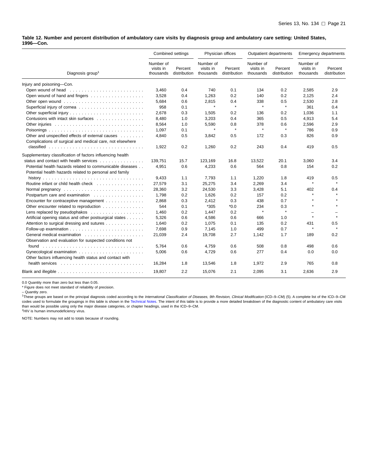**Table 12. Number and percent distribution of ambulatory care visits by diagnosis group and ambulatory care setting: United States, 1996—Con.**

|                                                                           |                                     | Combined settings       |                                     | Physician offices       |                                     | Outpatient departments  |                                     | <b>Emergency departments</b> |
|---------------------------------------------------------------------------|-------------------------------------|-------------------------|-------------------------------------|-------------------------|-------------------------------------|-------------------------|-------------------------------------|------------------------------|
| Diagnosis group <sup>1</sup>                                              | Number of<br>visits in<br>thousands | Percent<br>distribution | Number of<br>visits in<br>thousands | Percent<br>distribution | Number of<br>visits in<br>thousands | Percent<br>distribution | Number of<br>visits in<br>thousands | Percent<br>distribution      |
| Injury and poisoning-Con.                                                 |                                     |                         |                                     |                         |                                     |                         |                                     |                              |
|                                                                           | 3,460                               | 0.4                     | 740                                 | 0.1                     | 134                                 | 0.2                     | 2,585                               | 2.9                          |
|                                                                           | 3,528                               | 0.4                     | 1,263                               | 0.2                     | 140                                 | 0.2                     | 2,125                               | 2.4                          |
|                                                                           | 5,684                               | 0.6                     | 2,815                               | 0.4                     | 338                                 | 0.5                     | 2,530                               | 2.8                          |
|                                                                           | 958                                 | 0.1                     | $\star$                             | $\pmb{\ast}$            | $\pmb{\ast}$                        | $\star$                 | 361                                 | 0.4                          |
|                                                                           | 2,678                               | 0.3                     | 1,505                               | 0.2                     | 136                                 | 0.2                     | 1,036                               | 1.1                          |
| Contusions with intact skin surfaces                                      | 8,480                               | 1.0                     | 3,203                               | 0.4                     | 365                                 | 0.5                     | 4,913                               | 5.4                          |
|                                                                           | 8,564                               | 1.0                     | 5,590                               | 0.8                     | 378                                 | 0.6                     | 2,596                               | 2.9                          |
|                                                                           | 1.097                               | 0.1                     | $\star$                             | $\pmb{\ast}$            | $\pmb{\ast}$                        | $\star$                 | 786                                 | 0.9                          |
| Other and unspecified effects of external causes                          | 4,840                               | 0.5                     | 3,842                               | 0.5                     | 172                                 | 0.3                     | 826                                 | 0.9                          |
| Complications of surgical and medical care, not elsewhere                 |                                     |                         |                                     |                         |                                     |                         |                                     |                              |
|                                                                           | 1,922                               | 0.2                     | 1,260                               | 0.2                     | 243                                 | 0.4                     | 419                                 | 0.5                          |
| Supplementary classification of factors influencing health                |                                     |                         |                                     |                         |                                     |                         |                                     |                              |
| status and contact with health services                                   | 139,751                             | 15.7                    | 123,169                             | 16.8                    | 13,522                              | 20.1                    | 3,060                               | 3.4                          |
| Potential health hazards related to communicable diseases                 | 4.951                               | 0.6                     | 4,233                               | 0.6                     | 564                                 | 0.8                     | 154                                 | 0.2                          |
| Potential health hazards related to personal and family                   |                                     |                         |                                     |                         |                                     |                         |                                     |                              |
|                                                                           | 9,433                               | 1.1                     | 7,793                               | 1.1                     | 1,220                               | 1.8                     | 419                                 | 0.5                          |
| Routine infant or child health check                                      | 27,579                              | 3.1                     | 25,275                              | 3.4                     | 2,269                               | 3.4                     | $\pmb{\ast}$                        | $\star$                      |
|                                                                           | 28,360                              | 3.2                     | 24,530                              | 3.3                     | 3,428                               | 5.1                     | 402                                 | 0.4                          |
| Postpartum care and examination                                           | 1,798                               | 0.2                     | 1,626                               | 0.2                     | 157                                 | 0.2                     | $\star$                             | $\star$                      |
| Encounter for contraceptive management                                    | 2,868                               | 0.3                     | 2,412                               | 0.3                     | 438                                 | 0.7                     | $\star$                             |                              |
| Other encounter related to reproduction                                   | 544                                 | 0.1                     | $*305$                              | $*0.0*$                 | 234                                 | 0.3                     | $\star$                             |                              |
| Lens replaced by pseudophakos                                             | 1,460                               | 0.2                     | 1,447                               | 0.2                     | $\pmb{\ast}$                        | $\star$                 | $\overline{\phantom{0}}$            |                              |
| Artificial opening status and other postsurgical states                   | 5,326                               | 0.6                     | 4,586                               | 0.6                     | 666                                 | 1.0                     | $\pmb{\ast}$                        | $\bullet$                    |
| Attention to surgical dressing and sutures                                | 1,640                               | 0.2                     | 1,075                               | 0.1                     | 135                                 | 0.2                     | 431                                 | 0.5                          |
|                                                                           | 7,698                               | 0.9                     | 7,145                               | 1.0                     | 499                                 | 0.7                     | $\pmb{\ast}$                        | $\star$                      |
|                                                                           | 21,039                              | 2.4                     | 19,708                              | 2.7                     | 1,142                               | 1.7                     | 189                                 | 0.2                          |
| Observation and evaluation for suspected conditions not                   |                                     |                         |                                     |                         |                                     |                         |                                     |                              |
|                                                                           | 5.764                               | 0.6                     | 4,759                               | 0.6                     | 508                                 | 0.8                     | 498                                 | 0.6                          |
|                                                                           | 5,006                               | 0.6                     | 4,729                               | 0.6                     | 277                                 | 0.4                     | 0.0                                 | 0.0                          |
| Other factors influencing health status and contact with                  |                                     |                         |                                     |                         |                                     |                         |                                     |                              |
| health services $\ldots \ldots \ldots \ldots \ldots \ldots \ldots \ldots$ | 16,284                              | 1.8                     | 13,546                              | 1.8                     | 1,972                               | 2.9                     | 765                                 | 0.8                          |
|                                                                           | 19,807                              | 2.2                     | 15,076                              | 2.1                     | 2,095                               | 3.1                     | 2,636                               | 2.9                          |

0.0 Quantity more than zero but less than 0.05.

\* Figure does not meet standard of reliability of precision.

– Quantity zero.

1These groups are based on the principal diagnosis coded according to the International Classification of Diseases, 9th Revision, Clinical Modification (ICD–9–CM) (5). A complete list of the ICD–9–CM codes used to formulate the groupings in this table is shown in the [Technical Notes. Th](#page-32-0)e intent of this table is to provide a more detailed breakdown of the diagnostic content of ambulatory care visits than would be possible using only the major disease categories, or chapter headings, used in the ICD–9–CM. 2HIV is human immunodeficiency virus.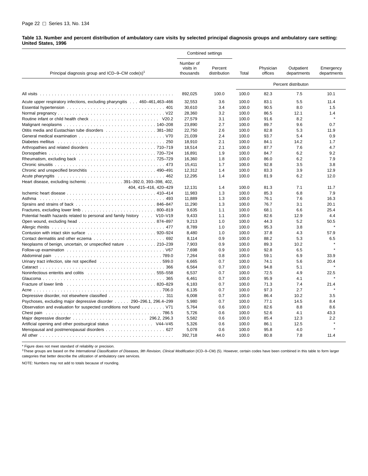#### <span id="page-27-0"></span>**Table 13. Number and percent distribution of ambulatory care visits by selected principal diagnosis groups and ambulatory care setting: United States, 1996**

|                                                                                                                 |                                     | Combined settings       |       |                      |                           |                          |
|-----------------------------------------------------------------------------------------------------------------|-------------------------------------|-------------------------|-------|----------------------|---------------------------|--------------------------|
| Principal diagnosis group and ICD-9-CM code(s) <sup>1</sup>                                                     | Number of<br>visits in<br>thousands | Percent<br>distribution | Total | Physician<br>offices | Outpatient<br>departments | Emergency<br>departments |
|                                                                                                                 |                                     |                         |       |                      | Percent distributon       |                          |
|                                                                                                                 | 892,025                             | 100.0                   | 100.0 | 82.3                 | 7.5                       | 10.1                     |
| Acute upper respiratory infections, excluding pharyngitis 460–461,463–466                                       | 32,553                              | 3.6                     | 100.0 | 83.1                 | 5.5                       | 11.4                     |
|                                                                                                                 | 30,610                              | 3.4                     | 100.0 | 90.5                 | 8.0                       | 1.5                      |
|                                                                                                                 | 28,360                              | 3.2                     | 100.0 | 86.5                 | 12.1                      | 1.4                      |
|                                                                                                                 | 27,579                              | 3.1                     | 100.0 | 91.6                 | 8.2                       | $\star$                  |
|                                                                                                                 | 23,890                              | 2.7                     | 100.0 | 89.7                 | 9.6                       | 0.7                      |
| Otitis media and Eustachian tube disorders 381–382                                                              | 22,750                              | 2.6                     | 100.0 | 82.8                 | 5.3                       | 11.9                     |
|                                                                                                                 | 21,039                              | 2.4                     | 100.0 | 93.7                 | 5.4                       | 0.9                      |
|                                                                                                                 | 18,910                              | 2.1                     | 100.0 | 84.1                 | 14.2                      | 1.7                      |
|                                                                                                                 | 18,514                              | 2.1                     | 100.0 | 87.7                 | 7.6                       | 4.7                      |
|                                                                                                                 | 16,891                              | 1.9                     | 100.0 | 84.7                 | 6.2                       | 9.2                      |
|                                                                                                                 | 16,360                              | 1.8                     | 100.0 | 86.0                 | 6.2                       | 7.9                      |
| 473                                                                                                             | 15,411                              | 1.7                     | 100.0 | 92.8                 | 3.5                       | 3.8                      |
|                                                                                                                 | 12,312                              | 1.4                     | 100.0 | 83.3                 | 3.9                       | 12.9                     |
|                                                                                                                 | 12.295                              | 1.4                     | 100.0 | 81.9                 | 6.2                       | 12.0                     |
| Heart disease, excluding ischemic 391-392.0, 393-398, 402,                                                      |                                     |                         |       |                      |                           |                          |
| 404, 415-416, 420-429                                                                                           | 12,131                              | 1.4                     | 100.0 | 81.3                 | 7.1                       | 11.7                     |
|                                                                                                                 | 11,983                              | 1.3                     | 100.0 | 85.3                 | 6.8                       | 7.9                      |
|                                                                                                                 | 11,889                              | 1.3                     | 100.0 | 76.1                 | 7.6                       | 16.3                     |
|                                                                                                                 | 11,290                              | 1.3                     | 100.0 | 76.7                 | 3.1                       | 20.1                     |
|                                                                                                                 | 9,635                               | 1.1                     | 100.0 | 68.1                 | 6.6                       | 25.4                     |
| Potential health hazards related to personal and family history V10-V19                                         | 9,433                               | 1.1                     | 100.0 | 82.6                 | 12.9                      | 4.4                      |
|                                                                                                                 | 9,213                               | 1.0                     | 100.0 | 44.3                 | 5.2                       | 50.5                     |
|                                                                                                                 | 8,789                               | 1.0                     | 100.0 | 95.3                 | 3.8                       |                          |
| Contusion with intact skin surface 920–924                                                                      | 8,480                               | 1.0                     | 100.0 | 37.8                 | 4.3                       | 57.9                     |
|                                                                                                                 | 8,114                               | 0.9                     | 100.0 | 88.2                 | 5.3                       | 6.5                      |
|                                                                                                                 | 7,903                               | 0.9                     | 100.0 | 89.3                 | 10.2                      |                          |
|                                                                                                                 | 7,698                               | 0.9                     | 100.0 | 92.8                 | 6.5                       | $\star$                  |
| Abdominal pain education of the contract of the contract of the contract of the contract of the contract of the | 7,264                               | 0.8                     | 100.0 | 59.1                 | 6.9                       | 33.9                     |
|                                                                                                                 | 6,665                               | 0.7                     | 100.0 | 74.1                 | 5.6                       | 20.4                     |
| 366                                                                                                             | 6,564                               | 0.7                     | 100.0 | 94.8                 | 5.1                       |                          |
| Noninfectious enteritis and colitis entercated and service and service and service service service service ser  | 6,537                               | 0.7                     | 100.0 | 72.5                 | 4.9                       | 22.5                     |
| 365                                                                                                             | 6,461                               | 0.7                     | 100.0 | 95.9                 | 4.1                       |                          |
| Fracture of lower limb end contained and contained a series of the contained and contained a series and 820–829 | 6,183                               | 0.7                     | 100.0 | 71.3                 | 7.4                       | 21.4                     |
|                                                                                                                 | 6,135                               | 0.7                     | 100.0 | 97.3                 | 2.7                       |                          |
| Depressive disorder, not elsewhere classified 311                                                               | 6,008                               | 0.7                     | 100.0 | 86.4                 | 10.2                      | 3.5                      |
| Psychoses, excluding major depressive disorder 290–296.1, 296.4–299                                             | 5,980                               | 0.7                     | 100.0 | 77.1                 | 14.5                      | 8.4                      |
|                                                                                                                 | 5,764                               | 0.6                     | 100.0 | 82.6                 | 8.8                       | 8.6                      |
|                                                                                                                 | 5,726                               | 0.6                     | 100.0 | 52.6                 | 4.1                       | 43.3                     |
|                                                                                                                 | 5,582                               | 0.6                     | 100.0 | 85.4                 | 12.3                      | 2.2                      |
| Artificial opening and other postsurgical status 44–V45                                                         | 5,326                               | 0.6                     | 100.0 | 86.1                 | 12.5                      |                          |
|                                                                                                                 | 5,078                               | 0.6                     | 100.0 | 95.8                 | 4.0                       |                          |
|                                                                                                                 | 392,718                             | 44.0                    | 100.0 | 80.8                 | 7.8                       | 11.4                     |

\* Figure does not meet standard of reliability or precision.

1These groups are based on the International Classification of Diseases, 9th Revision, Clinical Modification (ICD–9–CM) (5). However, certain codes have been combined in this table to form larger categories that better describe the utilization of ambulatory care services.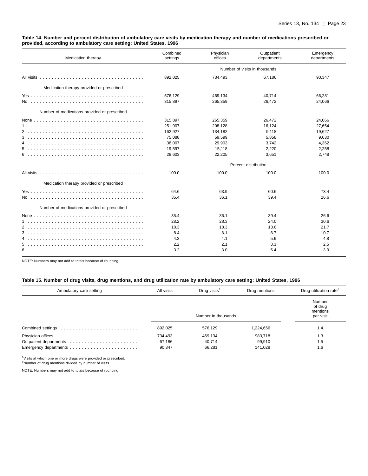#### <span id="page-28-0"></span>**Table 14. Number and percent distribution of ambulatory care visits by medication therapy and number of medications prescribed or provided, according to ambulatory care setting: United States, 1996**

| Medication therapy                           | Combined<br>settings | Physician<br>offices | Outpatient<br>departments     | Emergency<br>departments |
|----------------------------------------------|----------------------|----------------------|-------------------------------|--------------------------|
|                                              |                      |                      | Number of visits in thousands |                          |
|                                              | 892.025              | 734,493              | 67.186                        | 90,347                   |
| Medication therapy provided or prescribed    |                      |                      |                               |                          |
|                                              | 576,129              | 469,134              | 40,714                        | 66,281                   |
|                                              | 315,897              | 265,359              | 26,472                        | 24,066                   |
| Number of medications provided or prescribed |                      |                      |                               |                          |
|                                              | 315,897              | 265,359              | 26,472                        | 24,066                   |
|                                              | 251,907              | 208,128              | 16,124                        | 27,654                   |
| $\overline{2}$                               | 162,927              | 134,182              | 9,118                         | 19,627                   |
|                                              | 75,088               | 59,599               | 5,858                         | 9.630                    |
| 4                                            | 38,007               | 29,903               | 3,742                         | 4,362                    |
|                                              | 19,597               | 15,118               | 2,220                         | 2,258                    |
|                                              | 28,603               | 22,205               | 3,651                         | 2,748                    |
|                                              |                      |                      | Percent distribution          |                          |
|                                              | 100.0                | 100.0                | 100.0                         | 100.0                    |
| Medication therapy provided or prescribed    |                      |                      |                               |                          |
|                                              | 64.6                 | 63.9                 | 60.6                          | 73.4                     |
|                                              | 35.4                 | 36.1                 | 39.4                          | 26.6                     |
| Number of medications provided or prescribed |                      |                      |                               |                          |
|                                              | 35.4                 | 36.1                 | 39.4                          | 26.6                     |
|                                              | 28.2                 | 28.3                 | 24.0                          | 30.6                     |
|                                              | 18.3                 | 18.3                 | 13.6                          | 21.7                     |
|                                              | 8.4                  | 8.1                  | 8.7                           | 10.7                     |
| 4                                            | 4.3                  | 4.1                  | 5.6                           | 4.8                      |
| 5.                                           | 2.2                  | 2.1                  | 3.3                           | 2.5                      |
|                                              | 3.2                  | 3.0                  | 5.4                           | 3.0                      |

NOTE: Numbers may not add to totals because of rounding.

#### **Table 15. Number of drug visits, drug mentions, and drug utilization rate by ambulatory care setting: United States, 1996**

| Ambulatory care setting | All visits | Drug visits <sup>1</sup> | Drug mentions | Drug utilization rate <sup>2</sup>         |
|-------------------------|------------|--------------------------|---------------|--------------------------------------------|
|                         |            | Number in thousands      |               | Number<br>of drug<br>mentions<br>per visit |
|                         | 892,025    | 576,129                  | 1,224,656     | 1.4                                        |
|                         | 734,493    | 469,134                  | 983,718       | 1.3                                        |
|                         | 67,186     | 40,714                   | 99,910        | 1.5                                        |
|                         | 90,347     | 66.281                   | 141,028       | 1.6                                        |

<sup>1</sup>Visits at which one or more drugs were provided or prescribed.

2Number of drug mentions divided by number of visits.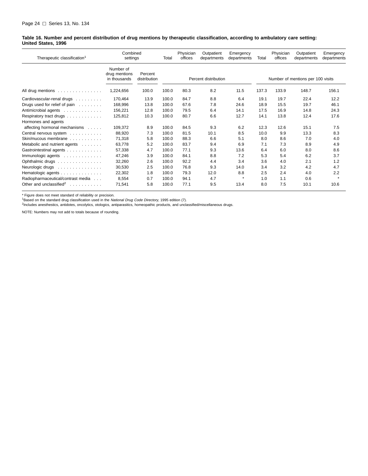<span id="page-29-0"></span>**Table 16. Number and percent distribution of drug mentions by therapeutic classification, according to ambulatory care setting: United States, 1996**

| Therapeutic classification <sup>1</sup>                                                                                                                                                                                                                               | Combined<br>settings                       |                         | Total | Physician<br>offices | Outpatient<br>departments | Emergency<br>departments | Total | Physician<br>offices | Outpatient<br>departments         | Emergency<br>departments |
|-----------------------------------------------------------------------------------------------------------------------------------------------------------------------------------------------------------------------------------------------------------------------|--------------------------------------------|-------------------------|-------|----------------------|---------------------------|--------------------------|-------|----------------------|-----------------------------------|--------------------------|
|                                                                                                                                                                                                                                                                       | Number of<br>drug mentions<br>in thousands | Percent<br>distribution |       |                      | Percent distribution      |                          |       |                      | Number of mentions per 100 visits |                          |
| All drug mentions $\ldots \ldots \ldots \ldots$                                                                                                                                                                                                                       | 1,224,656                                  | 100.0                   | 100.0 | 80.3                 | 8.2                       | 11.5                     | 137.3 | 133.9                | 148.7                             | 156.1                    |
| Cardiovascular-renal drugs                                                                                                                                                                                                                                            | 170,464                                    | 13.9                    | 100.0 | 84.7                 | 8.8                       | 6.4                      | 19.1  | 19.7                 | 22.4                              | 12.2                     |
| Drugs used for relief of pain                                                                                                                                                                                                                                         | 168,996                                    | 13.8                    | 100.0 | 67.6                 | 7.8                       | 24.6                     | 18.9  | 15.5                 | 19.7                              | 46.1                     |
| Antimicrobial agents                                                                                                                                                                                                                                                  | 156,221                                    | 12.8                    | 100.0 | 79.5                 | 6.4                       | 14.1                     | 17.5  | 16.9                 | 14.8                              | 24.3                     |
| Respiratory tract drugs                                                                                                                                                                                                                                               | 125,812                                    | 10.3                    | 100.0 | 80.7                 | 6.6                       | 12.7                     | 14.1  | 13.8                 | 12.4                              | 17.6                     |
| Hormones and agents                                                                                                                                                                                                                                                   |                                            |                         |       |                      |                           |                          |       |                      |                                   |                          |
| affecting hormonal mechanisms                                                                                                                                                                                                                                         | 109,372                                    | 8.9                     | 100.0 | 84.5                 | 9.3                       | 6.2                      | 12.3  | 12.6                 | 15.1                              | 7.5                      |
| Central nervous system                                                                                                                                                                                                                                                | 88,920                                     | 7.3                     | 100.0 | 81.5                 | 10.1                      | 8.5                      | 10.0  | 9.9                  | 13.3                              | 8.3                      |
| Skin/mucous membrane                                                                                                                                                                                                                                                  | 71,318                                     | 5.8                     | 100.0 | 88.3                 | 6.6                       | 5.1                      | 8.0   | 8.6                  | 7.0                               | 4.0                      |
| Metabolic and nutrient agents                                                                                                                                                                                                                                         | 63,778                                     | 5.2                     | 100.0 | 83.7                 | 9.4                       | 6.9                      | 7.1   | 7.3                  | 8.9                               | 4.9                      |
| Gastrointestinal agents                                                                                                                                                                                                                                               | 57,338                                     | 4.7                     | 100.0 | 77.1                 | 9.3                       | 13.6                     | 6.4   | 6.0                  | 8.0                               | 8.6                      |
| Immunologic agents                                                                                                                                                                                                                                                    | 47,246                                     | 3.9                     | 100.0 | 84.1                 | 8.8                       | 7.2                      | 5.3   | 5.4                  | 6.2                               | 3.7                      |
| Ophthalmic drugs                                                                                                                                                                                                                                                      | 32,260                                     | 2.6                     | 100.0 | 92.2                 | 4.4                       | 3.4                      | 3.6   | 4.0                  | 2.1                               | 1.2                      |
| Neurologic drugs                                                                                                                                                                                                                                                      | 30,530                                     | 2.5                     | 100.0 | 76.8                 | 9.3                       | 14.0                     | 3.4   | 3.2                  | 4.2                               | 4.7                      |
| Hematologic agents                                                                                                                                                                                                                                                    | 22,302                                     | 1.8                     | 100.0 | 79.3                 | 12.0                      | 8.8                      | 2.5   | 2.4                  | 4.0                               | 2.2                      |
| Radiopharmaceutical/contrast media                                                                                                                                                                                                                                    | 8,554                                      | 0.7                     | 100.0 | 94.1                 | 4.7                       | $\star$                  | 1.0   | 1.1                  | 0.6                               | $\star$                  |
| Other and unclassified <sup>2</sup><br>and a contract of the contract of the contract of the contract of the contract of the contract of the contract of the contract of the contract of the contract of the contract of the contract of the contract of the contract | 71,541                                     | 5.8                     | 100.0 | 77.1                 | 9.5                       | 13.4                     | 8.0   | 7.5                  | 10.1                              | 10.6                     |

\* Figure does not meet standard of reliability or precision.

<sup>1</sup>Based on the standard drug classification used in the *National Drug Code Directory*, 1995 edition (7).<br><sup>2</sup>Includes anesthestics, antidotes, oncolytics, otologics, antiparasitics, homeopathic products, and unclassified/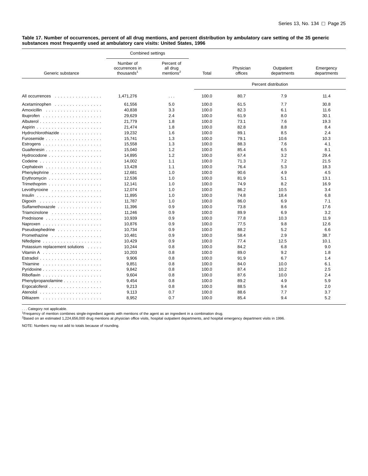<span id="page-30-0"></span>**Table 17. Number of occurrences, percent of all drug mentions, and percent distribution by ambulatory care setting of the 35 generic substances most frequently used at ambulatory care visits: United States, 1996**

|                                                          | Combined settings                                     |                                                 |       |                      |                           |                          |
|----------------------------------------------------------|-------------------------------------------------------|-------------------------------------------------|-------|----------------------|---------------------------|--------------------------|
| Generic substance                                        | Number of<br>occurrences in<br>thousands <sup>1</sup> | Percent of<br>all drug<br>mentions <sup>2</sup> | Total | Physician<br>offices | Outpatient<br>departments | Emergency<br>departments |
|                                                          |                                                       |                                                 |       |                      | Percent distribution      |                          |
| All occurrences<br>.                                     | 1,471,276                                             | $\sim$ $\sim$ $\sim$                            | 100.0 | 80.7                 | 7.9                       | 11.4                     |
| Acetaminophen                                            | 61,556                                                | 5.0                                             | 100.0 | 61.5                 | 7.7                       | 30.8                     |
|                                                          | 40,838                                                | 3.3                                             | 100.0 | 82.3                 | 6.1                       | 11.6                     |
|                                                          | 29,629                                                | 2.4                                             | 100.0 | 61.9                 | 8.0                       | 30.1                     |
|                                                          | 21,779                                                | 1.8                                             | 100.0 | 73.1                 | 7.6                       | 19.3                     |
|                                                          | 21,474                                                | 1.8                                             | 100.0 | 82.8                 | 8.8                       | 8.4                      |
| Hydrochlorothiazide                                      | 19,232                                                | 1.6                                             | 100.0 | 89.1                 | 8.5                       | 2.4                      |
|                                                          | 15,741                                                | 1.3                                             | 100.0 | 79.1                 | 10.6                      | 10.3                     |
|                                                          | 15,558                                                | 1.3                                             | 100.0 | 88.3                 | 7.6                       | 4.1                      |
|                                                          | 15,040                                                | 1.2                                             | 100.0 | 85.4                 | 6.5                       | 8.1                      |
| Hydrocodone                                              | 14,895                                                | 1.2                                             | 100.0 | 67.4                 | 3.2                       | 29.4                     |
|                                                          | 14,002                                                | 1.1                                             | 100.0 | 71.3                 | 7.2                       | 21.5                     |
|                                                          | 13,428                                                | 1.1                                             | 100.0 | 76.4                 | 5.3                       | 18.3                     |
| Phenylephrine $\ldots \ldots \ldots \ldots \ldots$       | 12,681                                                | 1.0                                             | 100.0 | 90.6                 | 4.9                       | 4.5                      |
| $Eryth$ romycin                                          | 12,536                                                | 1.0                                             | 100.0 | 81.9                 | 5.1                       | 13.1                     |
| $Trimethoprim \ldots \ldots \ldots \ldots \ldots \ldots$ | 12,141                                                | 1.0                                             | 100.0 | 74.9                 | 8.2                       | 16.9                     |
| Levothyroxine $\ldots \ldots \ldots \ldots$              | 12,074                                                | 1.0                                             | 100.0 | 86.2                 | 10.5                      | 3.4                      |
| Insulin                                                  | 11,895                                                | 1.0                                             | 100.0 | 74.8                 | 18.4                      | 6.8                      |
|                                                          | 11,787                                                | 1.0                                             | 100.0 | 86.0                 | 6.9                       | 7.1                      |
| Sulfamethoxazole                                         | 11,396                                                | 0.9                                             | 100.0 | 73.8                 | 8.6                       | 17.6                     |
| Triamcinolone                                            | 11,246                                                | 0.9                                             | 100.0 | 89.9                 | 6.9                       | 3.2                      |
|                                                          | 10,939                                                | 0.9                                             | 100.0 | 77.8                 | 10.3                      | 11.9                     |
|                                                          | 10,876                                                | 0.9                                             | 100.0 | 77.5                 | 9.8                       | 12.6                     |
| $Pseudoephedrine \dots \dots \dots \dots \dots$          | 10,734                                                | 0.9                                             | 100.0 | 88.2                 | 5.2                       | 6.6                      |
| Promethazine                                             | 10,481                                                | 0.9                                             | 100.0 | 58.4                 | 2.9                       | 38.7                     |
| Nifedipine $\ldots \ldots \ldots \ldots \ldots \ldots$   | 10,429                                                | 0.9                                             | 100.0 | 77.4                 | 12.5                      | 10.1                     |
| Potassium replacement solutions                          | 10,244                                                | 0.8                                             | 100.0 | 84.2                 | 6.8                       | 9.0                      |
| Vitamin A $\ldots \ldots \ldots \ldots \ldots$           | 10,203                                                | 0.8                                             | 100.0 | 89.0                 | 9.2                       | 1.8                      |
|                                                          | 9,906                                                 | 0.8                                             | 100.0 | 91.9                 | 6.7                       | 1.4                      |
|                                                          | 9,851                                                 | 0.8                                             | 100.0 | 84.0                 | 10.0                      | 6.1                      |
|                                                          | 9,842                                                 | 0.8                                             | 100.0 | 87.4                 | 10.2                      | 2.5                      |
|                                                          | 9,604                                                 | 0.8                                             | 100.0 | 87.6                 | 10.0                      | 2.4                      |
| Phenylpropanolamine                                      | 9.454                                                 | 0.8                                             | 100.0 | 89.2                 | 4.9                       | 5.9                      |
| Ergocalciferol                                           | 9,213                                                 | 0.8                                             | 100.0 | 88.5                 | 9.4                       | 2.0                      |
|                                                          | 9,113                                                 | 0.7                                             | 100.0 | 88.6                 | 7.7                       | 3.7                      |
|                                                          | 8,952                                                 | 0.7                                             | 100.0 | 85.4                 | 9.4                       | 5.2                      |

. . . Category not applicable. 1Frequency of mention combines single-ingredient agents with mentions of the agent as an ingredient in a combination drug.

2Based on an estimated 1,224,656,000 drug mentions at physician office visits, hospital outpatient departments, and hospital emergency department visits in 1996.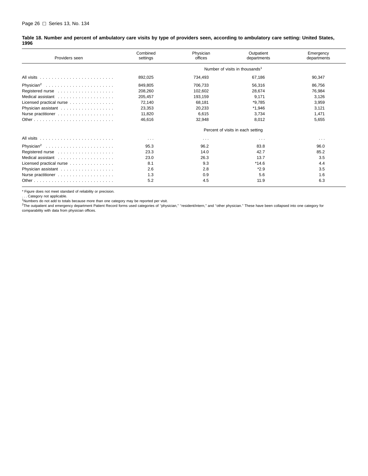<span id="page-31-0"></span>

| Table 18. Number and percent of ambulatory care visits by type of providers seen, according to ambulatory care setting: United States, |  |  |
|----------------------------------------------------------------------------------------------------------------------------------------|--|--|
| 1996                                                                                                                                   |  |  |

| Providers seen           | Combined<br>settings | Physician<br>offices | Outpatient<br>departments                  | Emergency<br>departments |
|--------------------------|----------------------|----------------------|--------------------------------------------|--------------------------|
|                          |                      |                      | Number of visits in thousands <sup>1</sup> |                          |
|                          | 892,025              | 734.493              | 67,186                                     | 90.347                   |
|                          | 849,805              | 706,733              | 56,316                                     | 86,756                   |
|                          | 208,260              | 102,602              | 28,674                                     | 76,984                   |
|                          | 205,457              | 193.159              | 9,171                                      | 3,126                    |
| Licensed practical nurse | 72,140               | 68,181               | *9,785                                     | 3,959                    |
|                          | 23,353               | 20,233               | $*1,946$                                   | 3,121                    |
|                          | 11,820               | 6,615                | 3,734                                      | 1,471                    |
|                          | 46,616               | 32,948               | 8,012                                      | 5,655                    |
|                          |                      |                      | Percent of visits in each setting          |                          |
|                          | $\cdots$             | $\sim$ $\sim$ $\sim$ | $\sim$ $\sim$ $\sim$                       | $\cdots$                 |
|                          | 95.3                 | 96.2                 | 83.8                                       | 96.0                     |
|                          | 23.3                 | 14.0                 | 42.7                                       | 85.2                     |
|                          | 23.0                 | 26.3                 | 13.7                                       | 3.5                      |
| Licensed practical nurse | 8.1                  | 9.3                  | $*14.6$                                    | 4.4                      |
|                          | 2.6                  | 2.8                  | $*2.9$                                     | 3.5                      |
|                          | 1.3                  | 0.9                  | 5.6                                        | 1.6                      |
|                          | 5.2                  | 4.5                  | 11.9                                       | 6.3                      |

\* Figure does not meet standard of reliability or precision.<br>. . . Category not applicable.

<sup>1</sup>Numbers do not add to totals because more than one category may be reported per visit.<br><sup>2</sup>The outpatient and emergency department Patient Record forms used categories of "physician," "resident/intern," and "other physic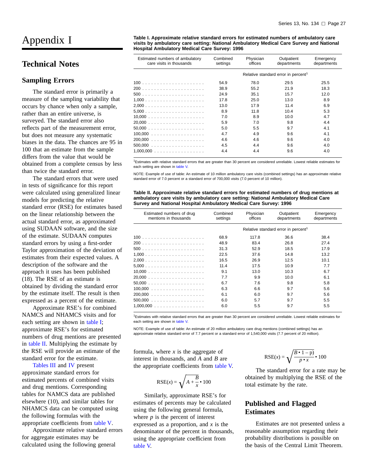## <span id="page-32-0"></span>Appendix I

#### **Technical Notes**

#### **Sampling Errors**

The standard error is primarily a measure of the sampling variability that occurs by chance when only a sample, rather than an entire universe, is surveyed. The standard error also reflects part of the measurement error, but does not measure any systematic biases in the data. The chances are 95 in 100 that an estimate from the sample differs from the value that would be obtained from a complete census by less than twice the standard error.

The standard errors that were used in tests of significance for this report were calculated using generalized linear models for predicting the relative standard error (RSE) for estimates based on the linear relationship between the actual standard error, as approximated using SUDAAN software, and the size of the estimate. SUDAAN computes standard errors by using a first-order Taylor approximation of the deviation of estimates from their expected values. A description of the software and the approach it uses has been published (18). The RSE of an estimate is obtained by dividing the standard error by the estimate itself. The result is then expressed as a percent of the estimate.

Approximate RSE's for combined NAMCS and NHAMCS visits and for each setting are shown in table I; approximate RSE's for estimated numbers of drug mentions are presented in table II. Multiplying the estimate by the RSE will provide an estimate of the st[andard error for the es](#page-33-0)timate.

Tables III and IV present approximate standard errors for estimated percents of combined visits and drug mentions. Corresponding tables for NAMCS data are published elsewhere (10), and similar tables for NHAMCS data can be computed using the following formulas with the appropriate coefficients from table V.

Approximate relative [standard error](#page-34-0)s for aggregate estimates may be calculated using the following general

**Table I. Approximate relative standard errors for estimated numbers of ambulatory care visits by ambulatory care setting: National Ambulatory Medical Care Survey and National Hospital Ambulatory Medical Care Survey: 1996**

| Estimated numbers of ambulatory<br>care visits in thousands | Combined<br>settings | Physician<br>offices | Outpatient<br>departments                       | Emergency<br>departments |
|-------------------------------------------------------------|----------------------|----------------------|-------------------------------------------------|--------------------------|
|                                                             |                      |                      | Relative standard error in percent <sup>1</sup> |                          |
|                                                             | 54.9                 | 78.0                 | 29.5                                            | 25.5                     |
|                                                             | 38.9                 | 55.2                 | 21.9                                            | 18.3                     |
|                                                             | 24.9                 | 35.1                 | 15.7                                            | 12.0                     |
|                                                             | 17.8                 | 25.0                 | 13.0                                            | 8.9                      |
|                                                             | 13.0                 | 17.9                 | 11.4                                            | 6.9                      |
|                                                             | 8.9                  | 11.8                 | 10.4                                            | 5.3                      |
|                                                             | 7.0                  | 8.9                  | 10.0                                            | 4.7                      |
|                                                             | 5.9                  | 7.0                  | 9.8                                             | 4.4                      |
|                                                             | 5.0                  | 5.5                  | 9.7                                             | 4.1                      |
|                                                             | 4.7                  | 4.9                  | 9.6                                             | 4.1                      |
|                                                             | 4.6                  | 4.6                  | 9.6                                             | 4.0                      |
|                                                             | 4.5                  | 4.4                  | 9.6                                             | 4.0                      |
| $1,000,000$                                                 | 4.4                  | 4.4                  | 9.6                                             | 4.0                      |

<sup>1</sup>Estimates with relative [standard erro](#page-34-0)rs that are greater than 30 percent are considered unreliable. Lowest reliable estimates for each setting are shown in table V.

NOTE: Example of use of table: An estimate of 10 million ambulatory care visits (combined settings) has an approximate relative standard error of 7.0 percent or a standard error of 700,000 visits (7.0 percent of 10 million).

**Table II. Approximate relative standard errors for estimated numbers of drug mentions at ambulatory care visits by ambulatory care setting: National Ambulatory Medical Care Survey and National Hospital Ambulatory Medical Care Survey: 1996**

| Estimated numbers of drug<br>mentions in thousands | Combined<br>settings | Physician<br>offices | Outpatient<br>departments                       | Emergency<br>departments |
|----------------------------------------------------|----------------------|----------------------|-------------------------------------------------|--------------------------|
|                                                    |                      |                      | Relative standard error in percent <sup>1</sup> |                          |
|                                                    | 68.9                 | 117.8                | 36.6                                            | 38.4                     |
|                                                    | 48.9                 | 83.4                 | 26.8                                            | 27.4                     |
|                                                    | 31.3                 | 52.9                 | 18.5                                            | 17.9                     |
|                                                    | 22.5                 | 37.6                 | 14.8                                            | 13.2                     |
|                                                    | 16.5                 | 26.9                 | 12.5                                            | 10.1                     |
|                                                    | 11.4                 | 17.5                 | 10.9                                            | 7.7                      |
| $10,000$                                           | 9.1                  | 13.0                 | 10.3                                            | 6.7                      |
|                                                    | 7.7                  | 9.9                  | 10.0                                            | 6.1                      |
|                                                    | 6.7                  | 7.6                  | 9.8                                             | 5.8                      |
|                                                    | 6.3                  | 6.6                  | 9.7                                             | 5.6                      |
|                                                    | 6.1                  | 6.0                  | 9.7                                             | 5.6                      |
|                                                    | 6.0                  | 5.7                  | 9.7                                             | 5.5                      |
| $1,000,000$                                        | 6.0                  | 5.5                  | 9.7                                             | 5.5                      |

1Estimates with relativ[e standard errors](#page-34-0) that are greater than 30 percent are considered unreliable. Lowest reliable estimates for each setting are shown in table V.

NOTE: Example of use of table: An estimate of 20 million ambulatory care drug mentions (combined settings) has an approximate relative standard error of 7.7 percent or a standard error of 1,540,000 visits (7.7 percent of 20 million).

formula, where *x* is the aggregate of interest in thousands, and *A* and *B* are the appropriate coefficients from [table V.](#page-34-0)

$$
RSE(x) = \sqrt{A + \frac{B}{x} \cdot 100}
$$

Similarly, approximate RSE's for estimates of percents may be calculated using the following general formula, where  $p$  is the percent of interest expressed as a proportion, and *x* is the denominator of the percent in thousands, [using the a](#page-34-0)ppropriate coefficient from table V.

$$
RSE(x) = \sqrt{\frac{B \cdot 1 - p}{p \cdot x}} \cdot 100
$$

The standard error for a rate may be obtained by multiplying the RSE of the total estimate by the rate.

#### **Published and Flagged Estimates**

Estimates are not presented unless a reasonable assumption regarding their probability distributions is possible on the basis of the Central Limit Theorem.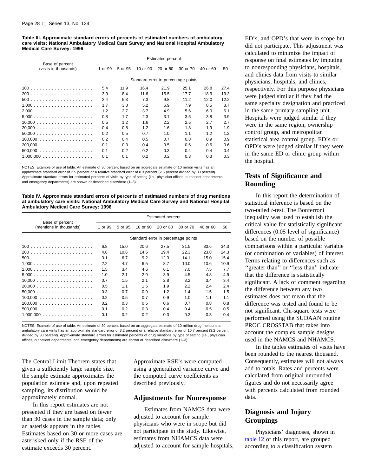<span id="page-33-0"></span>**Table III. Approximate standard errors of percents of estimated numbers of ambulatory care visits: National Ambulatory Medical Care Survey and National Hospital Ambulatory Medical Care Survey: 1996**

|                                          | <b>Estimated percent</b> |         |          |          |                                     |          |      |
|------------------------------------------|--------------------------|---------|----------|----------|-------------------------------------|----------|------|
| Base of percent<br>(visits in thousands) | 1 or 99                  | 5 or 95 | 10 or 90 | 20 or 80 | 30 or 70                            | 40 or 60 | 50   |
|                                          |                          |         |          |          | Standard error in percentage points |          |      |
|                                          | 5.4                      | 11.9    | 16.4     | 21.9     | 25.1                                | 26.8     | 27.4 |
| 200                                      | 3.9                      | 8.4     | 11.6     | 15.5     | 17.7                                | 18.9     | 19.3 |
|                                          | 2.4                      | 5.3     | 7.3      | 9.8      | 11.2                                | 12.0     | 12.2 |
|                                          | 1.7                      | 3.8     | 5.2      | 6.9      | 7.9                                 | 8.5      | 8.7  |
|                                          | 1.2                      | 2.7     | 3.7      | 4.9      | 5.6                                 | 6.0      | 6.1  |
|                                          | 0.8                      | 1.7     | 2.3      | 3.1      | 3.5                                 | 3.8      | 3.9  |
|                                          | 0.5                      | 1.2     | 1.6      | 2.2      | $2.5\,$                             | 2.7      | 2.7  |
|                                          | 0.4                      | 0.8     | 1.2      | 1.6      | 1.8                                 | 1.9      | 1.9  |
|                                          | 0.2                      | 0.5     | 0.7      | 1.0      | 1.1                                 | 1.2      | 1.2  |
| 100.000<br>.                             | 0.2                      | 0.4     | 0.5      | 0.7      | 0.8                                 | 0.9      | 0.9  |
| 200.000<br>.                             | 0.1                      | 0.3     | 0.4      | 0.5      | 0.6                                 | 0.6      | 0.6  |
|                                          | 0.1                      | 0.2     | 0.2      | 0.3      | 0.4                                 | 0.4      | 0.4  |
| $1,000,000$                              | 0.1                      | 0.1     | 0.2      | 0.2      | 0.3                                 | 0.3      | 0.3  |

NOTES: Example of use of table: An estimate of 30 percent based on an aggregate estimate of 10 million visits has an approximate standard error of 2.5 percent or a relative standard error of 8.3 percent (2.5 percent divided by 30 percent). Approximate standard errors for estimated percents of visits by type of setting (i.e., physician offices, outpatient departments, and emergency departments) are shown or described elsewhere (1–3).

**Table IV. Approximate standard errors of percents of estimated numbers of drug mentions at ambulatory care visits: National Ambulatory Medical Care Survey and National Hospital Ambulatory Medical Care Survey: 1996**

|                                            | <b>Estimated percent</b> |         |          |          |                                     |          |      |
|--------------------------------------------|--------------------------|---------|----------|----------|-------------------------------------|----------|------|
| Base of percent<br>(mentions in thousands) | 1 or 99                  | 5 or 95 | 10 or 90 | 20 or 80 | 30 or 70                            | 40 or 60 | 50   |
|                                            |                          |         |          |          | Standard error in percentage points |          |      |
|                                            | 6.8                      | 15.0    | 20.6     | 27.5     | 31.5                                | 33.6     | 34.3 |
|                                            | 4.8                      | 10.6    | 14.6     | 19.4     | 22.3                                | 23.8     | 24.3 |
|                                            | 3.1                      | 6.7     | 9.2      | 12.3     | 14.1                                | 15.0     | 15.4 |
|                                            | 2.2                      | 4.7     | 6.5      | 8.7      | 10.0                                | 10.6     | 10.9 |
|                                            | 1.5                      | 3.4     | 4.6      | 6.1      | 7.0                                 | 7.5      | 7.7  |
|                                            | 1.0                      | 2.1     | 2.9      | 3.9      | 4.5                                 | 4.8      | 4.9  |
|                                            | 0.7                      | 1.5     | 2.1      | 2.8      | 3.2                                 | 3.4      | 3.4  |
|                                            | 0.5                      | 1.1     | 1.5      | 1.9      | 2.2                                 | 2.4      | 2.4  |
|                                            | 0.3                      | 0.7     | 0.9      | 1.2      | 1.4                                 | 1.5      | 1.5  |
| 100,000<br>.                               | 0.2                      | 0.5     | 0.7      | 0.9      | 1.0                                 | 1.1      | 1.1  |
| 200,000<br>.                               | 0.2                      | 0.3     | 0.5      | 0.6      | 0.7                                 | 0.8      | 0.8  |
| 500,000<br>.                               | 0.1                      | 0.2     | 0.3      | 0.4      | 0.4                                 | 0.5      | 0.5  |
|                                            | 0.1                      | 0.2     | 0.2      | 0.3      | 0.3                                 | 0.3      | 0.4  |

NOTES: Example of use of table: An estimate of 30 percent based on an aggregate estimate of 10 million drug mentions at ambulatory care visits has an approximate standard error of 3.2 percent or a relative standard error of 10.7 percent (3.2 percent divided by 30 percent). Approximate standard errors for estimated percents of drug mentions by type of setting (i.e., physician offices, outpatient departments, and emergency departments) are shown or described elsewhere (1–3).

The Central Limit Theorem states that, given a sufficiently large sample size, the sample estimate approximates the population estimate and, upon repeated sampling, its distribution would be approximately normal.

In this report estimates are not presented if they are based on fewer than 30 cases in the sample data; only an asterisk appears in the tables. Estimates based on 30 or more cases are asterisked only if the RSE of the estimate exceeds 30 percent.

Approximate RSE's were computed using a generalized variance curve and the computed curve coefficients as described previously.

#### **Adjustments for Nonresponse**

Estimates from NAMCS data were adjusted to account for sample physicians who were in scope but did not participate in the study. Likewise, estimates from NHAMCS data were adjusted to account for sample hospitals, ED's, and OPD's that were in scope but did not participate. This adjustment was calculated to minimize the impact of response on final estimates by imputing to nonresponding physicians, hospitals, and clinics data from visits to similar physicians, hospitals, and clinics, respectively. For this purpose physicians were judged similar if they had the same specialty designation and practiced in the same primary sampling unit. Hospitals were judged similar if they were in the same region, ownership control group, and metropolitan statistical area control group. ED's or OPD's were judged similar if they were in the same ED or clinic group within the hospital.

#### **Tests of Significance and Rounding**

In this report the determination of statistical inference is based on the two-tailed *t*-test. The Bonferroni inequality was used to establish the critical value for statistically significant differences (0.05 level of significance) based on the number of possible comparisons within a particular variable (or combination of variables) of interest. Terms relating to differences such as "greater than" or "less than" indicate that the difference is statistically significant. A lack of comment regarding the difference between any two estimates does not mean that the difference was tested and found to be not significant. Chi-square tests were performed using the SUDAAN routine PROC CROSSTAB that takes into account the complex sample designs used in the NAMCS and NHAMCS.

In the tables estimates of visits have been rounded to the nearest thousand. Consequently, estimates will not always add to totals. Rates and percents were calculated from original unrounded figures and do not necessarily agree with percents calculated from rounded data.

#### **Diagnosis and Injury Groupings**

Physicians' diagnoses, shown in [table 12](#page-23-0) of this report, are grouped according to a classification system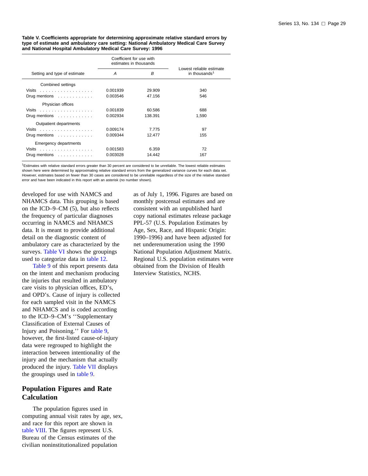<span id="page-34-0"></span>**Table V. Coefficients appropriate for determining approximate relative standard errors by type of estimate and ambulatory care setting: National Ambulatory Medical Care Survey and National Hospital Ambulatory Medical Care Survey: 1996**

|                                              | Coefficient for use with<br>estimates in thousands |         |                                                       |
|----------------------------------------------|----------------------------------------------------|---------|-------------------------------------------------------|
| Setting and type of estimate                 | A                                                  | B       | Lowest reliable estimate<br>in thousands <sup>1</sup> |
| Combined settings                            |                                                    |         |                                                       |
| Visits                                       | 0.001939                                           | 29.909  | 340                                                   |
| Drug mentions $\dots \dots \dots$            | 0.003546                                           | 47.156  | 546                                                   |
| Physician offices                            |                                                    |         |                                                       |
| Visits $\ldots$                              | 0.001839                                           | 60.586  | 688                                                   |
| Drug mentions $\dots \dots \dots$            | 0.002934                                           | 138.391 | 1,590                                                 |
| Outpatient departments                       |                                                    |         |                                                       |
|                                              | 0.009174                                           | 7.775   | 97                                                    |
| Drug mentions $\dots \dots \dots$            | 0.009344                                           | 12.477  | 155                                                   |
| Emergency departments                        |                                                    |         |                                                       |
| Visits received a construction of the Visits | 0.001583                                           | 6.359   | 72                                                    |
| Drug mentions                                | 0.003028                                           | 14.442  | 167                                                   |

 $1$ Estimates with relative standard errors greater than 30 percent are considered to be unreliable. The lowest reliable estimates shown here were determined by approximating relative standard errors from the generalized variance curves for each data set. However, estimates based on fewer than 30 cases are considered to be unreliable regardless of the size of the relative standard error and have been indicated in this report with an asterisk (no number shown).

developed for use with NAMCS and NHAMCS data. This grouping is based on the ICD–9–CM (5), but also reflects the frequency of particular diagnoses occurring in NAMCS and NHAMCS data. It is meant to provide additional detail on the diagnostic content of ambulatory care as characterized by the surveys. [Table VI](#page-35-0) shows the groupings used to categorize data in [table 12.](#page-23-0)

[Table 9](#page-21-0) of this report presents data on the intent and mechanism producing the injuries that resulted in ambulatory care visits to physician offices, ED's, and OPD's. Cause of injury is collected for each sampled visit in the NAMCS and NHAMCS and is coded according to the ICD–9–CM's ''Supplementary Classification of External [Causes of](#page-21-0) Injury and Poisoning.'' For table 9, however, the first-listed cause-of-injury data were regrouped to highlight the interaction between intentionality of the injury and the mec[hanism that act](#page-38-0)ually produced the injury. Table VII displays the groupings used in [table 9.](#page-21-0)

#### **Population Figures and Rate Calculation**

The population figures used in computing annual visit rates by age, sex, and race for this report are shown in [table VIII. Th](#page-39-0)e figures represent U.S. Bureau of the Census estimates of the civilian noninstitutionalized population

as of July 1, 1996. Figures are based on monthly postcensal estimates and are consistent with an unpublished hard copy national estimates release package PPL-57 (U.S. Population Estimates by Age, Sex, Race, and Hispanic Origin: 1990–1996) and have been adjusted for net underenumeration using the 1990 National Population Adjustment Matrix. Regional U.S. population estimates were obtained from the Division of Health Interview Statistics, NCHS.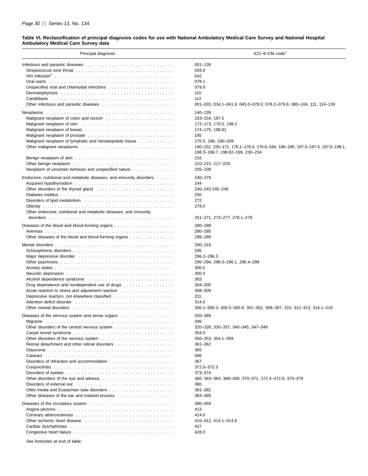#### <span id="page-35-0"></span>**Table VI. Reclassification of principal diagnosis codes for use with National Ambulatory Medical Care Survey and National Hospital Ambulatory Medical Care Survey data**

| Principal diagnosis                                                   | $ICD-9-CM code1$                                                                                                 |
|-----------------------------------------------------------------------|------------------------------------------------------------------------------------------------------------------|
|                                                                       | $001 - 139$                                                                                                      |
|                                                                       | 034.0                                                                                                            |
|                                                                       | 042                                                                                                              |
|                                                                       | 078.1                                                                                                            |
|                                                                       | 079.9                                                                                                            |
|                                                                       | 110                                                                                                              |
|                                                                       | 112                                                                                                              |
|                                                                       | 001-033, 034.1-041.9, 045.0-078.0, 078.2-079.8, 080-104, 111, 114-139                                            |
|                                                                       |                                                                                                                  |
|                                                                       | 140-239                                                                                                          |
|                                                                       | 153-154, 197.5                                                                                                   |
|                                                                       | 172-173, 176.0, 198.2                                                                                            |
|                                                                       | 174-175, 198.81                                                                                                  |
|                                                                       | 185                                                                                                              |
| Malignant neoplasm of lymphatic and hematopoietic tissue              | 176.5, 196, 200-208                                                                                              |
|                                                                       | 140-152, 155-171, 176.1-176.4, 176.6-184, 186-195, 197.0-197.4, 197.6-198.1,<br>198.3-198.7, 198.82-199, 230-234 |
|                                                                       | 216                                                                                                              |
|                                                                       | 210-215, 217-229                                                                                                 |
| Neoplasm of uncertain behavior and unspecified nature                 | 235-239                                                                                                          |
| Endocrine, nutritional and metabolic diseases, and immunity disorders | 240-279                                                                                                          |
|                                                                       | 244                                                                                                              |
|                                                                       | 240-243.245-246                                                                                                  |
|                                                                       | 250                                                                                                              |
|                                                                       | 272                                                                                                              |
|                                                                       | 278.0                                                                                                            |
| Other endocrine, nutritional and metabolic diseases, and immunity     |                                                                                                                  |
|                                                                       | 251-271, 273-277, 278.1-279                                                                                      |
|                                                                       | 280-289                                                                                                          |
| Anemias<br>$\mathbf{1}$                                               | 280-285                                                                                                          |
| Other diseases of the blood and blood-forming organs                  | 286-289                                                                                                          |
|                                                                       | 290-319                                                                                                          |
|                                                                       | 295                                                                                                              |
|                                                                       | 296.2-296.3                                                                                                      |
|                                                                       | 290-294, 296.0-296.1, 296.4-299                                                                                  |
|                                                                       | 300.0                                                                                                            |
|                                                                       | 300.4                                                                                                            |
|                                                                       | 303                                                                                                              |
| Drug dependence and nondependent use of drugs                         | 304-305                                                                                                          |
|                                                                       | 308-309                                                                                                          |
|                                                                       | 311                                                                                                              |
|                                                                       |                                                                                                                  |
|                                                                       | 314.0                                                                                                            |
|                                                                       | 300.1-300.3, 300.5-300.9, 301-302, 306-307, 310, 312-313, 314.1-319                                              |
| Diseases of the nervous system and sense organs                       | 320-389                                                                                                          |
|                                                                       | 346                                                                                                              |
|                                                                       | 320-326, 330-337, 340-345, 347-349                                                                               |
|                                                                       | 354.0                                                                                                            |
|                                                                       | 350-353, 354.1-359                                                                                               |
|                                                                       | $361 - 362$                                                                                                      |
|                                                                       | 365                                                                                                              |
|                                                                       | 366                                                                                                              |
|                                                                       | 367                                                                                                              |
|                                                                       | 372.0-372.3                                                                                                      |
|                                                                       | 373-374                                                                                                          |
|                                                                       | 360, 363-364, 368-369, 370-371, 372.4-372.9, 375-379                                                             |
|                                                                       | 380                                                                                                              |
|                                                                       | 381-382                                                                                                          |
|                                                                       | 383-389                                                                                                          |
|                                                                       | 390-459                                                                                                          |
|                                                                       | 413                                                                                                              |
|                                                                       | 414.0                                                                                                            |
|                                                                       | 410-412, 414.1-414.9                                                                                             |
|                                                                       | 427                                                                                                              |
|                                                                       | 428.0                                                                                                            |
|                                                                       |                                                                                                                  |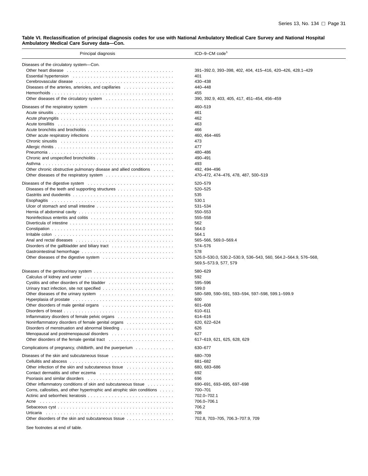#### **Table VI. Reclassification of principal diagnosis codes for use with National Ambulatory Medical Care Survey and National Hospital Ambulatory Medical Care Survey data—Con.**

| Principal diagnosis                                                                                                                                                                                                           | $ICD-9-CM code1$                                              |
|-------------------------------------------------------------------------------------------------------------------------------------------------------------------------------------------------------------------------------|---------------------------------------------------------------|
| Diseases of the circulatory system-Con.                                                                                                                                                                                       |                                                               |
|                                                                                                                                                                                                                               | 391-392.0, 393-398, 402, 404, 415-416, 420-426, 428.1-429     |
| Essential hypertension education of the state of the state of the state of the state of the state of the state of the state of the state of the state of the state of the state of the state of the state of the state of the | 401                                                           |
|                                                                                                                                                                                                                               | 430-438                                                       |
| Diseases of the arteries, arterioles, and capillaries                                                                                                                                                                         | 440-448                                                       |
|                                                                                                                                                                                                                               | 455                                                           |
|                                                                                                                                                                                                                               | 390, 392.9, 403, 405, 417, 451-454, 456-459                   |
|                                                                                                                                                                                                                               |                                                               |
|                                                                                                                                                                                                                               | 460-519                                                       |
|                                                                                                                                                                                                                               | 461                                                           |
|                                                                                                                                                                                                                               | 462                                                           |
|                                                                                                                                                                                                                               | 463                                                           |
|                                                                                                                                                                                                                               | 466                                                           |
|                                                                                                                                                                                                                               | 460, 464-465                                                  |
|                                                                                                                                                                                                                               | 473                                                           |
|                                                                                                                                                                                                                               | 477                                                           |
|                                                                                                                                                                                                                               | 480-486                                                       |
|                                                                                                                                                                                                                               | 490-491                                                       |
|                                                                                                                                                                                                                               | 493                                                           |
| Other chronic obstructive pulmonary disease and allied conditions                                                                                                                                                             | 492, 494-496                                                  |
|                                                                                                                                                                                                                               | 470-472, 474-476, 478, 487, 500-519                           |
|                                                                                                                                                                                                                               | 520-579                                                       |
|                                                                                                                                                                                                                               | 520-525                                                       |
|                                                                                                                                                                                                                               |                                                               |
|                                                                                                                                                                                                                               | 535                                                           |
|                                                                                                                                                                                                                               | 530.1                                                         |
|                                                                                                                                                                                                                               | 531-534                                                       |
|                                                                                                                                                                                                                               | 550-553                                                       |
|                                                                                                                                                                                                                               | 555-558                                                       |
|                                                                                                                                                                                                                               | 562                                                           |
|                                                                                                                                                                                                                               | 564.0                                                         |
|                                                                                                                                                                                                                               | 564.1                                                         |
|                                                                                                                                                                                                                               | 565-566, 569.0-569.4                                          |
|                                                                                                                                                                                                                               | 574-576                                                       |
|                                                                                                                                                                                                                               | 578                                                           |
|                                                                                                                                                                                                                               | 526.0-530.0, 530.2-530.9, 536-543, 560, 564.2-564.9, 576-568, |
|                                                                                                                                                                                                                               | 569.5-573.9, 577, 579                                         |
|                                                                                                                                                                                                                               | 580-629                                                       |
|                                                                                                                                                                                                                               | 592                                                           |
|                                                                                                                                                                                                                               | 595-596                                                       |
|                                                                                                                                                                                                                               | 599.0                                                         |
|                                                                                                                                                                                                                               | 580-589, 590-591, 593-594, 597-598, 599.1-599.9               |
|                                                                                                                                                                                                                               | 600                                                           |
|                                                                                                                                                                                                                               | 601-608                                                       |
|                                                                                                                                                                                                                               | 610-611                                                       |
|                                                                                                                                                                                                                               | 614–616                                                       |
| Noninflammatory disorders of female genital organs                                                                                                                                                                            | 620, 622-624                                                  |
|                                                                                                                                                                                                                               | 626                                                           |
|                                                                                                                                                                                                                               | 627                                                           |
|                                                                                                                                                                                                                               | 617-619, 621, 625, 628, 629                                   |
|                                                                                                                                                                                                                               |                                                               |
| Complications of pregnancy, childbirth, and the puerperium $\ldots \ldots \ldots \ldots$                                                                                                                                      | 630-677                                                       |
|                                                                                                                                                                                                                               | 680-709                                                       |
|                                                                                                                                                                                                                               | 681-682                                                       |
|                                                                                                                                                                                                                               | 680, 683-686                                                  |
|                                                                                                                                                                                                                               | 692                                                           |
|                                                                                                                                                                                                                               | 696                                                           |
| Other inflammatory conditions of skin and subcutaneous tissue                                                                                                                                                                 | 690-691, 693-695, 697-698                                     |
| Corns, callosities, and other hypertrophic and atrophic skin conditions                                                                                                                                                       | 700-701                                                       |
|                                                                                                                                                                                                                               | 702.0-702.1                                                   |
|                                                                                                                                                                                                                               | 706.0-706.1                                                   |
|                                                                                                                                                                                                                               | 706.2                                                         |
|                                                                                                                                                                                                                               | 708                                                           |
| Other disorders of the skin and subcutaneous tissue                                                                                                                                                                           | 702.8, 703-705, 706.3-707.9, 709                              |
|                                                                                                                                                                                                                               |                                                               |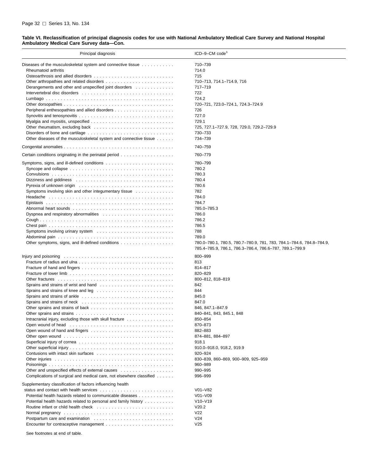#### **Table VI. Reclassification of principal diagnosis codes for use with National Ambulatory Medical Care Survey and National Hospital Ambulatory Medical Care Survey data—Con.**

| Principal diagnosis                                                                                                                                                                                                            | $ICD-9-CM code1$                                                                                                                |
|--------------------------------------------------------------------------------------------------------------------------------------------------------------------------------------------------------------------------------|---------------------------------------------------------------------------------------------------------------------------------|
| Diseases of the musculoskeletal system and connective tissue                                                                                                                                                                   | 710-739                                                                                                                         |
| Rheumatoid arthritis                                                                                                                                                                                                           | 714.0                                                                                                                           |
|                                                                                                                                                                                                                                | 715                                                                                                                             |
|                                                                                                                                                                                                                                | 710-713, 714.1-714.9, 716                                                                                                       |
| Derangements and other and unspecified joint disorders                                                                                                                                                                         | 717-719                                                                                                                         |
|                                                                                                                                                                                                                                | 722                                                                                                                             |
|                                                                                                                                                                                                                                | 724.2                                                                                                                           |
|                                                                                                                                                                                                                                | 720-721, 723.0-724.1, 724.3-724.9                                                                                               |
|                                                                                                                                                                                                                                | 726                                                                                                                             |
|                                                                                                                                                                                                                                | 727.0                                                                                                                           |
| Myalgia and myositis, unspecified $\ldots \ldots \ldots \ldots \ldots \ldots \ldots \ldots \ldots \ldots$                                                                                                                      | 729.1                                                                                                                           |
|                                                                                                                                                                                                                                | 725, 727.1-727.9, 728, 729.0, 729.2-729.9                                                                                       |
|                                                                                                                                                                                                                                | 730-733                                                                                                                         |
| Other diseases of the musculoskeletal system and connective tissue                                                                                                                                                             | 734-739                                                                                                                         |
|                                                                                                                                                                                                                                | 740-759                                                                                                                         |
|                                                                                                                                                                                                                                | 760-779                                                                                                                         |
|                                                                                                                                                                                                                                | 780-799                                                                                                                         |
| Syncope and collapse $\ldots \ldots \ldots \ldots \ldots \ldots \ldots \ldots \ldots \ldots \ldots \ldots \ldots$                                                                                                              | 780.2                                                                                                                           |
|                                                                                                                                                                                                                                | 780.3                                                                                                                           |
| Dizziness and giddiness entertainment in the state of the state of the state of the state of the state of the s                                                                                                                | 780.4                                                                                                                           |
|                                                                                                                                                                                                                                | 780.6                                                                                                                           |
| Symptoms involving skin and other integumentary tissue $\ldots \ldots \ldots \ldots$                                                                                                                                           | 782                                                                                                                             |
|                                                                                                                                                                                                                                | 784.0                                                                                                                           |
|                                                                                                                                                                                                                                | 784.7                                                                                                                           |
|                                                                                                                                                                                                                                | 785.0-785.3                                                                                                                     |
|                                                                                                                                                                                                                                | 786.0                                                                                                                           |
|                                                                                                                                                                                                                                | 786.2                                                                                                                           |
|                                                                                                                                                                                                                                | 786.5                                                                                                                           |
|                                                                                                                                                                                                                                | 788                                                                                                                             |
|                                                                                                                                                                                                                                | 789.0                                                                                                                           |
|                                                                                                                                                                                                                                | 780.0-780.1, 780.5, 780.7-780.9, 781, 783, 784.1-784.6, 784.8-784.9,<br>785.4-785.9, 786.1, 786.3-786.4, 786.6-787, 789.1-799.9 |
| Injury and poisoning                                                                                                                                                                                                           | 800-999                                                                                                                         |
|                                                                                                                                                                                                                                | 813                                                                                                                             |
|                                                                                                                                                                                                                                | 814-817                                                                                                                         |
|                                                                                                                                                                                                                                | 820-829                                                                                                                         |
| Other fractures enterprise in the contract of the contract of the contract of the contract of the contract of the contract of the contract of the contract of the contract of the contract of the contract of the contract of  | 800-812, 818-819                                                                                                                |
|                                                                                                                                                                                                                                | 842                                                                                                                             |
|                                                                                                                                                                                                                                | 844                                                                                                                             |
|                                                                                                                                                                                                                                | 845.0                                                                                                                           |
|                                                                                                                                                                                                                                | 847.0                                                                                                                           |
|                                                                                                                                                                                                                                | 846, 847.1-847.9                                                                                                                |
|                                                                                                                                                                                                                                | 840-841, 843, 845.1, 848                                                                                                        |
| Intracranial injury, excluding those with skull fracture $\ldots \ldots \ldots \ldots \ldots$                                                                                                                                  | 850-854                                                                                                                         |
|                                                                                                                                                                                                                                | 870-873<br>882-883                                                                                                              |
|                                                                                                                                                                                                                                | 874-881, 884-897                                                                                                                |
|                                                                                                                                                                                                                                | 918.1                                                                                                                           |
|                                                                                                                                                                                                                                | 910.0-918.0, 918.2, 919.9                                                                                                       |
|                                                                                                                                                                                                                                | 920-924                                                                                                                         |
|                                                                                                                                                                                                                                | 830-839, 860-869, 900-909, 925-959                                                                                              |
|                                                                                                                                                                                                                                | 960-989                                                                                                                         |
|                                                                                                                                                                                                                                | 990-995                                                                                                                         |
| Complications of surgical and medical care, not elsewhere classified                                                                                                                                                           | 996-999                                                                                                                         |
| Supplementary classification of factors influencing health                                                                                                                                                                     |                                                                                                                                 |
|                                                                                                                                                                                                                                | $V01-V82$                                                                                                                       |
| Potential health hazards related to communicable diseases                                                                                                                                                                      | $V01 - V09$                                                                                                                     |
| Potential health hazards related to personal and family history                                                                                                                                                                | $V10-V19$                                                                                                                       |
|                                                                                                                                                                                                                                | V20.2                                                                                                                           |
| Normal pregnancy enterprise in the serve in the server contract to the server of the server of the server of the server of the server of the server of the server of the server of the server of the server of the server of t | V <sub>22</sub>                                                                                                                 |
|                                                                                                                                                                                                                                | V <sub>24</sub>                                                                                                                 |
|                                                                                                                                                                                                                                | V <sub>25</sub>                                                                                                                 |
| See footnotes at end of table.                                                                                                                                                                                                 |                                                                                                                                 |
|                                                                                                                                                                                                                                |                                                                                                                                 |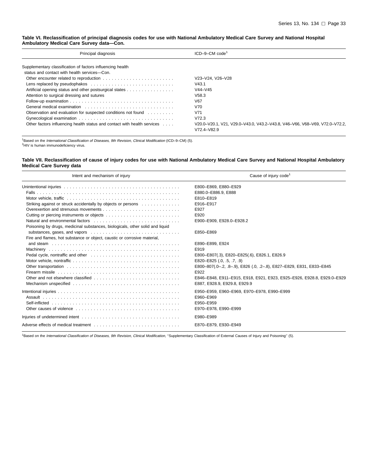#### <span id="page-38-0"></span>**Table VI. Reclassification of principal diagnosis codes for use with National Ambulatory Medical Care Survey and National Hospital Ambulatory Medical Care Survey data—Con.**

| Principal diagnosis                                                      | $ICD-9-CM$ code <sup>1</sup>                                                                  |
|--------------------------------------------------------------------------|-----------------------------------------------------------------------------------------------|
| Supplementary classification of factors influencing health               |                                                                                               |
| status and contact with health services-Con.                             |                                                                                               |
|                                                                          | V23-V24. V26-V28                                                                              |
|                                                                          | V43.1                                                                                         |
| Artificial opening status and other postsurgical states                  | $V44-V45$                                                                                     |
| Attention to surgical dressing and sutures                               | V58.3                                                                                         |
|                                                                          | V67                                                                                           |
|                                                                          | V70                                                                                           |
| Observation and evaluation for suspected conditions not found            | V71                                                                                           |
|                                                                          | V72.3                                                                                         |
| Other factors influencing health status and contact with health services | V20.0-V20.1, V21, V29.0-V43.0, V43.2-V43.8, V46-V66, V68-V69, V72.0-V72.2,<br>$V72.4 - V82.9$ |

1Based on the International Classification of Diseases, 9th Revision, Clinical Modification (ICD–9–CM) (5). 2HIV is human immunodeficiency virus.

**Table VII. Reclassification of cause of injury codes for use with National Ambulatory Medical Care Survey and National Hospital Ambulatory Medical Care Survey data**

| Intent and mechanism of injury                                                                                                                                                                                                 | Cause of injury code <sup>1</sup>                                                                      |  |  |  |  |  |
|--------------------------------------------------------------------------------------------------------------------------------------------------------------------------------------------------------------------------------|--------------------------------------------------------------------------------------------------------|--|--|--|--|--|
|                                                                                                                                                                                                                                | E800-E869, E880-E929                                                                                   |  |  |  |  |  |
|                                                                                                                                                                                                                                | E880.0-E886.9, E888                                                                                    |  |  |  |  |  |
|                                                                                                                                                                                                                                | E810-E819                                                                                              |  |  |  |  |  |
| Striking against or struck accidentally by objects or persons                                                                                                                                                                  | E916-E917                                                                                              |  |  |  |  |  |
|                                                                                                                                                                                                                                | E927                                                                                                   |  |  |  |  |  |
|                                                                                                                                                                                                                                | E920                                                                                                   |  |  |  |  |  |
|                                                                                                                                                                                                                                | E900-E909, E928.0-E928.2                                                                               |  |  |  |  |  |
| Poisoning by drugs, medicinal substances, biologicals, other solid and liquid                                                                                                                                                  |                                                                                                        |  |  |  |  |  |
|                                                                                                                                                                                                                                | E850-E869                                                                                              |  |  |  |  |  |
| Fire and flames, hot substance or object, caustic or corrosive material,                                                                                                                                                       |                                                                                                        |  |  |  |  |  |
|                                                                                                                                                                                                                                | E890-E899, E924                                                                                        |  |  |  |  |  |
|                                                                                                                                                                                                                                | E919                                                                                                   |  |  |  |  |  |
| Pedal cycle, nontraffic and other electronic contained a cycle of the order of the contact of the cycle of the cycle of the cycle of the cycle of the cycle of the cycle of the cycle of the cycle of the cycle of the cycle o | E800-E807(.3), E820-E825(.6), E826.1, E826.9                                                           |  |  |  |  |  |
|                                                                                                                                                                                                                                | E820-E825 $(.0, .5, .7, .9)$                                                                           |  |  |  |  |  |
|                                                                                                                                                                                                                                | E800-807(.0-.2, .8-.9), E826 (.0, .2-.8), E827-E829, E831, E833-E845                                   |  |  |  |  |  |
|                                                                                                                                                                                                                                | E922                                                                                                   |  |  |  |  |  |
|                                                                                                                                                                                                                                | E846-E848, E911-E915, E918, E921, E923, E925-E926, E928.8, E929.0-E929<br>E887, E928.9, E929.8, E929.9 |  |  |  |  |  |
|                                                                                                                                                                                                                                | E950-E959, E960-E969, E970-E978, E990-E999                                                             |  |  |  |  |  |
|                                                                                                                                                                                                                                | E960-E969                                                                                              |  |  |  |  |  |
|                                                                                                                                                                                                                                | E950-E959                                                                                              |  |  |  |  |  |
|                                                                                                                                                                                                                                | E970-E978, E990-E999                                                                                   |  |  |  |  |  |
|                                                                                                                                                                                                                                | E980-E989                                                                                              |  |  |  |  |  |
|                                                                                                                                                                                                                                | E870-E879, E930-E949                                                                                   |  |  |  |  |  |

1Based on the International Classification of Diseases, 9th Revision, Clinical Modification, "Supplementary Classification of External Causes of Injury and Poisoning" (5).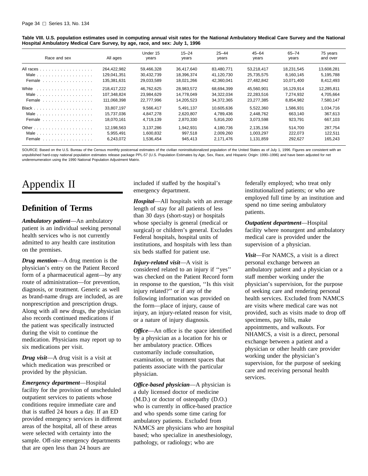<span id="page-39-0"></span>

| Table VIII. U.S. population estimates used in computing annual visit rates for the National Ambulatory Medical Care Survey and the National |  |
|---------------------------------------------------------------------------------------------------------------------------------------------|--|
| Hospital Ambulatory Medical Care Survey, by age, race, and sex: July 1, 1996                                                                |  |

| Race and sex                                                | All ages    | Under 15<br>years | $15 - 24$<br>years | $25 - 44$<br>years | $45 - 64$<br>years | 65-74<br>years | 75 years<br>and over |
|-------------------------------------------------------------|-------------|-------------------|--------------------|--------------------|--------------------|----------------|----------------------|
| All races                                                   | 264.422.982 | 59.466.328        | 36.417.640         | 83.480.771         | 53.218.417         | 18.231.545     | 13.608.281           |
|                                                             | 129.041.351 | 30.432.739        | 18.396.374         | 41.120.730         | 25.735.575         | 8.160.145      | 5,195,788            |
| Female $\ldots$ ,                                           | 135,381,631 | 29,033,589        | 18,021,266         | 42,360,041         | 27,482,842         | 10,071,400     | 8,412,493            |
| White                                                       | 218.417.222 | 46,762,625        | 28.983.572         | 68,694,399         | 45.560.901         | 16.129.914     | 12.285.811           |
| Male                                                        | 107.348.824 | 23,984,629        | 14.778.049         | 34,322,034         | 22,283,516         | 7.274.932      | 4,705,664            |
| Female                                                      | 111,068,398 | 22.777.996        | 14,205,523         | 34,372,365         | 23,277,385         | 8.854.982      | 7,580,147            |
|                                                             | 33.807.197  | 9.566.417         | 5.491.137          | 10,605,636         | 5.522.360          | 1.586.931      | 1,034,716            |
|                                                             | 15.737.036  | 4.847.278         | 2,620,807          | 4.789.436          | 2.448.762          | 663.140        | 367,613              |
| Female $\ldots$ , $\ldots$ , $\ldots$ , $\ldots$ , $\ldots$ | 18.070.161  | 4.719.139         | 2,870,330          | 5,816,200          | 3,073,598          | 923.791        | 667,103              |
|                                                             | 12.198.563  | 3.137.286         | 1.942.931          | 4.180.736          | 2.135.156          | 514.700        | 287.754              |
| Male $\ldots$                                               | 5,955,491   | 1,600,832         | 997,518            | 2,009,260          | 1,003,297          | 222.073        | 122.511              |
| Female $\ldots$ , $\ldots$ , $\ldots$ , $\ldots$ , $\ldots$ | 6,243,072   | 1,536,454         | 945.413            | 2,171,476          | 1,131,859          | 292.627        | 165,243              |

SOURCE: Based on the U.S. Bureau of the Census monthly postcensal estimates of the civilian noninstitutionalized population of the United States as of July 1, 1996. Figures are consistent with an unpublished hard-copy national population estimates release package PPL-57 (U.S. Population Estimates by Age, Sex, Race, and Hispanic Origin: 1990–1996) and have been adjusted for net underenumeration using the 1990 National Population Adjustment Matrix.

## Appendix II

### **Definition of Terms**

*Ambulatory patient*—An ambulatory patient is an individual seeking personal health services who is not currently admitted to any health care institution on the premises.

*Drug mention*—A drug mention is the physician's entry on the Patient Record form of a pharmaceutical agent—by any route of administration—for prevention, diagnosis, or treatment. Generic as well as brand-name drugs are included, as are nonprescription and prescription drugs. Along with all new drugs, the physician also records continued medications if the patient was specifically instructed during the visit to continue the medication. Physicians may report up to six medications per visit.

*Drug visit*—A drug visit is a visit at which medication was prescribed or provided by the physician.

*Emergency department*—Hospital facility for the provision of unscheduled outpatient services to patients whose conditions require immediate care and that is staffed 24 hours a day. If an ED provided emergency services in different areas of the hospital, all of these areas were selected with certainty into the sample. Off-site emergency departments that are open less than 24 hours are

included if staffed by the hospital's emergency department.

*Hospital*—All hospitals with an average length of stay for all patients of less than 30 days (short-stay) or hospitals whose specialty is general (medical or surgical) or children's general. Excludes Federal hospitals, hospital units of institutions, and hospitals with less than six beds staffed for patient use.

*Injury-related visit*—A visit is considered related to an injury if ''yes'' was checked on the Patient Record form in response to the question, ''Is this visit injury related?'' or if any of the following information was provided on the form—place of injury, cause of injury, an injury-related reason for visit, or a nature of injury diagnosis.

*Office*—An office is the space identified by a physician as a location for his or her ambulatory practice. Offices customarily include consultation, examination, or treatment spaces that patients associate with the particular physician.

*Office-based physician*—A physician is a duly licensed doctor of medicine (M.D.) or doctor of osteopathy (D.O.) who is currently in office-based practice and who spends some time caring for ambulatory patients. Excluded from NAMCS are physicians who are hospital based; who specialize in anesthesiology, pathology, or radiology; who are

federally employed; who treat only institutionalized patients; or who are employed full time by an institution and spend no time seeing ambulatory patients.

*Outpatient department*—Hospital facility where nonurgent and ambulatory medical care is provided under the supervision of a physician.

*Visit*—For NAMCS, a visit is a direct personal exchange between an ambulatory patient and a physician or a staff member working under the physician's supervision, for the purpose of seeking care and rendering personal health services. Excluded from NAMCS are visits where medical care was not provided, such as visits made to drop off specimens, pay bills, make appointments, and walkouts. For NHAMCS, a visit is a direct, personal exchange between a patient and a physician or other health care provider working under the physician's supervision, for the purpose of seeking care and receiving personal health services.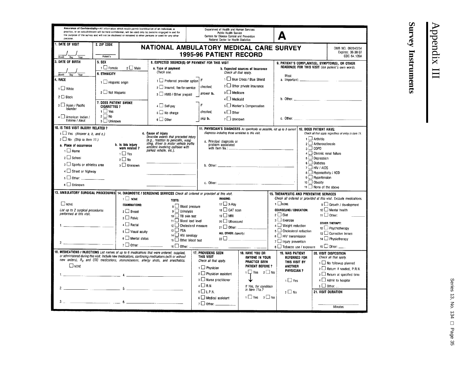<span id="page-40-0"></span>

| Assurance of Confidentiality-All information which would permit identification of an individual, a<br>Department of Health and Human Services<br>practice, or an establishment will be held confidential, will be used only by persons engaged in and for<br>Public Health Service<br>the purpose of the survey and will not be disclosed or released to other persons or used for any other<br>Centers for Disease Control and Prevention<br>purpose<br>National Center for Health Statistics |                                                                                               |                                     |                                                                                                                      |                                                                         |                           |                                                                                                                                                                                                                               |                                                                             |                                                                                            |                                                             |  |  |
|------------------------------------------------------------------------------------------------------------------------------------------------------------------------------------------------------------------------------------------------------------------------------------------------------------------------------------------------------------------------------------------------------------------------------------------------------------------------------------------------|-----------------------------------------------------------------------------------------------|-------------------------------------|----------------------------------------------------------------------------------------------------------------------|-------------------------------------------------------------------------|---------------------------|-------------------------------------------------------------------------------------------------------------------------------------------------------------------------------------------------------------------------------|-----------------------------------------------------------------------------|--------------------------------------------------------------------------------------------|-------------------------------------------------------------|--|--|
| 1. DATE OF VISIT                                                                                                                                                                                                                                                                                                                                                                                                                                                                               | 2. ZIP CODE<br>NATIONAL AMBULATORY MEDICAL CARE SURVEY<br>OMB NO. 0920-0234                   |                                     |                                                                                                                      |                                                                         |                           |                                                                                                                                                                                                                               |                                                                             |                                                                                            |                                                             |  |  |
|                                                                                                                                                                                                                                                                                                                                                                                                                                                                                                | Expires: 06-30-97<br><b>1995-96 PATIENT RECORD</b><br>CDC 64.109A<br>Patient's<br>Dav<br>Year |                                     |                                                                                                                      |                                                                         |                           |                                                                                                                                                                                                                               |                                                                             |                                                                                            |                                                             |  |  |
| <b>3. DATE OF BIRTH</b>                                                                                                                                                                                                                                                                                                                                                                                                                                                                        | 5. SEX                                                                                        |                                     | 8. EXPECTED SOURCE(S) OF PAYMENT FOR THIS VISIT                                                                      |                                                                         |                           |                                                                                                                                                                                                                               |                                                                             |                                                                                            | 9. PATIENT'S COMPLAINT(S), SYMPTOM(S), OR OTHER             |  |  |
|                                                                                                                                                                                                                                                                                                                                                                                                                                                                                                | $1 \Box$ Female                                                                               | $2 \Box$ Male                       | a. Type of payment                                                                                                   |                                                                         |                           | <b>b. Expected sources of insurance</b>                                                                                                                                                                                       |                                                                             |                                                                                            | REASON(S) FOR THIS VISIT Use patient's own words.           |  |  |
| Year<br>Month<br>Day                                                                                                                                                                                                                                                                                                                                                                                                                                                                           | <b>6. ETHNICITY</b>                                                                           |                                     | Check one.                                                                                                           |                                                                         | Check all that apply.     |                                                                                                                                                                                                                               | Most                                                                        |                                                                                            |                                                             |  |  |
| 4. RACE                                                                                                                                                                                                                                                                                                                                                                                                                                                                                        | 1 Hispanic origin                                                                             |                                     | 1 Preferred provider option                                                                                          |                                                                         |                           | 1 Blue Cross / Blue Shield                                                                                                                                                                                                    |                                                                             |                                                                                            |                                                             |  |  |
| 1 White                                                                                                                                                                                                                                                                                                                                                                                                                                                                                        |                                                                                               |                                     | 2 Insured, fee-for-service                                                                                           | checked.                                                                |                           | $2 \Box$ Other private insurance                                                                                                                                                                                              |                                                                             |                                                                                            |                                                             |  |  |
| $2 \Box$ Black                                                                                                                                                                                                                                                                                                                                                                                                                                                                                 | 2 Not Hispanic                                                                                |                                     | 3 HMO / Other prepaid                                                                                                | answer b.                                                               | 3 Medicare                |                                                                                                                                                                                                                               |                                                                             |                                                                                            |                                                             |  |  |
|                                                                                                                                                                                                                                                                                                                                                                                                                                                                                                | 7. DOES PATIENT SMOKE                                                                         |                                     |                                                                                                                      |                                                                         | 4   Medicaid              |                                                                                                                                                                                                                               | b. Other: $\frac{1}{2}$                                                     |                                                                                            | <u>and the state</u>                                        |  |  |
| 3 3 Asian / Pacific<br>Islander                                                                                                                                                                                                                                                                                                                                                                                                                                                                | <b>CIGARETTES ?</b>                                                                           |                                     | $4 \Box$ Self-pay                                                                                                    |                                                                         |                           | 5 U Worker's Compensation                                                                                                                                                                                                     |                                                                             |                                                                                            |                                                             |  |  |
|                                                                                                                                                                                                                                                                                                                                                                                                                                                                                                | $1 \Box Y$ es<br>$2 \Box$ No                                                                  |                                     | $5 \Box$ No charge                                                                                                   | checked.                                                                | $6 \Box$ Other            |                                                                                                                                                                                                                               |                                                                             |                                                                                            |                                                             |  |  |
| $4 \square$ American Indian /<br>Eskimo / Aleut                                                                                                                                                                                                                                                                                                                                                                                                                                                | $3$ Unknown                                                                                   |                                     | $6 \Box$ Other                                                                                                       | skip b.                                                                 | 7 Unknown                 |                                                                                                                                                                                                                               |                                                                             |                                                                                            |                                                             |  |  |
| 10. IS THIS VISIT INJURY RELATED ?                                                                                                                                                                                                                                                                                                                                                                                                                                                             |                                                                                               |                                     |                                                                                                                      |                                                                         |                           |                                                                                                                                                                                                                               | 11. PHYSICIAN'S DIAGNOSES As specifically as possible, list up to 3 current |                                                                                            | 12. DOES PATIENT HAVE:                                      |  |  |
| $1 \square$ Yes (Answer a, b, and c.)                                                                                                                                                                                                                                                                                                                                                                                                                                                          |                                                                                               |                                     | c. Cause of injury                                                                                                   |                                                                         |                           | diagnoses including those unrelated to this visit.                                                                                                                                                                            |                                                                             |                                                                                            | Check all that apply regardless of entry in Item 11.        |  |  |
| $2 \Box$ No (Skip to Item 11.)                                                                                                                                                                                                                                                                                                                                                                                                                                                                 |                                                                                               |                                     | Describe events that preceded injury<br>(e.g., reaction to penicillin, wasp                                          |                                                                         | a. Principal diagnosis or |                                                                                                                                                                                                                               |                                                                             |                                                                                            | $1$ Arthritis                                               |  |  |
| a. Place of occurrence                                                                                                                                                                                                                                                                                                                                                                                                                                                                         |                                                                                               | b. Is this injury<br>work related ? | sting, driver in motor vehicle traffic<br>accident involving collision with                                          |                                                                         | problem associated        |                                                                                                                                                                                                                               |                                                                             | $\overline{\mathbf{a}}$ $\Box$ copp                                                        | $2 \Box$ Artherosclerosis                                   |  |  |
| $1 \Box$ Home                                                                                                                                                                                                                                                                                                                                                                                                                                                                                  |                                                                                               | $\overline{1}$ Yes                  | parked vehicle, etc.).                                                                                               |                                                                         | with Item 9a.: __         |                                                                                                                                                                                                                               |                                                                             |                                                                                            | 4 Chronic renal failure                                     |  |  |
| $2 \Box$ School                                                                                                                                                                                                                                                                                                                                                                                                                                                                                |                                                                                               | $2 \Box$ No                         |                                                                                                                      |                                                                         |                           |                                                                                                                                                                                                                               |                                                                             |                                                                                            | 5 □ Depression                                              |  |  |
| 3 Sports or athletics area                                                                                                                                                                                                                                                                                                                                                                                                                                                                     |                                                                                               | 3 Unknown                           |                                                                                                                      |                                                                         |                           | b. Other: the contract of the contract of the contract of the contract of the contract of the contract of the contract of the contract of the contract of the contract of the contract of the contract of the contract of the |                                                                             |                                                                                            | $6 \Box$ Diabetes                                           |  |  |
| 4 Street or highway                                                                                                                                                                                                                                                                                                                                                                                                                                                                            |                                                                                               |                                     |                                                                                                                      |                                                                         |                           |                                                                                                                                                                                                                               |                                                                             |                                                                                            | $7$ HIV / AIDS<br>8 Hyperactivity / ADD                     |  |  |
| $5$ Other: __________                                                                                                                                                                                                                                                                                                                                                                                                                                                                          |                                                                                               |                                     |                                                                                                                      |                                                                         |                           |                                                                                                                                                                                                                               |                                                                             |                                                                                            | $9 \Box$ Hypertension                                       |  |  |
| $6 \Box$ Unknown                                                                                                                                                                                                                                                                                                                                                                                                                                                                               |                                                                                               |                                     |                                                                                                                      |                                                                         |                           | c. Other: $\frac{1}{2}$ $\frac{1}{2}$ $\frac{1}{2}$ $\frac{1}{2}$ $\frac{1}{2}$                                                                                                                                               |                                                                             | 10 □ Obesity                                                                               |                                                             |  |  |
|                                                                                                                                                                                                                                                                                                                                                                                                                                                                                                |                                                                                               |                                     |                                                                                                                      |                                                                         |                           |                                                                                                                                                                                                                               |                                                                             |                                                                                            | $11$ $\Box$ None of the above                               |  |  |
|                                                                                                                                                                                                                                                                                                                                                                                                                                                                                                |                                                                                               |                                     | 13. AMBULATORY SURGICAL PROCEDURES 14. DIAGNOSTIC / SCREENING SERVICES Check all ordered or provided at this visit.  |                                                                         |                           |                                                                                                                                                                                                                               | 15. THERAPEUTIC AND PREVENTIVE SERVICES                                     |                                                                                            |                                                             |  |  |
| $\Box$ NONE                                                                                                                                                                                                                                                                                                                                                                                                                                                                                    |                                                                                               | $1$ MONE                            | TESTS:                                                                                                               | <b>IMAGING:</b><br>17 $\Box$ X-Ray                                      |                           |                                                                                                                                                                                                                               |                                                                             | Check all ordered or provided at this visit. Exclude medications.<br>$1$ $\Box$ NONE       |                                                             |  |  |
| List up to 2 surgical procedures                                                                                                                                                                                                                                                                                                                                                                                                                                                               |                                                                                               | <b>EXAMINATIONS:</b>                | 8 Blood pressure                                                                                                     | 18 CAT scan                                                             |                           |                                                                                                                                                                                                                               |                                                                             | $9 \Box$ Growth / development<br>$10 \Box$ Mental health<br><b>COUNSELING / EDUCATION:</b> |                                                             |  |  |
| performed at this visit.                                                                                                                                                                                                                                                                                                                                                                                                                                                                       |                                                                                               | $2 \Box$ Breast                     | $9$ Urinalysis<br>$10$ $\Box$ TB skin test                                                                           |                                                                         | 19 <b>I</b> MRI           |                                                                                                                                                                                                                               |                                                                             | $2 \Box$ Diet<br>11 $\Box$ Other:                                                          |                                                             |  |  |
|                                                                                                                                                                                                                                                                                                                                                                                                                                                                                                |                                                                                               | $3 \Box$ Pelvic                     | 11 $\Box$ Blood lead level                                                                                           | $3 \Box$ Exercise<br>20 Ultrasound                                      |                           |                                                                                                                                                                                                                               |                                                                             |                                                                                            |                                                             |  |  |
|                                                                                                                                                                                                                                                                                                                                                                                                                                                                                                |                                                                                               | $4 \Box$ Rectal                     | 12 Cholesterol measure                                                                                               | OTHER THERAPY:<br>4 Weight reduction<br>$_{21}$ $\Box$ Other:           |                           |                                                                                                                                                                                                                               |                                                                             | 12 Psychotherapy                                                                           |                                                             |  |  |
|                                                                                                                                                                                                                                                                                                                                                                                                                                                                                                |                                                                                               | 5 Visual acuity                     | $13 \Box$ PSA<br>14 $\Box$ HIV serology                                                                              | ALL OTHER: (specify)                                                    |                           |                                                                                                                                                                                                                               |                                                                             | 5 Cholesterol reduction<br>$13$ $\Box$ Corrective lenses                                   |                                                             |  |  |
|                                                                                                                                                                                                                                                                                                                                                                                                                                                                                                |                                                                                               | $6 \Box$ Mental status              | 15 $\Box$ Other blood test                                                                                           | $22\Box$<br><u> 1980 - Jan Albert III, martin a</u>                     |                           |                                                                                                                                                                                                                               |                                                                             | $6$ $\Box$ HIV transmission<br>14 Physiotherapy<br>7 1 Injury prevention                   |                                                             |  |  |
|                                                                                                                                                                                                                                                                                                                                                                                                                                                                                                |                                                                                               | $7 \Box$ Other:                     | 16 $\Box$ Other: $\Box$                                                                                              |                                                                         |                           |                                                                                                                                                                                                                               | 8 J Tobacco use / exposure                                                  |                                                                                            | $\overline{15}$ $\Box$ Other: _____                         |  |  |
| 16. MEDICATIONS I INJECTIONS List names of up to 6 medications that were ordered, supplied,                                                                                                                                                                                                                                                                                                                                                                                                    |                                                                                               |                                     |                                                                                                                      | <b>17. PROVIDERS SEEN</b>                                               |                           | 18. HAVE YOU OR                                                                                                                                                                                                               | <b>19. WAS PATIENT</b>                                                      |                                                                                            | 20. VISIT DISPOSITION                                       |  |  |
|                                                                                                                                                                                                                                                                                                                                                                                                                                                                                                |                                                                                               |                                     | or administered during this visit. Include new medications, continuing medications (with or without                  | THIS VISIT                                                              |                           | ANYONE IN YOUR                                                                                                                                                                                                                | <b>REFERRED FOR</b>                                                         |                                                                                            | Check all that apply.                                       |  |  |
| $\Box$ NONE                                                                                                                                                                                                                                                                                                                                                                                                                                                                                    | new orders), $R_X$ and OTC medications, immunizations, allergy shots, and anesthetics.        |                                     |                                                                                                                      | Check all that apply.<br><b>PRACTICE SEEN</b><br><b>PATIENT BEFORE?</b> |                           | THIS VISIT BY<br>ANOTHER                                                                                                                                                                                                      |                                                                             | 1 No followup planned                                                                      |                                                             |  |  |
|                                                                                                                                                                                                                                                                                                                                                                                                                                                                                                |                                                                                               |                                     | $1 \Box$ Physician<br>$1 \square$ Yes $2 \square$ No<br>$2 \square$ Physician assistant                              |                                                                         | <b>PHYSICIAN ?</b>        |                                                                                                                                                                                                                               | 2 Return if needed, P.R.N.                                                  |                                                                                            |                                                             |  |  |
|                                                                                                                                                                                                                                                                                                                                                                                                                                                                                                |                                                                                               |                                     |                                                                                                                      |                                                                         | 3 Murse practitioner      |                                                                                                                                                                                                                               | $1 \Box$ Yes                                                                |                                                                                            | $3 \square$ Return at specified time<br>4 Admit to hospital |  |  |
|                                                                                                                                                                                                                                                                                                                                                                                                                                                                                                |                                                                                               |                                     |                                                                                                                      | $4 \square R.N.$<br>If Yes, for condition                               |                           |                                                                                                                                                                                                                               |                                                                             |                                                                                            | $5 \Box$ Other:                                             |  |  |
|                                                                                                                                                                                                                                                                                                                                                                                                                                                                                                |                                                                                               |                                     |                                                                                                                      | $5$ $\Box$ L.P.N.                                                       |                           |                                                                                                                                                                                                                               | $2 \Box$ No                                                                 |                                                                                            | 21. VISIT DURATION                                          |  |  |
|                                                                                                                                                                                                                                                                                                                                                                                                                                                                                                |                                                                                               |                                     |                                                                                                                      | $6 \Box$ Medical assistant                                              |                           | 1□ Yes 2□ No                                                                                                                                                                                                                  |                                                                             |                                                                                            |                                                             |  |  |
| 3.12                                                                                                                                                                                                                                                                                                                                                                                                                                                                                           | $\overline{\phantom{a}}$ 6. $\overline{\phantom{a}}$                                          |                                     | <u> 1990 - Johann John Store, markin samti samti samti samti samti samti samti samti samti samti samti samti sam</u> | $7 \Box$ Other: $\Box$                                                  |                           |                                                                                                                                                                                                                               |                                                                             |                                                                                            |                                                             |  |  |
|                                                                                                                                                                                                                                                                                                                                                                                                                                                                                                |                                                                                               |                                     |                                                                                                                      |                                                                         |                           |                                                                                                                                                                                                                               |                                                                             |                                                                                            | <b>Minutes</b>                                              |  |  |

# Appendix III Appendix III

**Survey Instruments**

**Survey Instruments**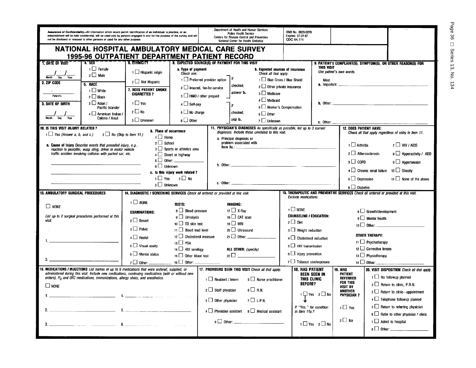|                                                                                                                                                                                           | Assurance of Confidentiality—All information which would permit identification of an individual, a practice, or an<br>establishment will be held confidential, will be used only by persons engaged in and for the purpose of the survey and will<br>not be disclosed or released to other persons or used for any other purpose. |                                                                                                  | Department of Health and Human Services<br><b>Public Health Service</b><br>Centers for Disease Control and Prevention<br>National Center for Health Statistics |                                                                                                                                                                          |                                         | Expires: 07-31-97<br>CDC 64.111                                                                                                  | OMB No. 0920-0278                                                       |                                               |                                                |                               |                                                               |
|-------------------------------------------------------------------------------------------------------------------------------------------------------------------------------------------|-----------------------------------------------------------------------------------------------------------------------------------------------------------------------------------------------------------------------------------------------------------------------------------------------------------------------------------|--------------------------------------------------------------------------------------------------|----------------------------------------------------------------------------------------------------------------------------------------------------------------|--------------------------------------------------------------------------------------------------------------------------------------------------------------------------|-----------------------------------------|----------------------------------------------------------------------------------------------------------------------------------|-------------------------------------------------------------------------|-----------------------------------------------|------------------------------------------------|-------------------------------|---------------------------------------------------------------|
|                                                                                                                                                                                           |                                                                                                                                                                                                                                                                                                                                   | NATIONAL HOSPITAL AMBULATORY MEDICAL CARE SURVEY<br>1995-96 OUTPATIENT DEPARTMENT PATIENT RECORD |                                                                                                                                                                |                                                                                                                                                                          |                                         |                                                                                                                                  |                                                                         |                                               |                                                |                               |                                                               |
| <b>T. DATE OF VISIT</b>                                                                                                                                                                   | 7.3ex                                                                                                                                                                                                                                                                                                                             | <b>6. FTHNICITY *</b>                                                                            | 8. EXPECTED SOURCE(S) OF PAYMENT FOR THIS VISIT                                                                                                                |                                                                                                                                                                          |                                         |                                                                                                                                  |                                                                         |                                               |                                                |                               | 9. PATIENT'S COMPLAINT(S), SYMPTOM(S), OR OTHER REASON(S) FOR |
| Month<br>Day<br>Year                                                                                                                                                                      | $\Box$ Female<br>$2 \Box$ Male                                                                                                                                                                                                                                                                                                    | 1 □ Hispanic origin                                                                              | a. Type of payment<br>Check one.                                                                                                                               | <b>b.</b> Expected sources of insurance<br>Check all that apply.                                                                                                         |                                         | THIS VISIT                                                                                                                       |                                                                         | Use patient's own words.                      |                                                |                               |                                                               |
| 2. ZIP CODE                                                                                                                                                                               | 5. RACE                                                                                                                                                                                                                                                                                                                           | $2 \Box$ Not Hispanic                                                                            | 2 Insured, fee-for-service                                                                                                                                     | $\frac{1}{1}$ Preferred provider option   If<br>1 Blue Cross / Blue Shield<br>checked.<br>2 U Other private insurance                                                    |                                         | Most                                                                                                                             |                                                                         |                                               |                                                |                               |                                                               |
|                                                                                                                                                                                           | $\Box$ White                                                                                                                                                                                                                                                                                                                      | 7. DOES PATIENT SMOKE                                                                            |                                                                                                                                                                |                                                                                                                                                                          | answer <b>b</b> .                       | $3 \Box$ Medicare                                                                                                                |                                                                         |                                               |                                                |                               |                                                               |
| Patient's                                                                                                                                                                                 | $2 \Box$ Black                                                                                                                                                                                                                                                                                                                    | <b>CIGARETTES?</b>                                                                               | 3 HMO / other prepaid                                                                                                                                          |                                                                                                                                                                          |                                         | $4 \Box$ Medicaid                                                                                                                |                                                                         |                                               |                                                |                               |                                                               |
| 3. DATE OF BIRTH                                                                                                                                                                          | $3 \Box$ Asian /<br>Pacific Islander                                                                                                                                                                                                                                                                                              | $1 \Box$ Yes                                                                                     | 4 Self-pay                                                                                                                                                     |                                                                                                                                                                          |                                         | 5 Worker's Compensation                                                                                                          |                                                                         |                                               | <b>b.</b> Other: $\qquad \qquad$               |                               |                                                               |
|                                                                                                                                                                                           | $4 \cup$ American Indian /                                                                                                                                                                                                                                                                                                        | $2 \Box$ No                                                                                      | $5 \Box$ No charge                                                                                                                                             |                                                                                                                                                                          | checked,                                | $6 \Box$ Other                                                                                                                   |                                                                         |                                               |                                                |                               |                                                               |
| Year<br>Day                                                                                                                                                                               | Eskimo / Aleut                                                                                                                                                                                                                                                                                                                    | 3 Unknown                                                                                        | $6 \Box$ Other                                                                                                                                                 |                                                                                                                                                                          | skip b.                                 | $7 \Box$ Unknown                                                                                                                 |                                                                         | c. Other:                                     |                                                |                               |                                                               |
| 10. IS THIS VISIT INJURY RELATED ?                                                                                                                                                        |                                                                                                                                                                                                                                                                                                                                   | <b>b.</b> Place of occurrence                                                                    |                                                                                                                                                                |                                                                                                                                                                          |                                         | 11. PHYSICIAN'S DIAGNOSES As specifically as possible, list up to 3 current<br>diagnoses. Include those unrelated to this visit. |                                                                         |                                               | <b>12. DOES PATIENT HAVE:</b>                  |                               |                                                               |
| $1 \Box$ Yes (Answer a, b, and c.)                                                                                                                                                        | $2 \Box$ No (Skip to item 11.)                                                                                                                                                                                                                                                                                                    | $1 \Box$ Home                                                                                    |                                                                                                                                                                |                                                                                                                                                                          | a. Principal diagnosis or               |                                                                                                                                  |                                                                         |                                               |                                                |                               | Check all that apply regardless of entry in item 11.          |
|                                                                                                                                                                                           | a. Cause of Injury Describe events that preceded injury, e.g.,<br>reaction to penicillin, wasp sting, driver in motor vehicle                                                                                                                                                                                                     | $2 \Box$ School                                                                                  | 3 Sports or athletics area                                                                                                                                     |                                                                                                                                                                          | problem associated with<br>Item $9a$ .: |                                                                                                                                  |                                                                         |                                               | $1$ Arthritis                                  |                               | $7 \Box$ HIV / AIDS                                           |
|                                                                                                                                                                                           | traffic accident involving collision with parked car, etc.                                                                                                                                                                                                                                                                        |                                                                                                  | $4 \Box$ Street or highway                                                                                                                                     |                                                                                                                                                                          |                                         |                                                                                                                                  |                                                                         |                                               | $2 \Box$ Atherosclerosis                       |                               | 8 Hyperactivity / ADD                                         |
|                                                                                                                                                                                           |                                                                                                                                                                                                                                                                                                                                   | $5 \Box$ Other: $\Box$<br>6 Unknown                                                              |                                                                                                                                                                |                                                                                                                                                                          |                                         |                                                                                                                                  |                                                                         |                                               | $3 \Box$ COPD                                  |                               | $9 \Box$ Hypertension                                         |
|                                                                                                                                                                                           |                                                                                                                                                                                                                                                                                                                                   |                                                                                                  |                                                                                                                                                                |                                                                                                                                                                          |                                         |                                                                                                                                  |                                                                         |                                               | $4\Box$ Chronic renal failure $10\Box$ Obesity |                               |                                                               |
|                                                                                                                                                                                           | c. Is this injury work related ?<br>$1 \Box$ Yes<br>2 □ No                                                                                                                                                                                                                                                                        |                                                                                                  |                                                                                                                                                                |                                                                                                                                                                          |                                         |                                                                                                                                  |                                                                         |                                               |                                                | $5 \Box$ Depression           | $11$ $\Box$ None of the above                                 |
|                                                                                                                                                                                           |                                                                                                                                                                                                                                                                                                                                   | 3 Unknown                                                                                        |                                                                                                                                                                | $6 \Box$ Diabetes                                                                                                                                                        |                                         |                                                                                                                                  |                                                                         |                                               |                                                |                               |                                                               |
| <b>13. AMBULATORY SURGICAL PROCEDURES</b>                                                                                                                                                 |                                                                                                                                                                                                                                                                                                                                   |                                                                                                  |                                                                                                                                                                | 15. THERAPEUTIC AND PREVENTIVE SERVICES Check all ordered or provided at this visit.<br>14. DIAGNOSTIC / SCREENING SERVICES Check all ordered or provided at this visit. |                                         |                                                                                                                                  |                                                                         |                                               |                                                |                               |                                                               |
|                                                                                                                                                                                           |                                                                                                                                                                                                                                                                                                                                   | $1 \Box$ NONE                                                                                    | TESTS:                                                                                                                                                         |                                                                                                                                                                          | <b>IMAGING:</b>                         |                                                                                                                                  | <b>Exclude medications.</b>                                             |                                               |                                                |                               |                                                               |
| $\Box$ NONE                                                                                                                                                                               |                                                                                                                                                                                                                                                                                                                                   |                                                                                                  | $8 \Box$ Blood pressure                                                                                                                                        |                                                                                                                                                                          | 17 $\Box$ X-Ray                         |                                                                                                                                  | 1 NONE                                                                  |                                               |                                                |                               |                                                               |
|                                                                                                                                                                                           | List up to 2 surgical procedures performed at this                                                                                                                                                                                                                                                                                | <b>EXAMINATIONS:</b>                                                                             | $9 \Box$ Urinalysis                                                                                                                                            |                                                                                                                                                                          | 18 $\Box$ CAT scan                      |                                                                                                                                  | <b>COUNSELING / EDUCATION:</b>                                          |                                               | 8 Growth/development                           |                               |                                                               |
| visit.                                                                                                                                                                                    |                                                                                                                                                                                                                                                                                                                                   | $2 \Box$ Breast                                                                                  | $10$ $\Box$ TB skin test                                                                                                                                       |                                                                                                                                                                          | 19 $\square$ MRI                        |                                                                                                                                  | $2 \Box$ Diet                                                           |                                               | $9 \Box$ Mental health                         |                               |                                                               |
|                                                                                                                                                                                           |                                                                                                                                                                                                                                                                                                                                   | $3 \Box$ Pelvic                                                                                  | $11 \square$ Blood lead level                                                                                                                                  |                                                                                                                                                                          | $20$ Ultrasound                         |                                                                                                                                  |                                                                         |                                               | $10 \Box$ Other:                               |                               |                                                               |
|                                                                                                                                                                                           |                                                                                                                                                                                                                                                                                                                                   | $4 \Box$ Rectal                                                                                  | 12 Cholesterol measure                                                                                                                                         |                                                                                                                                                                          |                                         |                                                                                                                                  | 3 L Weight reduction<br>OTHER THERAPY:<br>$4\Box$ Cholesterol reduction |                                               |                                                |                               |                                                               |
|                                                                                                                                                                                           |                                                                                                                                                                                                                                                                                                                                   | $5 \square$ Visual acuity                                                                        | $13$ $\Box$ PSA                                                                                                                                                |                                                                                                                                                                          |                                         |                                                                                                                                  | $5 \Box$ HIV transmission                                               |                                               |                                                | $11 \Box$ Psychotherapy       |                                                               |
|                                                                                                                                                                                           |                                                                                                                                                                                                                                                                                                                                   |                                                                                                  | 14   HIV serology                                                                                                                                              |                                                                                                                                                                          | ALL OTHER: (specify)                    |                                                                                                                                  |                                                                         |                                               |                                                | 12 □ Corrective lenses        |                                                               |
|                                                                                                                                                                                           |                                                                                                                                                                                                                                                                                                                                   | $6 \square$ Mental status                                                                        | $15$ $\Box$ Other blood test                                                                                                                                   |                                                                                                                                                                          | $22 \Box$                               |                                                                                                                                  | $6$ $\Box$ Injury prevention                                            |                                               |                                                | 13 □ Physiotherapy            |                                                               |
|                                                                                                                                                                                           |                                                                                                                                                                                                                                                                                                                                   | $7 \Box$ Other:                                                                                  | $16 \Box$ Other: $\Box$                                                                                                                                        |                                                                                                                                                                          |                                         |                                                                                                                                  |                                                                         | 7 Tobacco use/exposure                        |                                                | $14 \Box$ Other:              |                                                               |
|                                                                                                                                                                                           |                                                                                                                                                                                                                                                                                                                                   | 16. MEDICATIONS / INJECTIONS List names of up to 6 medications that were ordered, supplied, or   |                                                                                                                                                                |                                                                                                                                                                          |                                         | 17. PROVIDERS SEEN THIS VISIT Check all that apply.                                                                              |                                                                         | <b>18. HAS PATIENT</b><br><b>BEEN SEEN IN</b> | <b>19. WAS</b><br><b>PATIENT</b>               |                               | 20. VISIT DISPOSITION Check all that apply.                   |
| administered during this visit. Include new medications, continuing medications (with or without new<br>orders), $Rx$ and OTC medications, immunizations, allergy shots, and anesthetics. |                                                                                                                                                                                                                                                                                                                                   |                                                                                                  |                                                                                                                                                                | 1 Besident / Intern                                                                                                                                                      |                                         | $5 \square$ Nurse practitioner                                                                                                   |                                                                         | THIS CLINIC                                   | REFERRED                                       |                               | $1$ No followup planned                                       |
| $\square$ none                                                                                                                                                                            |                                                                                                                                                                                                                                                                                                                                   |                                                                                                  |                                                                                                                                                                |                                                                                                                                                                          |                                         |                                                                                                                                  |                                                                         | <b>BEFORE?</b>                                | <b>FOR THIS</b><br>VISIT BY                    |                               | $2 \Box$ Return to clinic, P.R.N.                             |
|                                                                                                                                                                                           |                                                                                                                                                                                                                                                                                                                                   |                                                                                                  |                                                                                                                                                                | $2 \square$ Staff physician 6 $ \square$ R.N.                                                                                                                            |                                         |                                                                                                                                  | $1 \Box Y$ es $2 \Box N$ o                                              |                                               | ANOTHER<br><b>PHYSICIAN ?</b>                  |                               | $3 \Box$ Return to clinic--appointment                        |
|                                                                                                                                                                                           |                                                                                                                                                                                                                                                                                                                                   |                                                                                                  |                                                                                                                                                                | $7 \square$ L.P.N.<br>$3 \Box$ Other physician                                                                                                                           |                                         |                                                                                                                                  |                                                                         |                                               |                                                |                               | 4 Telephone followup planned                                  |
| 2.                                                                                                                                                                                        |                                                                                                                                                                                                                                                                                                                                   |                                                                                                  |                                                                                                                                                                | $4 \Box$ Physician assistant                                                                                                                                             |                                         | $8 \square$ Medical assistant                                                                                                    | in Item 11a.?                                                           | If "Yes," for condition                       | $1 \Box$ Yes                                   |                               | 5 Return to referring physician                               |
|                                                                                                                                                                                           |                                                                                                                                                                                                                                                                                                                                   |                                                                                                  |                                                                                                                                                                |                                                                                                                                                                          |                                         |                                                                                                                                  |                                                                         |                                               | $2 \Box$ No                                    |                               | $6 \Box$ Refer to other physician / clinic                    |
|                                                                                                                                                                                           |                                                                                                                                                                                                                                                                                                                                   |                                                                                                  |                                                                                                                                                                |                                                                                                                                                                          | $9 \Box$ Other:                         |                                                                                                                                  |                                                                         | $1 \square$ Yes $2 \square$ No                |                                                | $7 \square$ Admit to hospital |                                                               |
|                                                                                                                                                                                           |                                                                                                                                                                                                                                                                                                                                   |                                                                                                  |                                                                                                                                                                |                                                                                                                                                                          |                                         |                                                                                                                                  |                                                                         |                                               |                                                | $8 \Box$ Other:               |                                                               |
|                                                                                                                                                                                           |                                                                                                                                                                                                                                                                                                                                   |                                                                                                  |                                                                                                                                                                |                                                                                                                                                                          |                                         |                                                                                                                                  |                                                                         |                                               |                                                |                               |                                                               |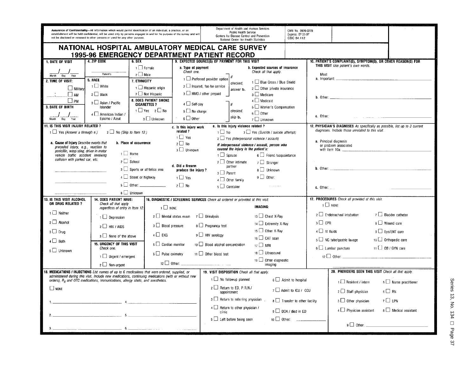|                                                                                                | Assurance of Confidentiality-All information which would permit identification of an individual, a practice, or an<br>establishment will be held confidential, will be used only by persons engaged in and for the purpose of the survey and will<br>not be disclosed or released to other persons or used for any other purpose. |                            |                         |                                                 |                                      | Department of Health and Human Services<br>Public Health Service<br>Centers for Disease Control and Prevention<br>National Center for Health Statistics |                                                           | OMB No. 0920-0278<br>Expires: 07-31-97<br>CDC 64.112 |                                                       |                                                   |                                                                             |
|------------------------------------------------------------------------------------------------|-----------------------------------------------------------------------------------------------------------------------------------------------------------------------------------------------------------------------------------------------------------------------------------------------------------------------------------|----------------------------|-------------------------|-------------------------------------------------|--------------------------------------|---------------------------------------------------------------------------------------------------------------------------------------------------------|-----------------------------------------------------------|------------------------------------------------------|-------------------------------------------------------|---------------------------------------------------|-----------------------------------------------------------------------------|
| NATIONAL HOSPITAL AMBULATORY MEDICAL CARE SURVEY                                               |                                                                                                                                                                                                                                                                                                                                   |                            |                         |                                                 |                                      |                                                                                                                                                         |                                                           |                                                      |                                                       |                                                   |                                                                             |
| <b>1995-96 EMERGENCY DEPARTMENT PATIENT RECORD</b>                                             |                                                                                                                                                                                                                                                                                                                                   |                            |                         |                                                 |                                      |                                                                                                                                                         |                                                           |                                                      |                                                       |                                                   |                                                                             |
| 1. DATE OF VISIT                                                                               | 4. ZIP CODE                                                                                                                                                                                                                                                                                                                       | $6.$ SEX                   |                         |                                                 |                                      | 9. EXPECTED SOURCE(S) OF PAYMENT FOR THIS VISIT                                                                                                         |                                                           |                                                      |                                                       | THIS VISIT Use patient's own words.               | 10. PATIENT'S COMPLAINT(S), SYMPTOM(S), OR OTHER REASON(S) FOR              |
|                                                                                                |                                                                                                                                                                                                                                                                                                                                   | $\Box$ Female              |                         | a. Type of payment<br>Check one.                |                                      |                                                                                                                                                         | b. Expected sources of insurance<br>Check all that apply. |                                                      |                                                       |                                                   |                                                                             |
| Month<br>$\overline{Oay}$<br>Year                                                              | Patient's<br>5. RACE                                                                                                                                                                                                                                                                                                              | $2 \square$ Male           |                         |                                                 | $1$ $\Box$ Preferred provider option |                                                                                                                                                         |                                                           |                                                      | Most                                                  |                                                   |                                                                             |
| 2. TIME OF VISIT:                                                                              | $1$ White                                                                                                                                                                                                                                                                                                                         | 7. ETHNICITY               |                         |                                                 | $2 \Box$ Insured, fee-for-service    | checked.                                                                                                                                                | 1   Blue Cross / Blue Shield                              |                                                      |                                                       |                                                   |                                                                             |
| $\Box$ Military                                                                                |                                                                                                                                                                                                                                                                                                                                   |                            | $\Box$ Hispanic origin  |                                                 | $3$ $\Box$ HMO / other prepaid       | answer b.                                                                                                                                               | $2 \Box$ Other private insurance                          |                                                      |                                                       |                                                   |                                                                             |
| $\Box$ AM                                                                                      | $2 \Box$ Black                                                                                                                                                                                                                                                                                                                    | 2 Not Hispanic             | 8. DOES PATIENT SMOKE   |                                                 |                                      |                                                                                                                                                         | $3 \Box$ Medicare<br>$4 \Box$ Medicaid                    |                                                      |                                                       | <b>b.</b> Other: $\qquad \qquad$                  |                                                                             |
| l Ipm<br><b>3. DATE OF BIRTH</b>                                                               | 3 Asian / Pacific<br>Islander                                                                                                                                                                                                                                                                                                     | <b>CIGARETTES ?</b>        |                         | $4 \Box$ Self-pay                               |                                      |                                                                                                                                                         | 5 Worker's Compensation                                   |                                                      |                                                       |                                                   |                                                                             |
|                                                                                                | 4 American Indian /                                                                                                                                                                                                                                                                                                               |                            | $1$ Yes $2$ No          | $5 \Box$ No charge                              |                                      | checked,                                                                                                                                                | $6 \Box$ Other                                            |                                                      |                                                       |                                                   |                                                                             |
|                                                                                                | Eskimo / Aleut                                                                                                                                                                                                                                                                                                                    |                            | 3 □ Unknown             | a □ 0ther                                       |                                      | skip b.                                                                                                                                                 | $7 \Box$ Unknown                                          |                                                      | c. Other:                                             |                                                   |                                                                             |
| 11. IS THIS VISIT INJURY RELATED ?                                                             |                                                                                                                                                                                                                                                                                                                                   |                            |                         | c. Is this injury work                          |                                      | e. Is this injury violence related?                                                                                                                     |                                                           |                                                      |                                                       |                                                   | 12. PHYSICIAN'S DIAGNOSES As specifically as possible, list up to 3 current |
| $\Box$ Yes (Answer a through e.)                                                               | $2 \Box$ No (Skip to Item 12.)                                                                                                                                                                                                                                                                                                    |                            |                         | related?<br>$\overline{1}$ Yes                  |                                      | $1 \Box$ No.                                                                                                                                            | $3$ $\Box$ Yes (Suicide / suicide attempt)                |                                                      |                                                       | diagnoses. Include those unrelated to this visit. |                                                                             |
| a. Cause of Injury Describe events that                                                        |                                                                                                                                                                                                                                                                                                                                   | b. Place of occurrence     |                         | $2 \Box$ No                                     |                                      |                                                                                                                                                         | $2 \square$ Yes (Interpersonal violence / assault)        |                                                      |                                                       | a. Principal diagnosis                            |                                                                             |
| preceded injury, e.g., reaction to<br>penicillin, wasp sting, driver in motor                  |                                                                                                                                                                                                                                                                                                                                   |                            |                         | 3 □ Unknown                                     |                                      | caused the injury is the patient's:                                                                                                                     | If interpersonal violence / assault, person who           |                                                      |                                                       | or problem associated<br>with Item 10a:           |                                                                             |
| vehicle traffic accident involving                                                             | $1 \Box$ Home                                                                                                                                                                                                                                                                                                                     |                            |                         |                                                 |                                      | $1$ Spouse                                                                                                                                              | 6 Friend /acquaintance                                    |                                                      |                                                       |                                                   |                                                                             |
| collision with parked car, etc.                                                                | $2 \Box$ School                                                                                                                                                                                                                                                                                                                   |                            |                         | d. Did a firearm                                |                                      | $2 \Box$ Other intimate                                                                                                                                 | 7 Stranger                                                |                                                      |                                                       |                                                   |                                                                             |
|                                                                                                |                                                                                                                                                                                                                                                                                                                                   | 3 Sports or athletics area |                         | produce the injury?                             |                                      | partner<br>$3 \Box$ Parent                                                                                                                              | 8 Unknown                                                 |                                                      | <b>b.</b> Other:                                      |                                                   |                                                                             |
|                                                                                                |                                                                                                                                                                                                                                                                                                                                   | 4 Street or highway        |                         | $\overline{1}$ Yes                              |                                      | $4 \Box$ Other family                                                                                                                                   | $9$ $\Box$ Other:                                         |                                                      |                                                       |                                                   |                                                                             |
|                                                                                                |                                                                                                                                                                                                                                                                                                                                   | $5 \Box$ Other:            |                         | $2 \Box$ No                                     |                                      | $5 \Box$ Caretaker                                                                                                                                      |                                                           |                                                      | c. Other:                                             |                                                   |                                                                             |
|                                                                                                |                                                                                                                                                                                                                                                                                                                                   | 6 Unknown                  |                         |                                                 |                                      |                                                                                                                                                         |                                                           |                                                      |                                                       |                                                   |                                                                             |
| 13. IS THIS VISIT ALCOHOL                                                                      | <b>14. DOES PATIENT HAVE:</b>                                                                                                                                                                                                                                                                                                     |                            |                         |                                                 |                                      | 16. DIAGNOSTIC / SCREENING SERVICES Check all ordered or provided at this visit.                                                                        |                                                           |                                                      |                                                       | 17. PROCEDURES Check all provided at this visit.  |                                                                             |
| OR DRUG RELATED ?                                                                              | Check all that apply<br>regardless of entry in Item 12.                                                                                                                                                                                                                                                                           |                            | $1$ $\Box$ NONE         |                                                 |                                      |                                                                                                                                                         | IMAGING:                                                  |                                                      |                                                       | $1 \Box$ NONE                                     |                                                                             |
| 1 Neither                                                                                      | $1 \Box$ Depression                                                                                                                                                                                                                                                                                                               |                            |                         | $2 \Box$ Mental status exam $7 \Box$ Urinalysis |                                      |                                                                                                                                                         | 13 □ Chest X-Rav                                          |                                                      |                                                       | $2 \Box$ Endotracheal intubation                  | 7 Bladder catheter                                                          |
| $2 \Box$ Alcohol                                                                               |                                                                                                                                                                                                                                                                                                                                   |                            |                         |                                                 |                                      |                                                                                                                                                         | 14 Extremity X-Ray                                        |                                                      | $3 \Box$ CPR                                          |                                                   | 8 □ Wound care                                                              |
| $3 \Box$ Drug                                                                                  | $2$ HIV / AIDS                                                                                                                                                                                                                                                                                                                    |                            | $3 \Box$ Blood pressure |                                                 | 8 L. Pregnancy test                  |                                                                                                                                                         | 15 Other X-Rav                                            |                                                      | $4 \Box$ IV fluids                                    |                                                   | $9 \Box$ Eye/ENT care                                                       |
|                                                                                                | $3$ None of the above                                                                                                                                                                                                                                                                                                             |                            | $4\prod$ FKG            |                                                 | $9$ HIV serology                     |                                                                                                                                                         | 16 CAT scan                                               |                                                      |                                                       | 5 NG tube/gastric lavage                          | 10 □ Orthopedic care                                                        |
| $4 \Box$ Both                                                                                  | 15. URGENCY OF THIS VISIT                                                                                                                                                                                                                                                                                                         |                            | 5 Cardiac monitor       |                                                 |                                      | 10   Blood alcohol concentration                                                                                                                        | $17 \square$ MRI                                          |                                                      |                                                       |                                                   |                                                                             |
| 5 Unknown                                                                                      | Check one.                                                                                                                                                                                                                                                                                                                        |                            | $6 \Box$ Pulse oximetry |                                                 | 11 0ther blood test                  |                                                                                                                                                         | 18 Ultrasound                                             |                                                      | $6 \Box$ Lumbar puncture<br>$11$ $\Box$ OB / GYN care |                                                   |                                                                             |
|                                                                                                | $1$ Urgent / emergent                                                                                                                                                                                                                                                                                                             |                            |                         |                                                 |                                      |                                                                                                                                                         | 19 Other diagnostic                                       |                                                      |                                                       |                                                   |                                                                             |
|                                                                                                | $2 \Box$ Non-urgent                                                                                                                                                                                                                                                                                                               |                            |                         |                                                 |                                      |                                                                                                                                                         | imaging                                                   |                                                      |                                                       |                                                   |                                                                             |
| 18. MEDICATIONS / INJECTIONS List names of up to 6 medications that were ordered, supplied, or | administered during this visit. Include new medications, continuing medications (with or without new                                                                                                                                                                                                                              |                            |                         |                                                 |                                      | 19. VISIT DISPOSITION Check all that apply.                                                                                                             |                                                           |                                                      |                                                       |                                                   | 20. PROVIDERS SEEN THIS VISIT Check all that apply.                         |
|                                                                                                | orders), $Rx$ and OTC medications, immunizations, allergy shots, and anesthetics.                                                                                                                                                                                                                                                 |                            |                         |                                                 |                                      | 1   No followup planned                                                                                                                                 |                                                           | 6 Admit to hospital                                  |                                                       | $1 \square$ Resident / intern                     | $5$ Nurse practitioner                                                      |
| $\Box$ none                                                                                    |                                                                                                                                                                                                                                                                                                                                   |                            |                         |                                                 |                                      | $2 \Box$ Return to ED, P.R.N./<br>appointment                                                                                                           |                                                           | 7 3 Admit to ICU / CCU                               |                                                       | $2 \Box$ Staff physician                          | $6\Box$ RN                                                                  |
|                                                                                                |                                                                                                                                                                                                                                                                                                                                   |                            |                         |                                                 |                                      | $3 \Box$ Return to referring physician.<br>8 Transfer to other facility<br>$3 \Box$ Other physician                                                     |                                                           |                                                      | $7 \Box$ LPN                                          |                                                   |                                                                             |
|                                                                                                |                                                                                                                                                                                                                                                                                                                                   |                            |                         |                                                 |                                      | 4 Return to other physician /<br>$4 \Box$ Physician assistant<br>$9$ OOA / died in ED                                                                   |                                                           |                                                      | $8 \square$ Medical assistant                         |                                                   |                                                                             |
|                                                                                                |                                                                                                                                                                                                                                                                                                                                   |                            |                         |                                                 |                                      | clinic                                                                                                                                                  |                                                           |                                                      |                                                       |                                                   |                                                                             |
|                                                                                                |                                                                                                                                                                                                                                                                                                                                   |                            |                         |                                                 |                                      | $5$ $\Box$ Left before being seen                                                                                                                       |                                                           |                                                      |                                                       | $9 \Box$ Other:                                   |                                                                             |
|                                                                                                | 6.                                                                                                                                                                                                                                                                                                                                |                            |                         |                                                 |                                      |                                                                                                                                                         |                                                           |                                                      |                                                       |                                                   |                                                                             |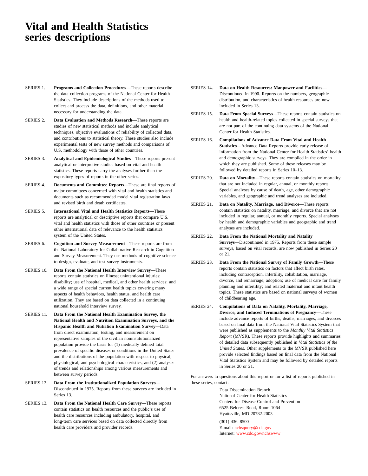## **Vital and Health Statistics series descriptions**

- SERIES 1. **Programs and Collection Procedures**—These reports describe the data collection programs of the National Center for Health Statistics. They include descriptions of the methods used to collect and process the data, definitions, and other material necessary for understanding the data.
- SERIES 2. **Data Evaluation and Methods Research**—These reports are studies of new statistical methods and include analytical techniques, objective evaluations of reliability of collected data, and contributions to statistical theory. These studies also include experimental tests of new survey methods and comparisons of U.S. methodology with those of other countries.
- SERIES 3. **Analytical and Epidemiological Studies**—These reports present analytical or interpretive studies based on vital and health statistics. These reports carry the analyses further than the expository types of reports in the other series.
- SERIES 4. **Documents and Committee Reports**—These are final reports of major committees concerned with vital and health statistics and documents such as recommended model vital registration laws and revised birth and death certificates.
- SERIES 5. **International Vital and Health Statistics Reports**—These reports are analytical or descriptive reports that compare U.S. vital and health statistics with those of other countries or present other international data of relevance to the health statistics system of the United States.
- SERIES 6. **Cognition and Survey Measurement**—These reports are from the National Laboratory for Collaborative Research in Cognition and Survey Measurement. They use methods of cognitive science to design, evaluate, and test survey instruments.
- SERIES 10. **Data From the National Health Interview Survey**—These reports contain statistics on illness; unintentional injuries; disability; use of hospital, medical, and other health services; and a wide range of special current health topics covering many aspects of health behaviors, health status, and health care utilization. They are based on data collected in a continuing national household interview survey.
- SERIES 11. **Data From the National Health Examination Survey, the National Health and Nutrition Examination Surveys, and the Hispanic Health and Nutrition Examination Survey**—Data from direct examination, testing, and measurement on representative samples of the civilian noninstitutionalized population provide the basis for (1) medically defined total prevalence of specific diseases or conditions in the United States and the distributions of the population with respect to physical, physiological, and psychological characteristics, and (2) analyses of trends and relationships among various measurements and between survey periods.
- SERIES 12. **Data From the Institutionalized Population Surveys** Discontinued in 1975. Reports from these surveys are included in Series 13.
- SERIES 13. **Data From the National Health Care Survey**—These reports contain statistics on health resources and the public's use of health care resources including ambulatory, hospital, and long-term care services based on data collected directly from health care providers and provider records.
- SERIES 14. **Data on Health Resources: Manpower and Facilities** Discontinued in 1990. Reports on the numbers, geographic distribution, and characteristics of health resources are now included in Series 13.
- SERIES 15. **Data From Special Surveys**—These reports contain statistics on health and health-related topics collected in special surveys that are not part of the continuing data systems of the National Center for Health Statistics.
- SERIES 16. **Compilations of Advance Data From Vital and Health Statistics**—Advance Data Reports provide early release of information from the National Center for Health Statistics' health and demographic surveys. They are compiled in the order in which they are published. Some of these releases may be followed by detailed reports in Series 10–13.
- SERIES 20. **Data on Mortality**—These reports contain statistics on mortality that are not included in regular, annual, or monthly reports. Special analyses by cause of death, age, other demographic variables, and geographic and trend analyses are included.
- SERIES 21. **Data on Natality, Marriage, and Divorce**—These reports contain statistics on natality, marriage, and divorce that are not included in regular, annual, or monthly reports. Special analyses by health and demographic variables and geographic and trend analyses are included.
- SERIES 22. **Data From the National Mortality and Natality Surveys**—Discontinued in 1975. Reports from these sample surveys, based on vital records, are now published in Series 20 or 21.
- SERIES 23. **Data From the National Survey of Family Growth**—These reports contain statistics on factors that affect birth rates, including contraception, infertility, cohabitation, marriage, divorce, and remarriage; adoption; use of medical care for family planning and infertility; and related maternal and infant health topics. These statistics are based on national surveys of women of childbearing age.
- SERIES 24. **Compilations of Data on Natality, Mortality, Marriage, Divorce, and Induced Terminations of Pregnancy**—These include advance reports of births, deaths, marriages, and divorces based on final data from the National Vital Statistics System that were published as supplements to the *Monthly Vital Statistics Report* (MVSR). These reports provide highlights and summaries of detailed data subsequently published in *Vital Statistics of the United States*. Other supplements to the MVSR published here provide selected findings based on final data from the National Vital Statistics System and may be followed by detailed reports in Series 20 or 21.

For answers to questions about this report or for a list of reports published in these series, contact:

> Data Dissemination Branch National Center for Health Statistics Centers for Disease Control and Prevention 6525 Belcrest Road, Room 1064 Hyattsville, MD 20782-2003

(301) 436–8500 E-mail: [nchsquery@cdc.gov](http://www.cdc.gov/nchswww/qscf/qscf.htm) Internet: [www.cdc.gov/nchswww](http://www.cdc.gov/nchswww)